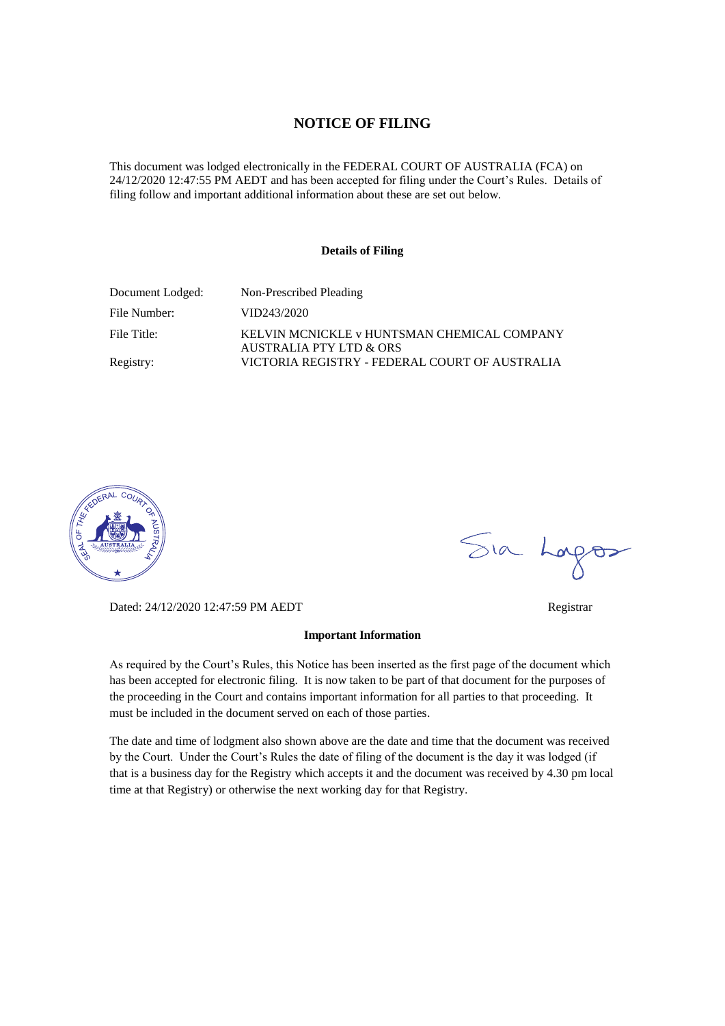# **NOTICE OF FILING**

This document was lodged electronically in the FEDERAL COURT OF AUSTRALIA (FCA) on 24/12/2020 12:47:55 PM AEDT and has been accepted for filing under the Court's Rules. Details of filing follow and important additional information about these are set out below.

#### **Details of Filing**

| Document Lodged: | Non-Prescribed Pleading                                                |
|------------------|------------------------------------------------------------------------|
| File Number:     | VID243/2020                                                            |
| File Title:      | KELVIN MCNICKLE v HUNTSMAN CHEMICAL COMPANY<br>AUSTRALIA PTY LTD & ORS |
| Registry:        | VICTORIA REGISTRY - FEDERAL COURT OF AUSTRALIA                         |



Dated: 24/12/2020 12:47:59 PM AEDT Registrar

#### **Important Information**

As required by the Court's Rules, this Notice has been inserted as the first page of the document which has been accepted for electronic filing. It is now taken to be part of that document for the purposes of the proceeding in the Court and contains important information for all parties to that proceeding. It must be included in the document served on each of those parties.

The date and time of lodgment also shown above are the date and time that the document was received by the Court. Under the Court's Rules the date of filing of the document is the day it was lodged (if that is a business day for the Registry which accepts it and the document was received by 4.30 pm local time at that Registry) or otherwise the next working day for that Registry.

Sia Logos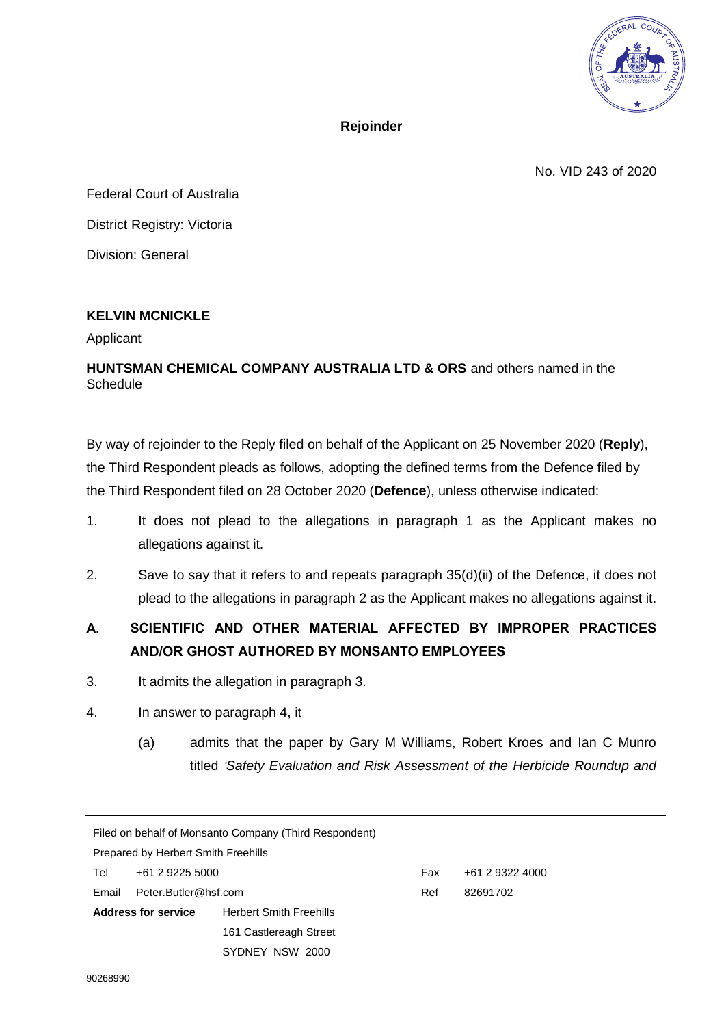

**Rejoinder** 

No. VID 243 of 2020

Federal Court of Australia District Registry: Victoria Division: General

# **KELVIN MCNICKLE**

Applicant

# **HUNTSMAN CHEMICAL COMPANY AUSTRALIA LTD & ORS** and others named in the Schedule

By way of rejoinder to the Reply filed on behalf of the Applicant on 25 November 2020 (**Reply**), the Third Respondent pleads as follows, adopting the defined terms from the Defence filed by the Third Respondent filed on 28 October 2020 (**Defence**), unless otherwise indicated:

- 1. It does not plead to the allegations in paragraph 1 as the Applicant makes no allegations against it.
- 2. Save to say that it refers to and repeats paragraph 35(d)(ii) of the Defence, it does not plead to the allegations in paragraph 2 as the Applicant makes no allegations against it.

# **A. SCIENTIFIC AND OTHER MATERIAL AFFECTED BY IMPROPER PRACTICES AND/OR GHOST AUTHORED BY MONSANTO EMPLOYEES**

- 3. It admits the allegation in paragraph 3.
- 4. In answer to paragraph 4, it
	- (a) admits that the paper by Gary M Williams, Robert Kroes and Ian C Munro titled *'Safety Evaluation and Risk Assessment of the Herbicide Roundup and*

| Filed on behalf of Monsanto Company (Third Respondent) |                      |                                |     |                 |  |
|--------------------------------------------------------|----------------------|--------------------------------|-----|-----------------|--|
| <b>Prepared by Herbert Smith Freehills</b>             |                      |                                |     |                 |  |
| Tel                                                    | +61 2 9225 5000      |                                | Fax | +61 2 9322 4000 |  |
| Email                                                  | Peter.Butler@hsf.com |                                | Ref | 82691702        |  |
| <b>Address for service</b>                             |                      | <b>Herbert Smith Freehills</b> |     |                 |  |
|                                                        |                      | 161 Castlereagh Street         |     |                 |  |
|                                                        |                      | SYDNEY NSW 2000                |     |                 |  |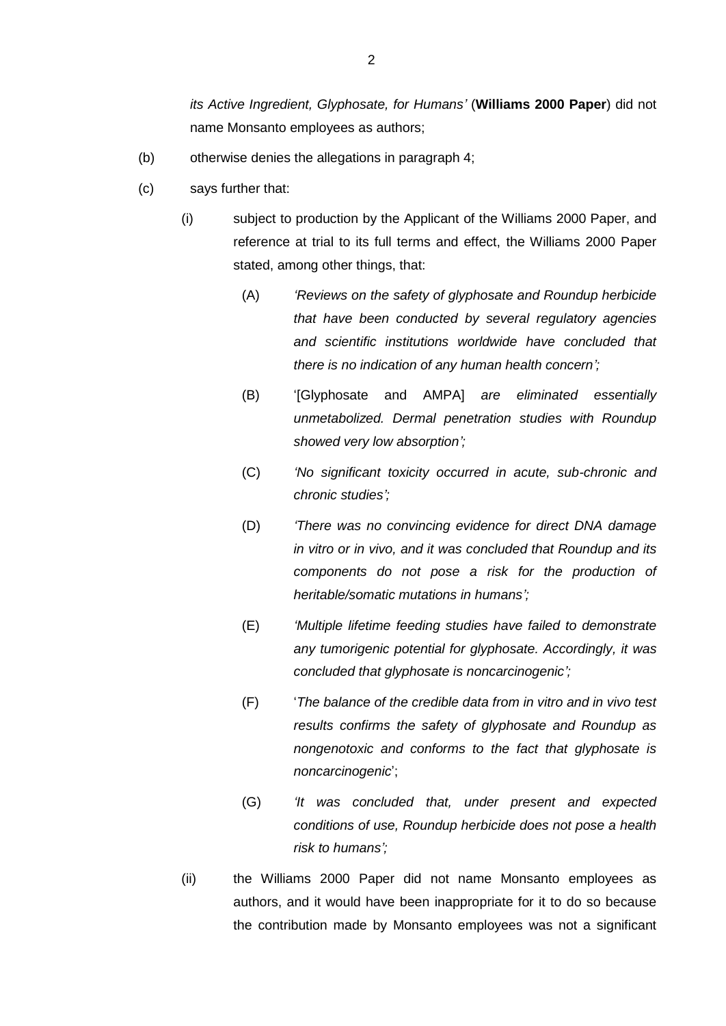*its Active Ingredient, Glyphosate, for Humans'* (**Williams 2000 Paper**) did not name Monsanto employees as authors;

- (b) otherwise denies the allegations in paragraph 4;
- <span id="page-2-0"></span>(c) says further that:
	- (i) subject to production by the Applicant of the Williams 2000 Paper, and reference at trial to its full terms and effect, the Williams 2000 Paper stated, among other things, that:
		- (A) *'Reviews on the safety of glyphosate and Roundup herbicide that have been conducted by several regulatory agencies and scientific institutions worldwide have concluded that there is no indication of any human health concern';*
		- (B) '[Glyphosate and AMPA] *are eliminated essentially unmetabolized. Dermal penetration studies with Roundup showed very low absorption';*
		- (C) *'No significant toxicity occurred in acute, sub-chronic and chronic studies';*
		- (D) *'There was no convincing evidence for direct DNA damage in vitro or in vivo, and it was concluded that Roundup and its components do not pose a risk for the production of heritable/somatic mutations in humans';*
		- (E) *'Multiple lifetime feeding studies have failed to demonstrate any tumorigenic potential for glyphosate. Accordingly, it was concluded that glyphosate is noncarcinogenic';*
		- (F) '*The balance of the credible data from in vitro and in vivo test results confirms the safety of glyphosate and Roundup as nongenotoxic and conforms to the fact that glyphosate is noncarcinogenic*';
		- (G) *'It was concluded that, under present and expected conditions of use, Roundup herbicide does not pose a health risk to humans';*
	- (ii) the Williams 2000 Paper did not name Monsanto employees as authors, and it would have been inappropriate for it to do so because the contribution made by Monsanto employees was not a significant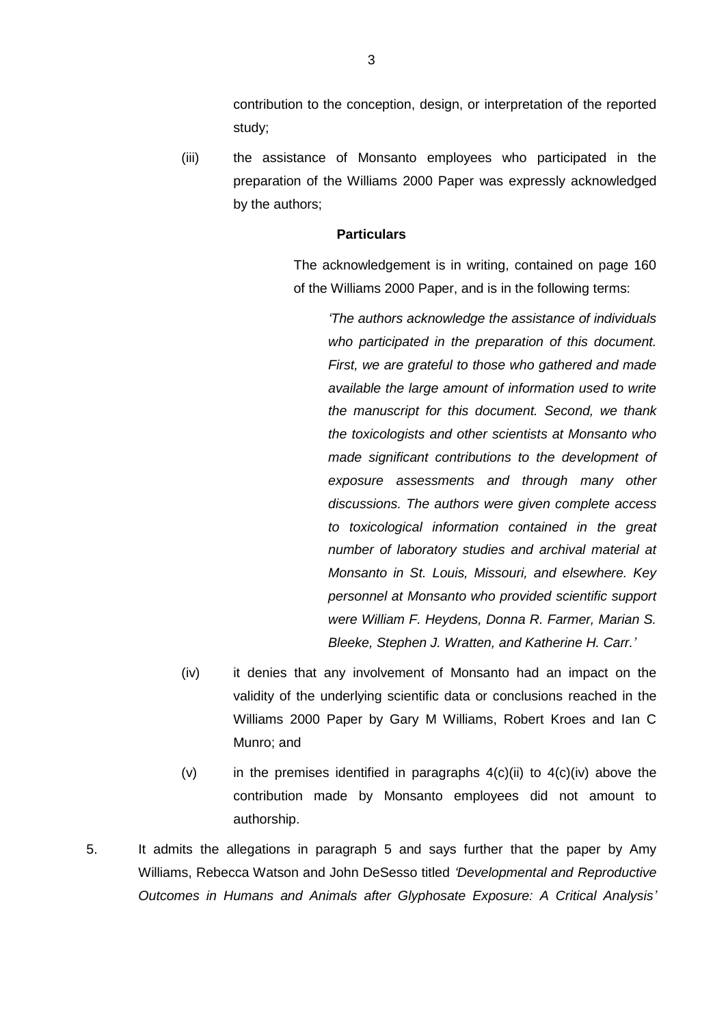contribution to the conception, design, or interpretation of the reported study;

(iii) the assistance of Monsanto employees who participated in the preparation of the Williams 2000 Paper was expressly acknowledged by the authors;

# **Particulars**

The acknowledgement is in writing, contained on page 160 of the Williams 2000 Paper, and is in the following terms:

> *'The authors acknowledge the assistance of individuals who participated in the preparation of this document. First, we are grateful to those who gathered and made available the large amount of information used to write the manuscript for this document. Second, we thank the toxicologists and other scientists at Monsanto who made significant contributions to the development of exposure assessments and through many other discussions. The authors were given complete access to toxicological information contained in the great number of laboratory studies and archival material at Monsanto in St. Louis, Missouri, and elsewhere. Key personnel at Monsanto who provided scientific support were William F. Heydens, Donna R. Farmer, Marian S. Bleeke, Stephen J. Wratten, and Katherine H. Carr.'*

- <span id="page-3-0"></span>(iv) it denies that any involvement of Monsanto had an impact on the validity of the underlying scientific data or conclusions reached in the Williams 2000 Paper by Gary M Williams, Robert Kroes and Ian C Munro; and
- (v) in the premises identified in paragraphs  $4(c)(ii)$  to  $4(c)(iv)$  above the contribution made by Monsanto employees did not amount to authorship.
- 5. It admits the allegations in paragraph 5 and says further that the paper by Amy Williams, Rebecca Watson and John DeSesso titled *'Developmental and Reproductive Outcomes in Humans and Animals after Glyphosate Exposure: A Critical Analysis'*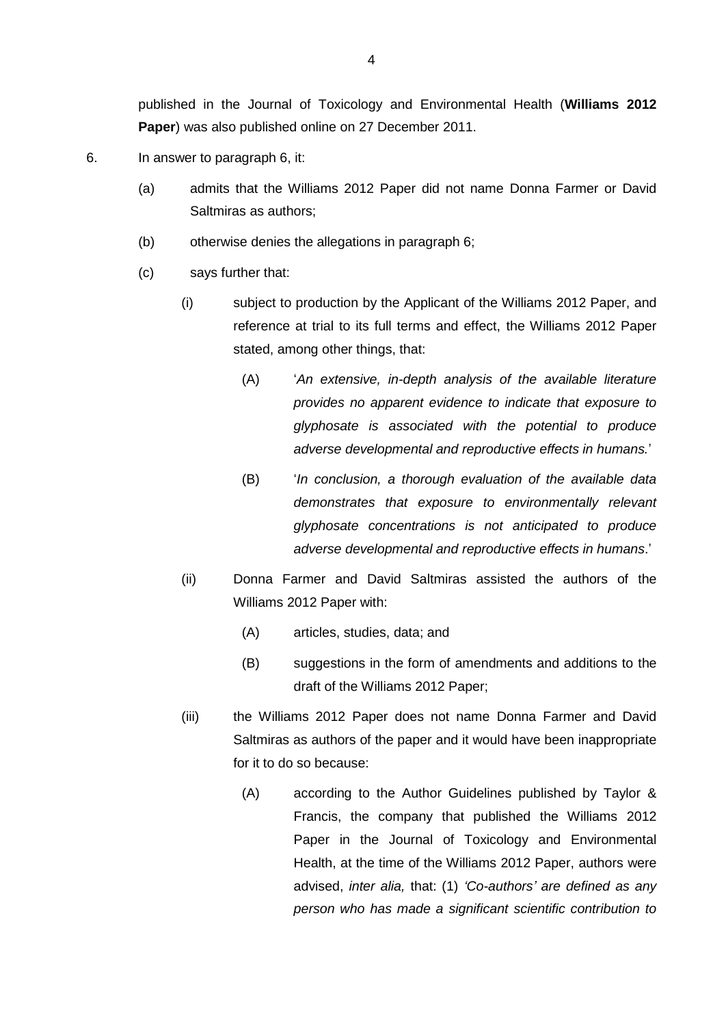published in the Journal of Toxicology and Environmental Health (**Williams 2012 Paper**) was also published online on 27 December 2011.

- <span id="page-4-0"></span>6. In answer to paragraph 6, it:
	- (a) admits that the Williams 2012 Paper did not name Donna Farmer or David Saltmiras as authors;
	- (b) otherwise denies the allegations in paragraph 6;
	- (c) says further that:
		- (i) subject to production by the Applicant of the Williams 2012 Paper, and reference at trial to its full terms and effect, the Williams 2012 Paper stated, among other things, that:
			- (A) '*An extensive, in-depth analysis of the available literature provides no apparent evidence to indicate that exposure to glyphosate is associated with the potential to produce adverse developmental and reproductive effects in humans.*'
			- (B) '*In conclusion, a thorough evaluation of the available data demonstrates that exposure to environmentally relevant glyphosate concentrations is not anticipated to produce adverse developmental and reproductive effects in humans*.'
		- (ii) Donna Farmer and David Saltmiras assisted the authors of the Williams 2012 Paper with:
			- (A) articles, studies, data; and
			- (B) suggestions in the form of amendments and additions to the draft of the Williams 2012 Paper;
		- (iii) the Williams 2012 Paper does not name Donna Farmer and David Saltmiras as authors of the paper and it would have been inappropriate for it to do so because:
			- (A) according to the Author Guidelines published by Taylor & Francis, the company that published the Williams 2012 Paper in the Journal of Toxicology and Environmental Health, at the time of the Williams 2012 Paper, authors were advised, *inter alia,* that: (1) *'Co-authors' are defined as any person who has made a significant scientific contribution to*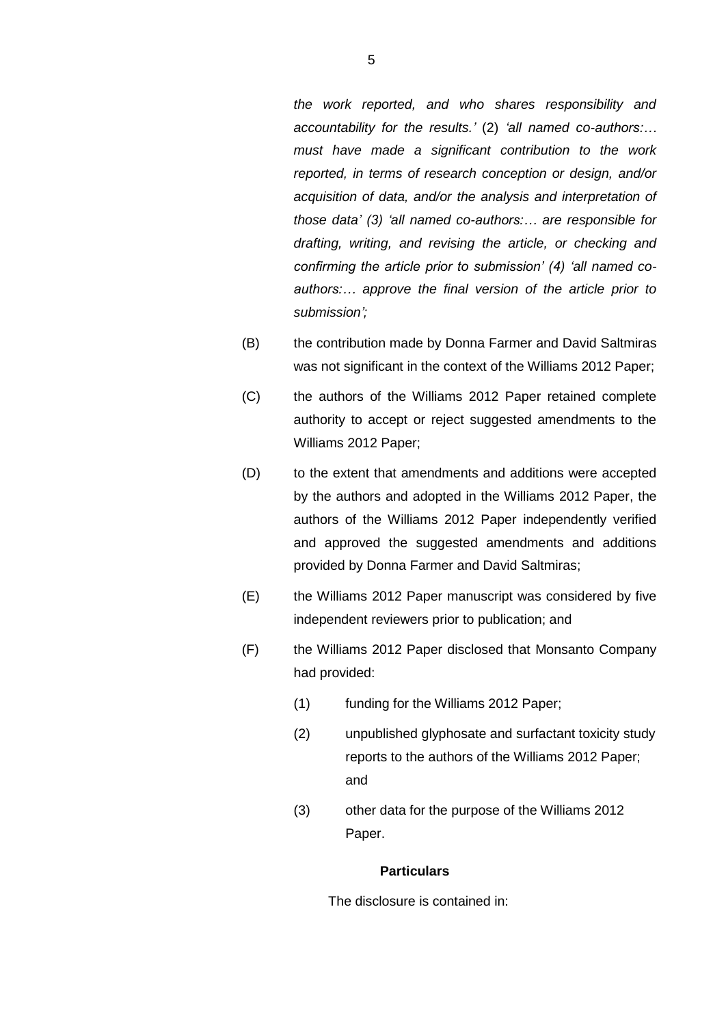*the work reported, and who shares responsibility and accountability for the results.'* (2) *'all named co-authors:… must have made a significant contribution to the work reported, in terms of research conception or design, and/or acquisition of data, and/or the analysis and interpretation of those data' (3) 'all named co-authors:… are responsible for drafting, writing, and revising the article, or checking and confirming the article prior to submission' (4) 'all named coauthors:… approve the final version of the article prior to submission';*

- (B) the contribution made by Donna Farmer and David Saltmiras was not significant in the context of the Williams 2012 Paper;
- (C) the authors of the Williams 2012 Paper retained complete authority to accept or reject suggested amendments to the Williams 2012 Paper;
- (D) to the extent that amendments and additions were accepted by the authors and adopted in the Williams 2012 Paper, the authors of the Williams 2012 Paper independently verified and approved the suggested amendments and additions provided by Donna Farmer and David Saltmiras;
- (E) the Williams 2012 Paper manuscript was considered by five independent reviewers prior to publication; and
- (F) the Williams 2012 Paper disclosed that Monsanto Company had provided:
	- (1) funding for the Williams 2012 Paper;
	- (2) unpublished glyphosate and surfactant toxicity study reports to the authors of the Williams 2012 Paper; and
	- (3) other data for the purpose of the Williams 2012 Paper.

### **Particulars**

The disclosure is contained in: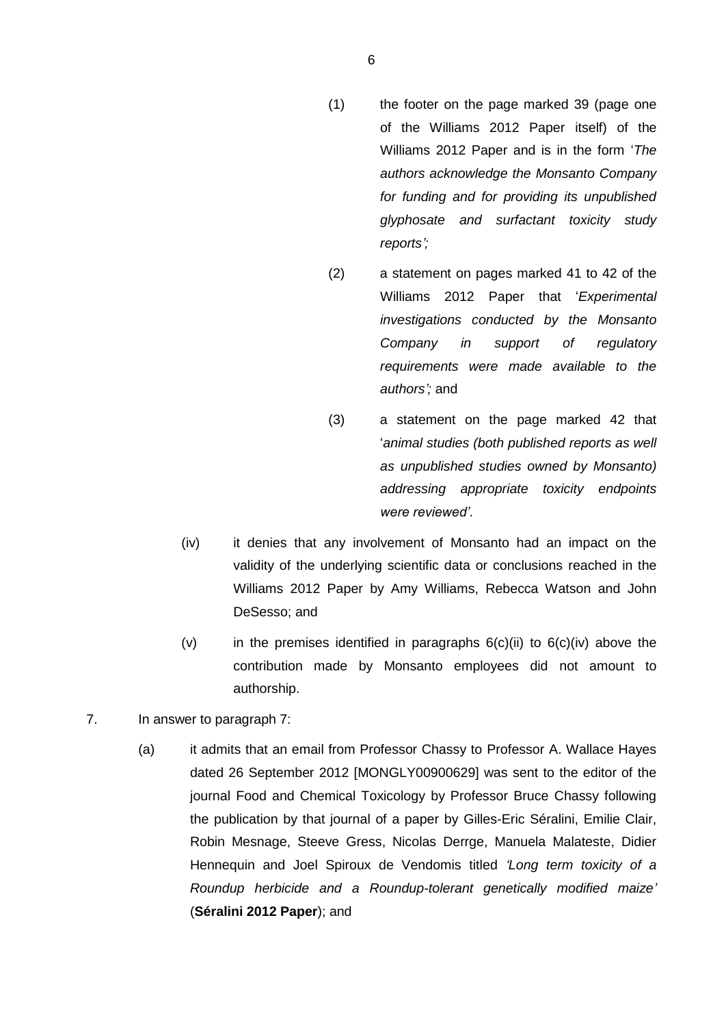- (1) the footer on the page marked 39 (page one of the Williams 2012 Paper itself) of the Williams 2012 Paper and is in the form '*The authors acknowledge the Monsanto Company for funding and for providing its unpublished glyphosate and surfactant toxicity study reports';*
- (2) a statement on pages marked 41 to 42 of the Williams 2012 Paper that '*Experimental investigations conducted by the Monsanto Company in support of regulatory requirements were made available to the authors';* and
- (3) a statement on the page marked 42 that '*animal studies (both published reports as well as unpublished studies owned by Monsanto) addressing appropriate toxicity endpoints were reviewed'*.
- <span id="page-6-0"></span>(iv) it denies that any involvement of Monsanto had an impact on the validity of the underlying scientific data or conclusions reached in the Williams 2012 Paper by Amy Williams, Rebecca Watson and John DeSesso; and
- (v) in the premises identified in paragraphs  $6(c)(ii)$  to  $6(c)(iv)$  above the contribution made by Monsanto employees did not amount to authorship.
- 7. In answer to paragraph 7:
	- (a) it admits that an email from Professor Chassy to Professor A. Wallace Hayes dated 26 September 2012 [MONGLY00900629] was sent to the editor of the journal Food and Chemical Toxicology by Professor Bruce Chassy following the publication by that journal of a paper by Gilles-Eric Séralini, Emilie Clair, Robin Mesnage, Steeve Gress, Nicolas Derrge, Manuela Malateste, Didier Hennequin and Joel Spiroux de Vendomis titled *'Long term toxicity of a Roundup herbicide and a Roundup-tolerant genetically modified maize'* (**Séralini 2012 Paper**); and

6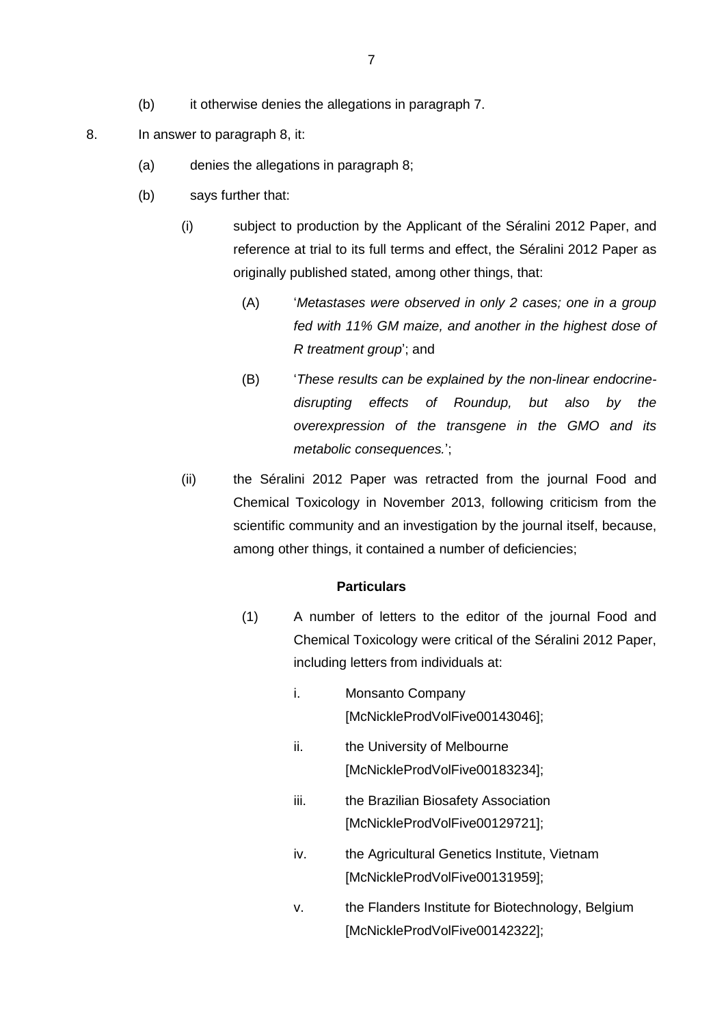- (b) it otherwise denies the allegations in paragraph 7.
- 8. In answer to paragraph 8, it:
	- (a) denies the allegations in paragraph 8;
	- (b) says further that:
		- (i) subject to production by the Applicant of the Séralini 2012 Paper, and reference at trial to its full terms and effect, the Séralini 2012 Paper as originally published stated, among other things, that:
			- (A) '*Metastases were observed in only 2 cases; one in a group fed with 11% GM maize, and another in the highest dose of R treatment group*'; and
			- (B) '*These results can be explained by the non-linear endocrinedisrupting effects of Roundup, but also by the overexpression of the transgene in the GMO and its metabolic consequences.*';
		- (ii) the Séralini 2012 Paper was retracted from the journal Food and Chemical Toxicology in November 2013, following criticism from the scientific community and an investigation by the journal itself, because, among other things, it contained a number of deficiencies;

- (1) A number of letters to the editor of the journal Food and Chemical Toxicology were critical of the Séralini 2012 Paper, including letters from individuals at:
	- i. Monsanto Company [McNickleProdVolFive00143046];
	- ii. the University of Melbourne [McNickleProdVolFive00183234];
	- iii. the Brazilian Biosafety Association [McNickleProdVolFive00129721];
	- iv. the Agricultural Genetics Institute, Vietnam [McNickleProdVolFive00131959];
	- v. the Flanders Institute for Biotechnology, Belgium [McNickleProdVolFive00142322];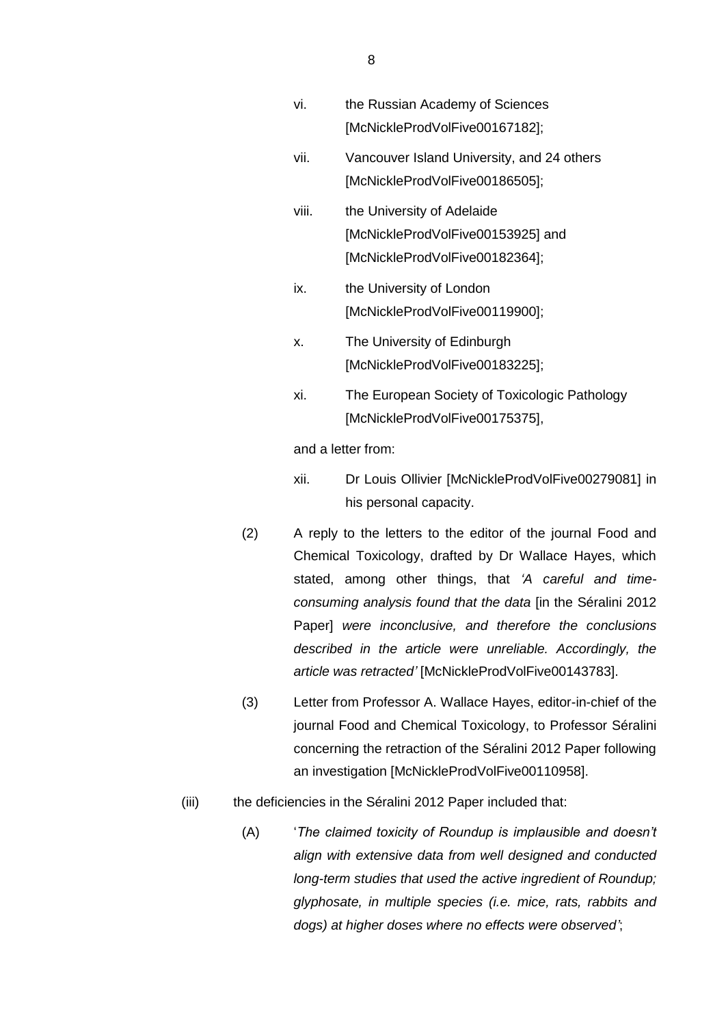- vi. the Russian Academy of Sciences [McNickleProdVolFive00167182];
- vii. Vancouver Island University, and 24 others [McNickleProdVolFive00186505];
- viii. the University of Adelaide [McNickleProdVolFive00153925] and [McNickleProdVolFive00182364];
- ix. the University of London [McNickleProdVolFive00119900];
- x. The University of Edinburgh [McNickleProdVolFive00183225];
- xi. The European Society of Toxicologic Pathology [McNickleProdVolFive00175375],

and a letter from:

- xii. Dr Louis Ollivier [McNickleProdVolFive00279081] in his personal capacity.
- (2) A reply to the letters to the editor of the journal Food and Chemical Toxicology, drafted by Dr Wallace Hayes, which stated, among other things, that *'A careful and timeconsuming analysis found that the data* [in the Séralini 2012 Paper] *were inconclusive, and therefore the conclusions described in the article were unreliable. Accordingly, the article was retracted'* [McNickleProdVolFive00143783].
- (3) Letter from Professor A. Wallace Hayes, editor-in-chief of the journal Food and Chemical Toxicology, to Professor Séralini concerning the retraction of the Séralini 2012 Paper following an investigation [McNickleProdVolFive00110958].
- (iii) the deficiencies in the Séralini 2012 Paper included that:
	- (A) '*The claimed toxicity of Roundup is implausible and doesn't align with extensive data from well designed and conducted long-term studies that used the active ingredient of Roundup; glyphosate, in multiple species (i.e. mice, rats, rabbits and dogs) at higher doses where no effects were observed'*;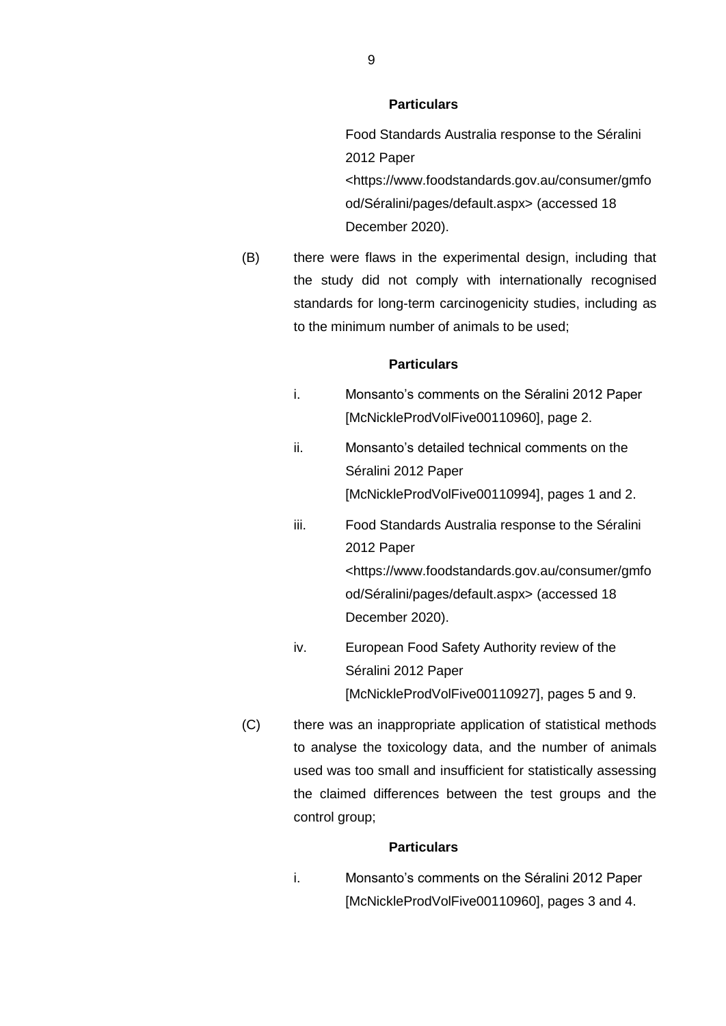Food Standards Australia response to the Séralini 2012 Paper <https://www.foodstandards.gov.au/consumer/gmfo od/Séralini/pages/default.aspx> (accessed 18 December 2020).

(B) there were flaws in the experimental design, including that the study did not comply with internationally recognised standards for long-term carcinogenicity studies, including as to the minimum number of animals to be used;

# **Particulars**

- i. Monsanto's comments on the Séralini 2012 Paper [McNickleProdVolFive00110960], page 2.
- ii. Monsanto's detailed technical comments on the Séralini 2012 Paper [McNickleProdVolFive00110994], pages 1 and 2.
- iii. Food Standards Australia response to the Séralini 2012 Paper <https://www.foodstandards.gov.au/consumer/gmfo od/Séralini/pages/default.aspx> (accessed 18 December 2020).
- iv. European Food Safety Authority review of the Séralini 2012 Paper [McNickleProdVolFive00110927], pages 5 and 9.
- (C) there was an inappropriate application of statistical methods to analyse the toxicology data, and the number of animals used was too small and insufficient for statistically assessing the claimed differences between the test groups and the control group;

#### **Particulars**

i. Monsanto's comments on the Séralini 2012 Paper [McNickleProdVolFive00110960], pages 3 and 4.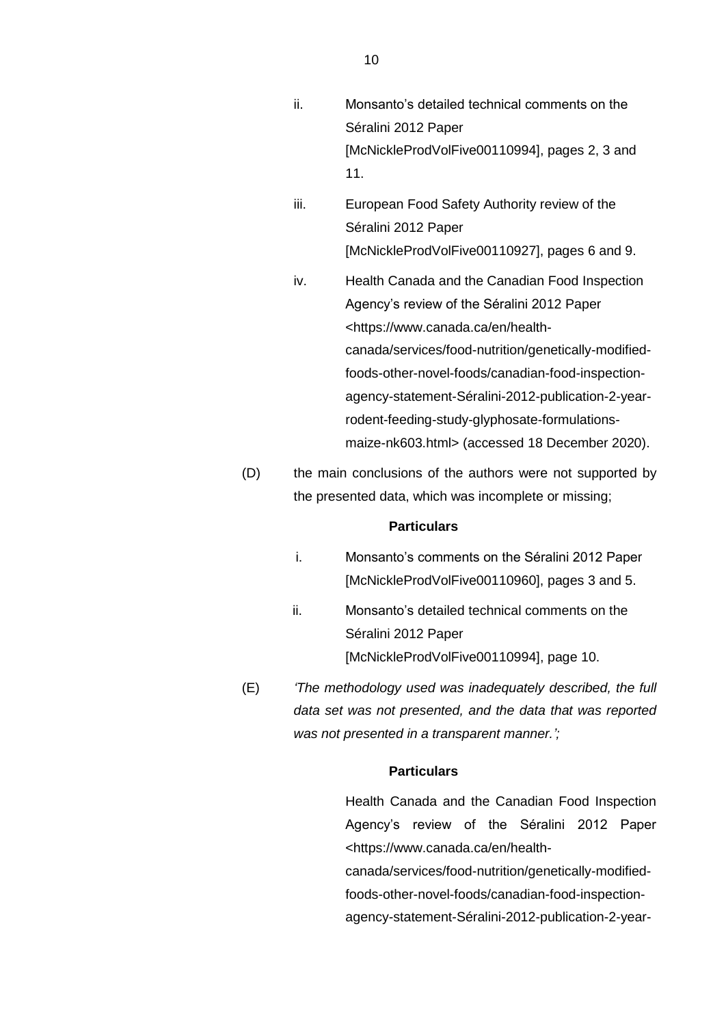- ii. Monsanto's detailed technical comments on the Séralini 2012 Paper [McNickleProdVolFive00110994], pages 2, 3 and 11.
- iii. European Food Safety Authority review of the Séralini 2012 Paper [McNickleProdVolFive00110927], pages 6 and 9.
- iv. Health Canada and the Canadian Food Inspection Agency's review of the Séralini 2012 Paper <https://www.canada.ca/en/healthcanada/services/food-nutrition/genetically-modifiedfoods-other-novel-foods/canadian-food-inspectionagency-statement-Séralini-2012-publication-2-yearrodent-feeding-study-glyphosate-formulationsmaize-nk603.html> (accessed 18 December 2020).
- (D) the main conclusions of the authors were not supported by the presented data, which was incomplete or missing;

- i. Monsanto's comments on the Séralini 2012 Paper [McNickleProdVolFive00110960], pages 3 and 5.
- ii. Monsanto's detailed technical comments on the Séralini 2012 Paper [McNickleProdVolFive00110994], page 10.
- (E) *'The methodology used was inadequately described, the full data set was not presented, and the data that was reported was not presented in a transparent manner.';*

# **Particulars**

Health Canada and the Canadian Food Inspection Agency's review of the Séralini 2012 Paper <https://www.canada.ca/en/health-

canada/services/food-nutrition/genetically-modifiedfoods-other-novel-foods/canadian-food-inspectionagency-statement-Séralini-2012-publication-2-year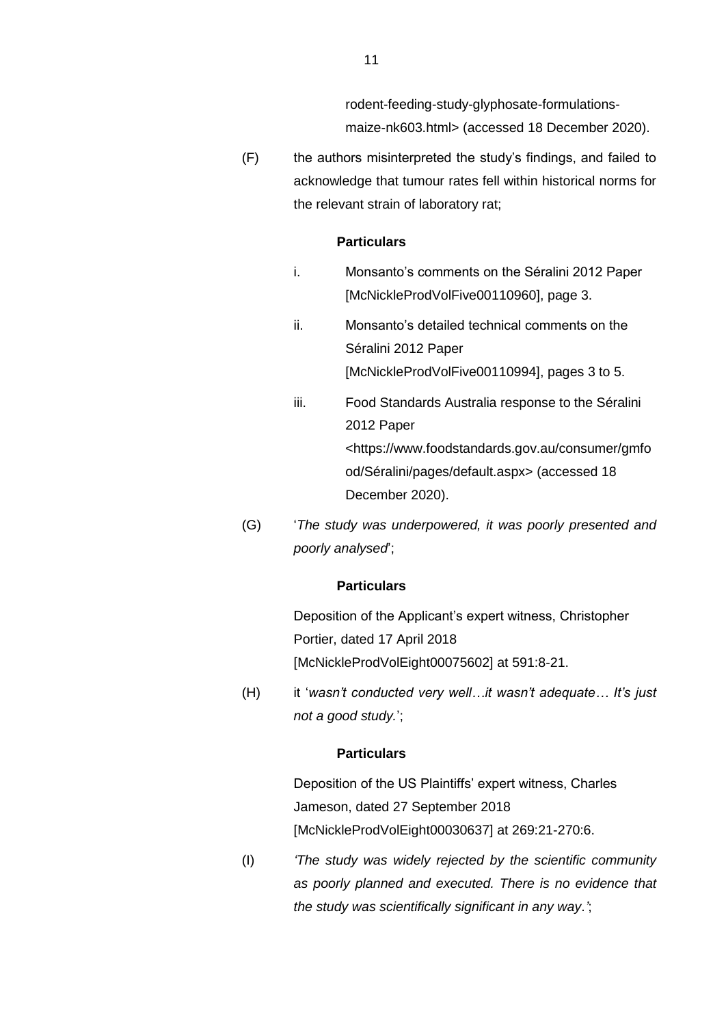rodent-feeding-study-glyphosate-formulationsmaize-nk603.html> (accessed 18 December 2020).

(F) the authors misinterpreted the study's findings, and failed to acknowledge that tumour rates fell within historical norms for the relevant strain of laboratory rat;

#### **Particulars**

- i. Monsanto's comments on the Séralini 2012 Paper [McNickleProdVolFive00110960], page 3.
- ii. Monsanto's detailed technical comments on the Séralini 2012 Paper [McNickleProdVolFive00110994], pages 3 to 5.
- iii. Food Standards Australia response to the Séralini 2012 Paper <https://www.foodstandards.gov.au/consumer/gmfo od/Séralini/pages/default.aspx> (accessed 18 December 2020).
- (G) '*The study was underpowered, it was poorly presented and poorly analysed*';

### **Particulars**

Deposition of the Applicant's expert witness, Christopher Portier, dated 17 April 2018 [McNickleProdVolEight00075602] at 591:8-21.

(H) it '*wasn't conducted very well…it wasn't adequate… It's just not a good study.*';

# **Particulars**

Deposition of the US Plaintiffs' expert witness, Charles Jameson, dated 27 September 2018 [McNickleProdVolEight00030637] at 269:21-270:6.

(I) *'The study was widely rejected by the scientific community as poorly planned and executed. There is no evidence that the study was scientifically significant in any way*.*'*;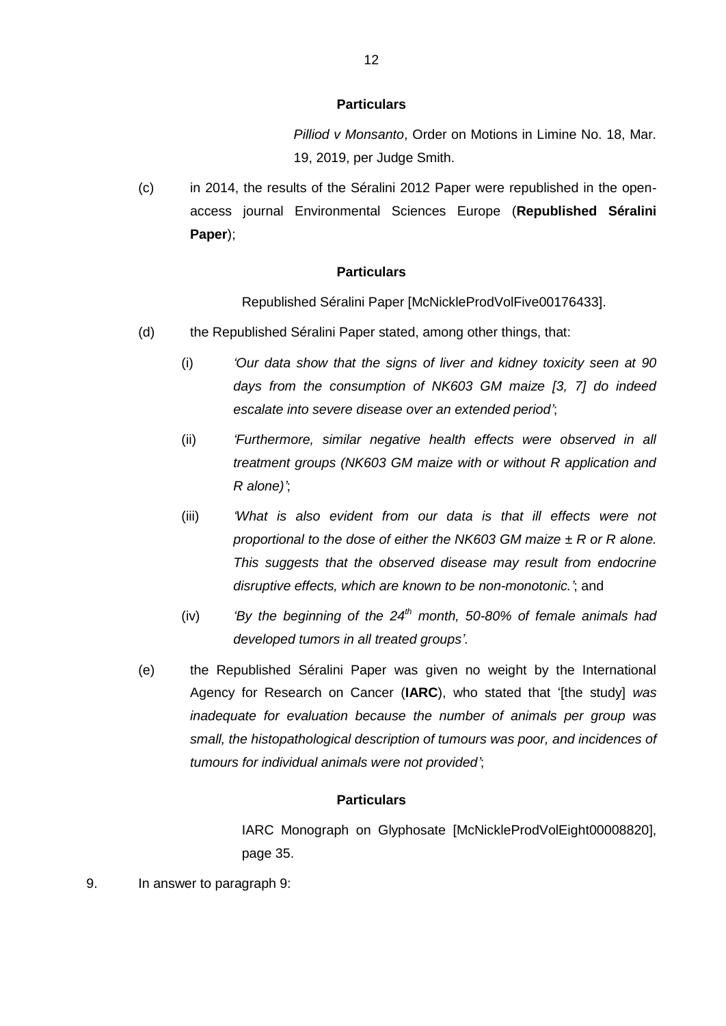*Pilliod v Monsanto*, Order on Motions in Limine No. 18, Mar. 19, 2019, per Judge Smith.

(c) in 2014, the results of the Séralini 2012 Paper were republished in the openaccess journal Environmental Sciences Europe (**Republished Séralini Paper**);

#### **Particulars**

Republished Séralini Paper [McNickleProdVolFive00176433].

- (d) the Republished Séralini Paper stated, among other things, that:
	- (i) *'Our data show that the signs of liver and kidney toxicity seen at 90 days from the consumption of NK603 GM maize [3, 7] do indeed escalate into severe disease over an extended period'*;
	- (ii) *'Furthermore, similar negative health effects were observed in all treatment groups (NK603 GM maize with or without R application and R alone)'*;
	- (iii) *'What is also evident from our data is that ill effects were not proportional to the dose of either the NK603 GM maize ± R or R alone. This suggests that the observed disease may result from endocrine disruptive effects, which are known to be non-monotonic.'*; and
	- (iv) *'By the beginning of the 24th month, 50-80% of female animals had developed tumors in all treated groups'*.
- (e) the Republished Séralini Paper was given no weight by the International Agency for Research on Cancer (**IARC**), who stated that '[the study] *was inadequate for evaluation because the number of animals per group was small, the histopathological description of tumours was poor, and incidences of tumours for individual animals were not provided'*;

### **Particulars**

IARC Monograph on Glyphosate [McNickleProdVolEight00008820], page 35.

9. In answer to paragraph 9: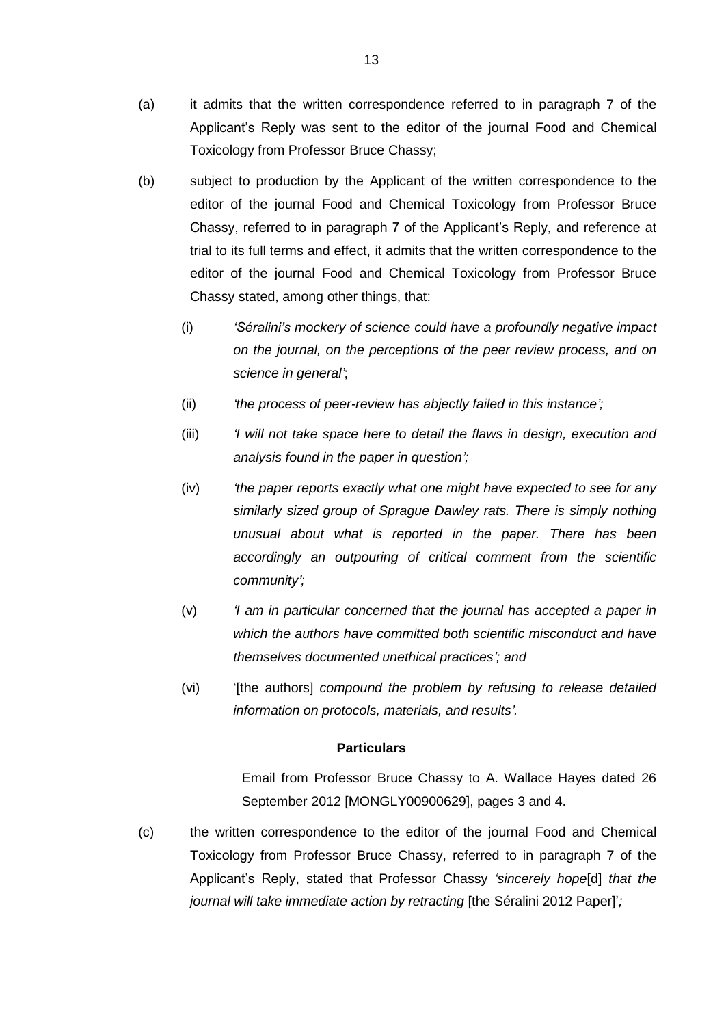- (a) it admits that the written correspondence referred to in paragraph 7 of the Applicant's Reply was sent to the editor of the journal Food and Chemical Toxicology from Professor Bruce Chassy;
- (b) subject to production by the Applicant of the written correspondence to the editor of the journal Food and Chemical Toxicology from Professor Bruce Chassy, referred to in paragraph 7 of the Applicant's Reply, and reference at trial to its full terms and effect, it admits that the written correspondence to the editor of the journal Food and Chemical Toxicology from Professor Bruce Chassy stated, among other things, that:
	- (i) *'Séralini's mockery of science could have a profoundly negative impact on the journal, on the perceptions of the peer review process, and on science in general'*;
	- (ii) *'the process of peer-review has abjectly failed in this instance';*
	- (iii) *'I will not take space here to detail the flaws in design, execution and analysis found in the paper in question';*
	- (iv) *'the paper reports exactly what one might have expected to see for any similarly sized group of Sprague Dawley rats. There is simply nothing unusual about what is reported in the paper. There has been accordingly an outpouring of critical comment from the scientific community';*
	- (v) *'I am in particular concerned that the journal has accepted a paper in which the authors have committed both scientific misconduct and have themselves documented unethical practices'; and*
	- (vi) '[the authors] *compound the problem by refusing to release detailed information on protocols, materials, and results'.*

Email from Professor Bruce Chassy to A. Wallace Hayes dated 26 September 2012 [MONGLY00900629], pages 3 and 4.

(c) the written correspondence to the editor of the journal Food and Chemical Toxicology from Professor Bruce Chassy, referred to in paragraph 7 of the Applicant's Reply, stated that Professor Chassy *'sincerely hope*[d] *that the journal will take immediate action by retracting* [the Séralini 2012 Paper]';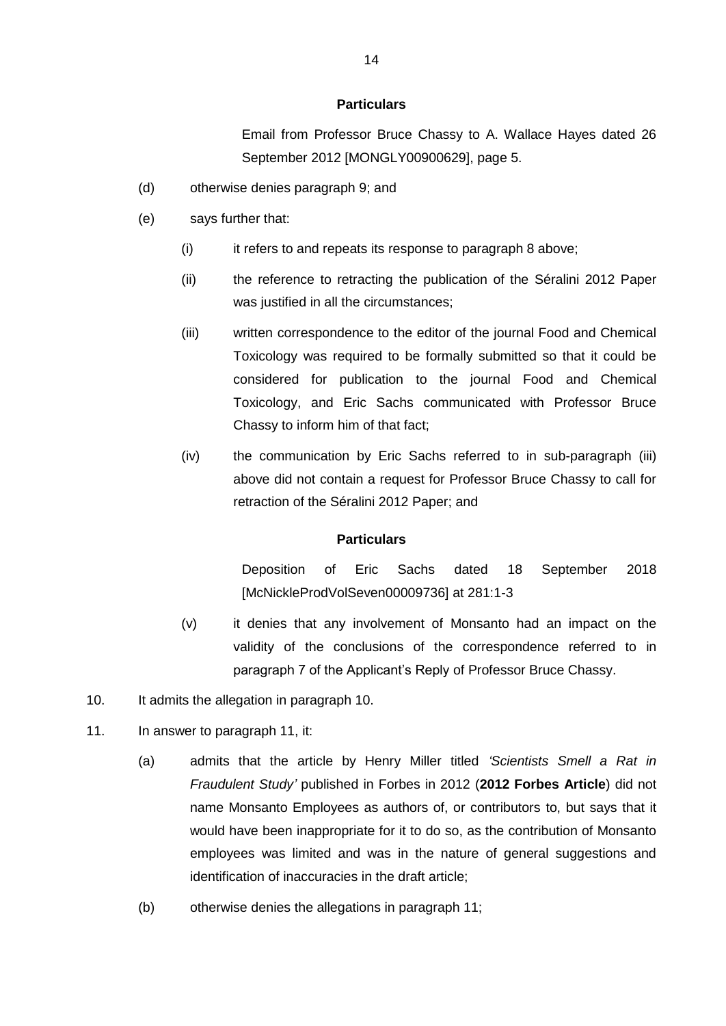Email from Professor Bruce Chassy to A. Wallace Hayes dated 26 September 2012 [MONGLY00900629], page 5.

- (d) otherwise denies paragraph 9; and
- (e) says further that:
	- (i) it refers to and repeats its response to paragraph 8 above;
	- (ii) the reference to retracting the publication of the Séralini 2012 Paper was justified in all the circumstances;
	- (iii) written correspondence to the editor of the journal Food and Chemical Toxicology was required to be formally submitted so that it could be considered for publication to the journal Food and Chemical Toxicology, and Eric Sachs communicated with Professor Bruce Chassy to inform him of that fact;
	- (iv) the communication by Eric Sachs referred to in sub-paragraph (iii) above did not contain a request for Professor Bruce Chassy to call for retraction of the Séralini 2012 Paper; and

# **Particulars**

Deposition of Eric Sachs dated 18 September 2018 [McNickleProdVolSeven00009736] at 281:1-3

- (v) it denies that any involvement of Monsanto had an impact on the validity of the conclusions of the correspondence referred to in paragraph 7 of the Applicant's Reply of Professor Bruce Chassy.
- 10. It admits the allegation in paragraph 10.
- 11. In answer to paragraph 11, it:
	- (a) admits that the article by Henry Miller titled *'Scientists Smell a Rat in Fraudulent Study'* published in Forbes in 2012 (**2012 Forbes Article**) did not name Monsanto Employees as authors of, or contributors to, but says that it would have been inappropriate for it to do so, as the contribution of Monsanto employees was limited and was in the nature of general suggestions and identification of inaccuracies in the draft article;
	- (b) otherwise denies the allegations in paragraph 11;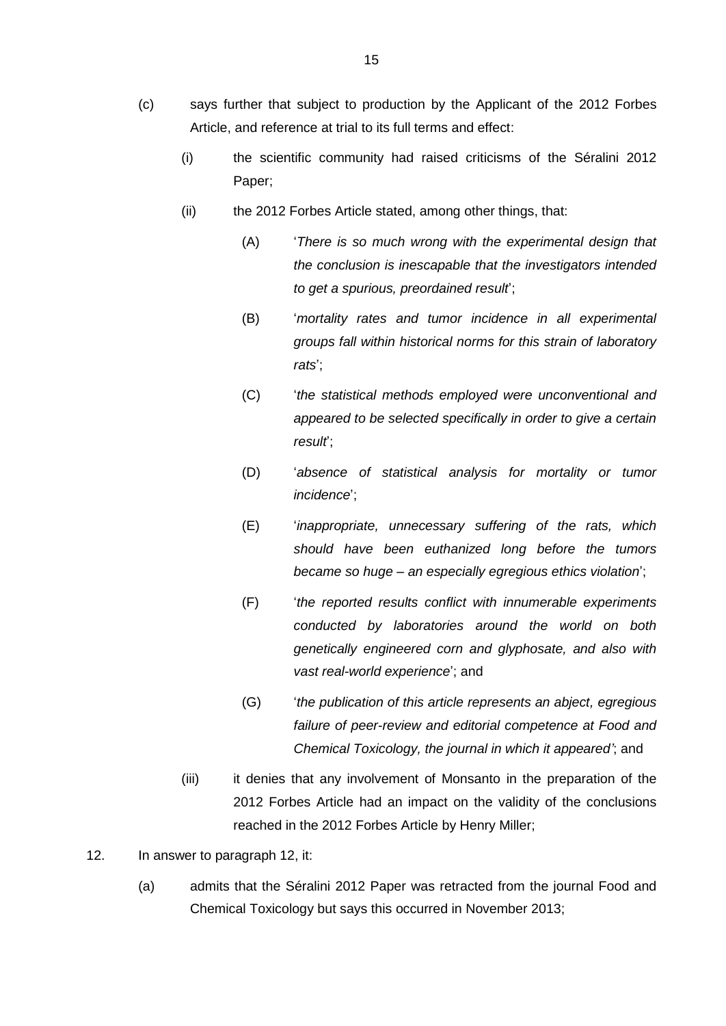- (c) says further that subject to production by the Applicant of the 2012 Forbes Article, and reference at trial to its full terms and effect:
	- (i) the scientific community had raised criticisms of the Séralini 2012 Paper;
	- (ii) the 2012 Forbes Article stated, among other things, that:
		- (A) '*There is so much wrong with the experimental design that the conclusion is inescapable that the investigators intended to get a spurious, preordained result*';
		- (B) '*mortality rates and tumor incidence in all experimental groups fall within historical norms for this strain of laboratory rats*';
		- (C) '*the statistical methods employed were unconventional and appeared to be selected specifically in order to give a certain result*';
		- (D) '*absence of statistical analysis for mortality or tumor incidence*';
		- (E) '*inappropriate, unnecessary suffering of the rats, which should have been euthanized long before the tumors became so huge – an especially egregious ethics violation*';
		- (F) '*the reported results conflict with innumerable experiments conducted by laboratories around the world on both genetically engineered corn and glyphosate, and also with vast real-world experience*'; and
		- (G) '*the publication of this article represents an abject, egregious failure of peer-review and editorial competence at Food and Chemical Toxicology, the journal in which it appeared'*; and
	- (iii) it denies that any involvement of Monsanto in the preparation of the 2012 Forbes Article had an impact on the validity of the conclusions reached in the 2012 Forbes Article by Henry Miller;
- 12. In answer to paragraph 12, it:
	- (a) admits that the Séralini 2012 Paper was retracted from the journal Food and Chemical Toxicology but says this occurred in November 2013;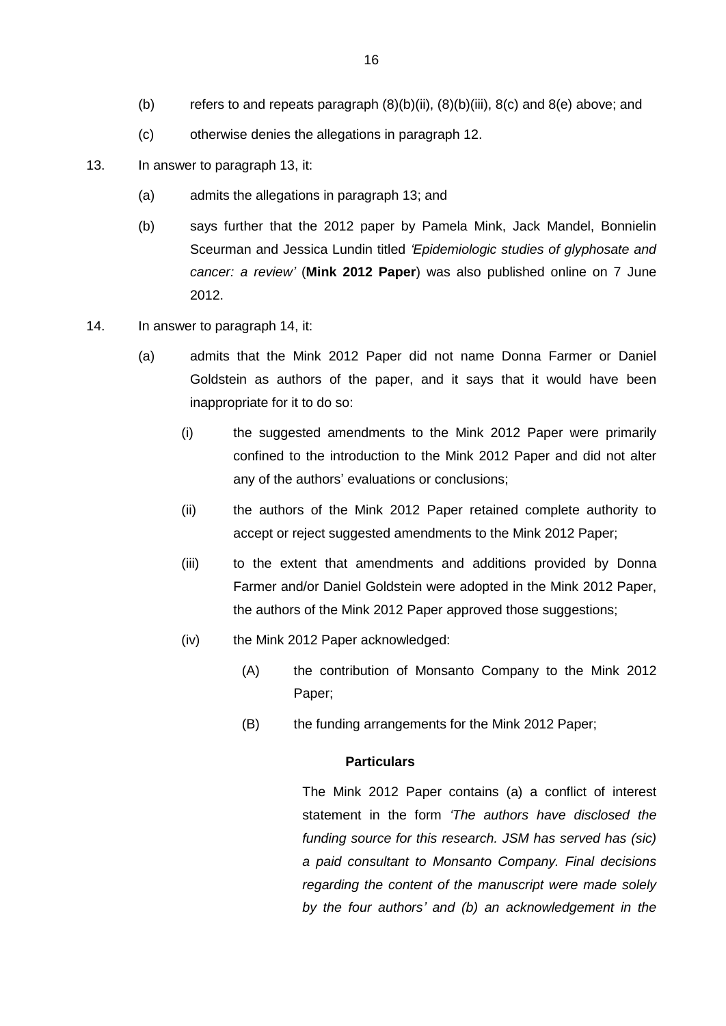- (b) refers to and repeats paragraph  $(8)(b)(ii)$ ,  $(8)(b)(iii)$ ,  $(8)(c)$  and  $(8)(e)$  above; and
- (c) otherwise denies the allegations in paragraph 12.
- 13. In answer to paragraph 13, it:
	- (a) admits the allegations in paragraph 13; and
	- (b) says further that the 2012 paper by Pamela Mink, Jack Mandel, Bonnielin Sceurman and Jessica Lundin titled *'Epidemiologic studies of glyphosate and cancer: a review'* (**Mink 2012 Paper**) was also published online on 7 June 2012.
- <span id="page-16-0"></span>14. In answer to paragraph 14, it:
	- (a) admits that the Mink 2012 Paper did not name Donna Farmer or Daniel Goldstein as authors of the paper, and it says that it would have been inappropriate for it to do so:
		- (i) the suggested amendments to the Mink 2012 Paper were primarily confined to the introduction to the Mink 2012 Paper and did not alter any of the authors' evaluations or conclusions;
		- (ii) the authors of the Mink 2012 Paper retained complete authority to accept or reject suggested amendments to the Mink 2012 Paper;
		- (iii) to the extent that amendments and additions provided by Donna Farmer and/or Daniel Goldstein were adopted in the Mink 2012 Paper, the authors of the Mink 2012 Paper approved those suggestions;
		- (iv) the Mink 2012 Paper acknowledged:
			- (A) the contribution of Monsanto Company to the Mink 2012 Paper;
			- (B) the funding arrangements for the Mink 2012 Paper;

The Mink 2012 Paper contains (a) a conflict of interest statement in the form *'The authors have disclosed the funding source for this research. JSM has served has (sic) a paid consultant to Monsanto Company. Final decisions regarding the content of the manuscript were made solely by the four authors' and (b) an acknowledgement in the*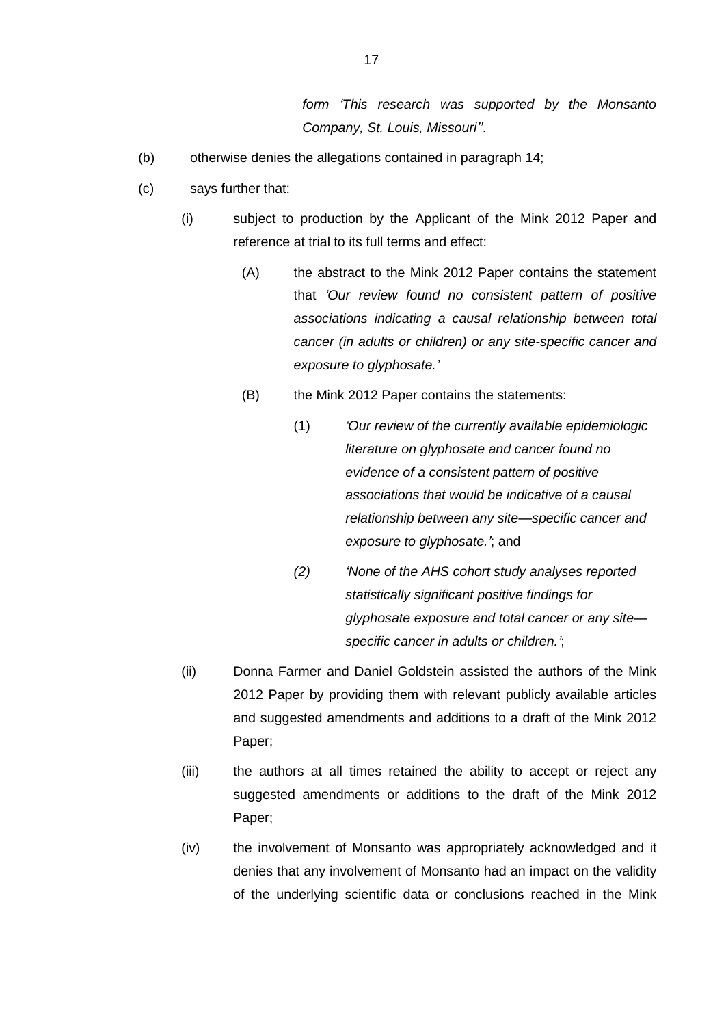*form 'This research was supported by the Monsanto Company, St. Louis, Missouri''*.

- (b) otherwise denies the allegations contained in paragraph 14;
- <span id="page-17-1"></span><span id="page-17-0"></span>(c) says further that:
	- (i) subject to production by the Applicant of the Mink 2012 Paper and reference at trial to its full terms and effect:
		- (A) the abstract to the Mink 2012 Paper contains the statement that *'Our review found no consistent pattern of positive associations indicating a causal relationship between total cancer (in adults or children) or any site-specific cancer and exposure to glyphosate.'*
		- (B) the Mink 2012 Paper contains the statements:
			- (1) *'Our review of the currently available epidemiologic literature on glyphosate and cancer found no evidence of a consistent pattern of positive associations that would be indicative of a causal relationship between any site—specific cancer and exposure to glyphosate.'*; and
			- *(2) 'None of the AHS cohort study analyses reported statistically significant positive findings for glyphosate exposure and total cancer or any site specific cancer in adults or children.'*;
	- (ii) Donna Farmer and Daniel Goldstein assisted the authors of the Mink 2012 Paper by providing them with relevant publicly available articles and suggested amendments and additions to a draft of the Mink 2012 Paper;
	- (iii) the authors at all times retained the ability to accept or reject any suggested amendments or additions to the draft of the Mink 2012 Paper;
	- (iv) the involvement of Monsanto was appropriately acknowledged and it denies that any involvement of Monsanto had an impact on the validity of the underlying scientific data or conclusions reached in the Mink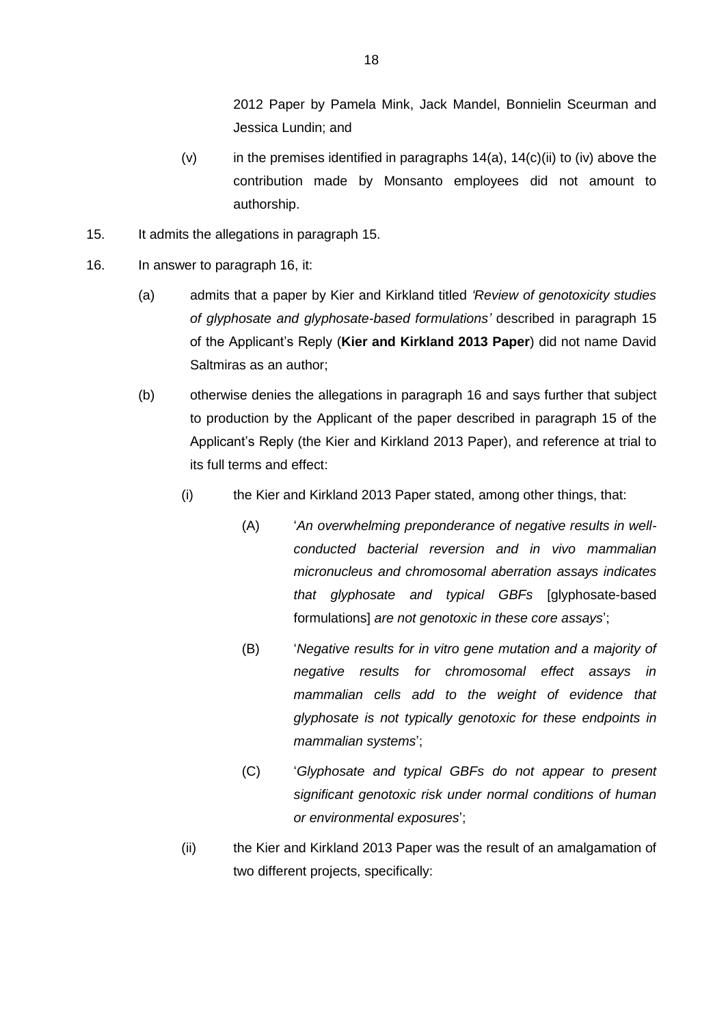2012 Paper by Pamela Mink, Jack Mandel, Bonnielin Sceurman and Jessica Lundin; and

- (v) in the premises identified in paragraphs  $14(a)$ ,  $14(c)$ (ii) to [\(iv\)](#page-17-1) above the contribution made by Monsanto employees did not amount to authorship.
- 15. It admits the allegations in paragraph 15.
- 16. In answer to paragraph 16, it:
	- (a) admits that a paper by Kier and Kirkland titled *'Review of genotoxicity studies of glyphosate and glyphosate-based formulations'* described in paragraph 15 of the Applicant's Reply (**Kier and Kirkland 2013 Paper**) did not name David Saltmiras as an author;
	- (b) otherwise denies the allegations in paragraph 16 and says further that subject to production by the Applicant of the paper described in paragraph 15 of the Applicant's Reply (the Kier and Kirkland 2013 Paper), and reference at trial to its full terms and effect:
		- (i) the Kier and Kirkland 2013 Paper stated, among other things, that:
			- (A) '*An overwhelming preponderance of negative results in wellconducted bacterial reversion and in vivo mammalian micronucleus and chromosomal aberration assays indicates that glyphosate and typical GBFs* [glyphosate-based formulations] *are not genotoxic in these core assays*';
			- (B) '*Negative results for in vitro gene mutation and a majority of negative results for chromosomal effect assays in mammalian cells add to the weight of evidence that glyphosate is not typically genotoxic for these endpoints in mammalian systems*';
			- (C) '*Glyphosate and typical GBFs do not appear to present significant genotoxic risk under normal conditions of human or environmental exposures*';
		- (ii) the Kier and Kirkland 2013 Paper was the result of an amalgamation of two different projects, specifically: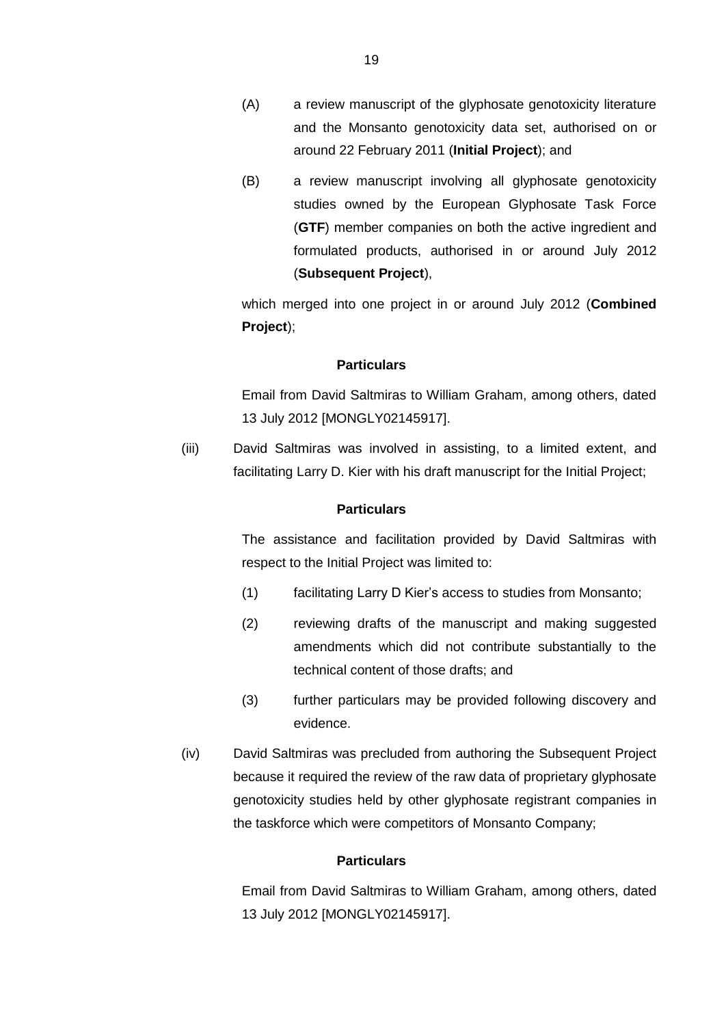- (A) a review manuscript of the glyphosate genotoxicity literature and the Monsanto genotoxicity data set, authorised on or around 22 February 2011 (**Initial Project**); and
- (B) a review manuscript involving all glyphosate genotoxicity studies owned by the European Glyphosate Task Force (**GTF**) member companies on both the active ingredient and formulated products, authorised in or around July 2012 (**Subsequent Project**),

which merged into one project in or around July 2012 (**Combined Project**);

### **Particulars**

Email from David Saltmiras to William Graham, among others, dated 13 July 2012 [MONGLY02145917].

<span id="page-19-0"></span>(iii) David Saltmiras was involved in assisting, to a limited extent, and facilitating Larry D. Kier with his draft manuscript for the Initial Project;

#### **Particulars**

The assistance and facilitation provided by David Saltmiras with respect to the Initial Project was limited to:

- (1) facilitating Larry D Kier's access to studies from Monsanto;
- (2) reviewing drafts of the manuscript and making suggested amendments which did not contribute substantially to the technical content of those drafts; and
- (3) further particulars may be provided following discovery and evidence.
- <span id="page-19-1"></span>(iv) David Saltmiras was precluded from authoring the Subsequent Project because it required the review of the raw data of proprietary glyphosate genotoxicity studies held by other glyphosate registrant companies in the taskforce which were competitors of Monsanto Company;

# **Particulars**

Email from David Saltmiras to William Graham, among others, dated 13 July 2012 [MONGLY02145917].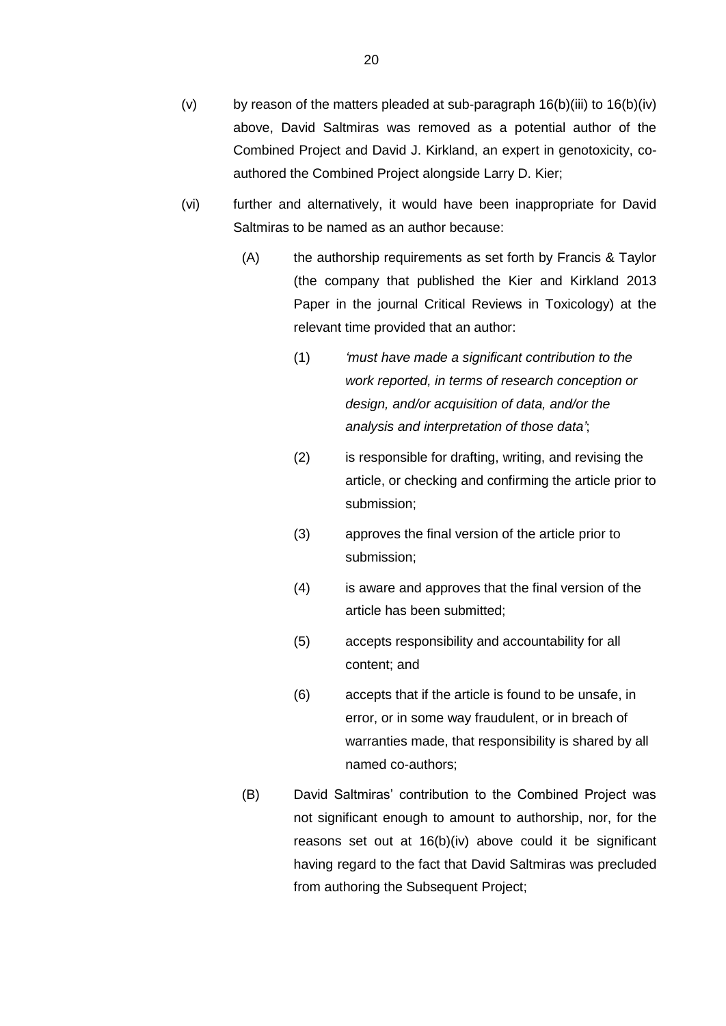- (v) by reason of the matters pleaded at sub-paragraph  $16(b)(iii)$  $16(b)(iii)$  to  $16(b)(iv)$  $16(b)(iv)$ above, David Saltmiras was removed as a potential author of the Combined Project and David J. Kirkland, an expert in genotoxicity, coauthored the Combined Project alongside Larry D. Kier;
- (vi) further and alternatively, it would have been inappropriate for David Saltmiras to be named as an author because:
	- (A) the authorship requirements as set forth by Francis & Taylor (the company that published the Kier and Kirkland 2013 Paper in the journal Critical Reviews in Toxicology) at the relevant time provided that an author:
		- (1) *'must have made a significant contribution to the work reported, in terms of research conception or design, and/or acquisition of data, and/or the analysis and interpretation of those data'*;
		- (2) is responsible for drafting, writing, and revising the article, or checking and confirming the article prior to submission;
		- (3) approves the final version of the article prior to submission;
		- (4) is aware and approves that the final version of the article has been submitted;
		- (5) accepts responsibility and accountability for all content; and
		- (6) accepts that if the article is found to be unsafe, in error, or in some way fraudulent, or in breach of warranties made, that responsibility is shared by all named co-authors;
	- (B) David Saltmiras' contribution to the Combined Project was not significant enough to amount to authorship, nor, for the reasons set out at 16(b[\)\(iv\)](#page-19-1) above could it be significant having regard to the fact that David Saltmiras was precluded from authoring the Subsequent Project;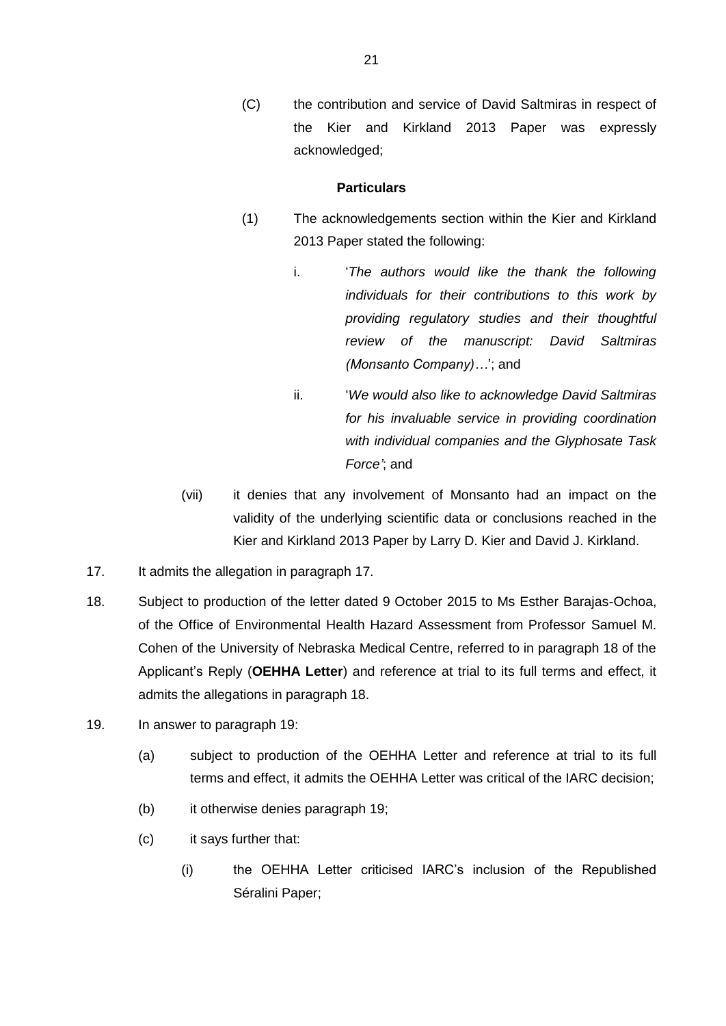(C) the contribution and service of David Saltmiras in respect of the Kier and Kirkland 2013 Paper was expressly acknowledged;

### **Particulars**

- (1) The acknowledgements section within the Kier and Kirkland 2013 Paper stated the following:
	- i. '*The authors would like the thank the following individuals for their contributions to this work by providing regulatory studies and their thoughtful review of the manuscript: David Saltmiras (Monsanto Company)…*'; and
	- ii. '*We would also like to acknowledge David Saltmiras for his invaluable service in providing coordination with individual companies and the Glyphosate Task Force'*; and
- (vii) it denies that any involvement of Monsanto had an impact on the validity of the underlying scientific data or conclusions reached in the Kier and Kirkland 2013 Paper by Larry D. Kier and David J. Kirkland.
- 17. It admits the allegation in paragraph 17.
- 18. Subject to production of the letter dated 9 October 2015 to Ms Esther Barajas-Ochoa, of the Office of Environmental Health Hazard Assessment from Professor Samuel M. Cohen of the University of Nebraska Medical Centre, referred to in paragraph 18 of the Applicant's Reply (**OEHHA Letter**) and reference at trial to its full terms and effect, it admits the allegations in paragraph 18.
- 19. In answer to paragraph 19:
	- (a) subject to production of the OEHHA Letter and reference at trial to its full terms and effect, it admits the OEHHA Letter was critical of the IARC decision;
	- (b) it otherwise denies paragraph 19;
	- (c) it says further that:
		- (i) the OEHHA Letter criticised IARC's inclusion of the Republished Séralini Paper;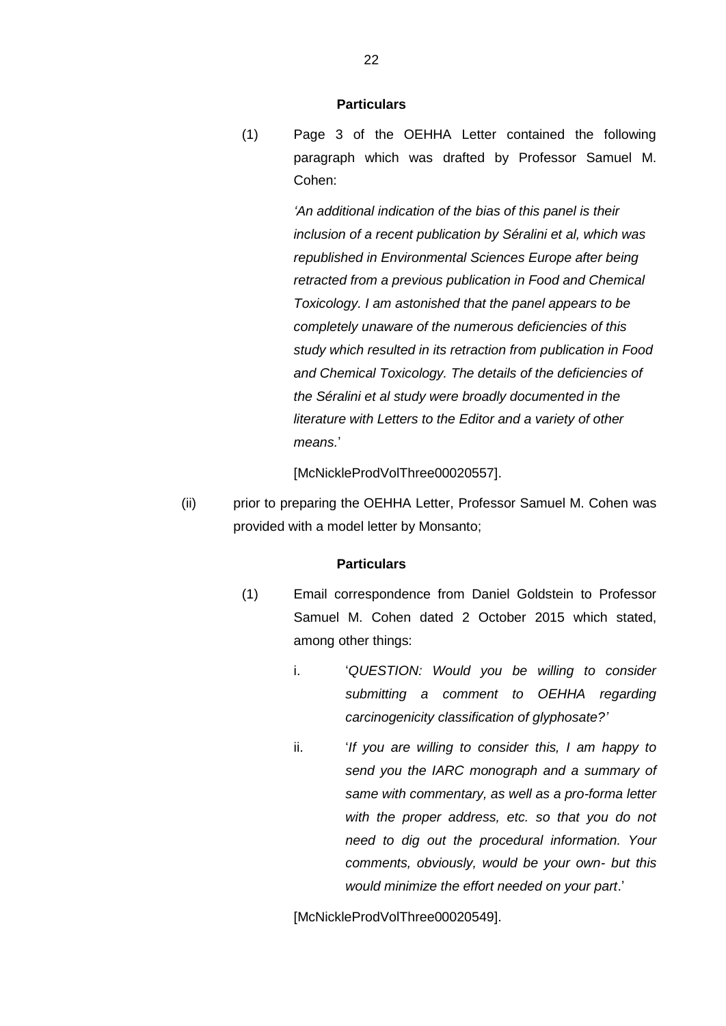(1) Page 3 of the OEHHA Letter contained the following paragraph which was drafted by Professor Samuel M. Cohen:

> *'An additional indication of the bias of this panel is their inclusion of a recent publication by Séralini et al, which was republished in Environmental Sciences Europe after being retracted from a previous publication in Food and Chemical Toxicology. I am astonished that the panel appears to be completely unaware of the numerous deficiencies of this study which resulted in its retraction from publication in Food and Chemical Toxicology. The details of the deficiencies of the Séralini et al study were broadly documented in the literature with Letters to the Editor and a variety of other means.*'

[McNickleProdVolThree00020557].

(ii) prior to preparing the OEHHA Letter, Professor Samuel M. Cohen was provided with a model letter by Monsanto;

### **Particulars**

- (1) Email correspondence from Daniel Goldstein to Professor Samuel M. Cohen dated 2 October 2015 which stated, among other things:
	- i. '*QUESTION: Would you be willing to consider submitting a comment to OEHHA regarding carcinogenicity classification of glyphosate?'*
	- ii. '*If you are willing to consider this, I am happy to send you the IARC monograph and a summary of same with commentary, as well as a pro-forma letter with the proper address, etc. so that you do not need to dig out the procedural information. Your comments, obviously, would be your own- but this would minimize the effort needed on your part*.'

[McNickleProdVolThree00020549].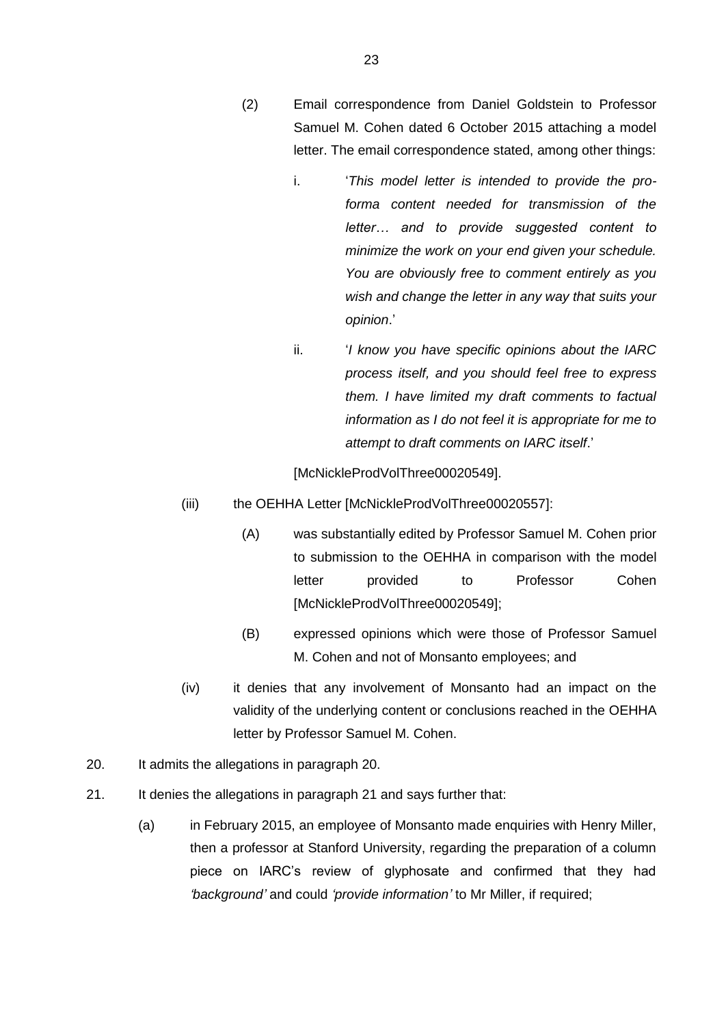- (2) Email correspondence from Daniel Goldstein to Professor Samuel M. Cohen dated 6 October 2015 attaching a model letter. The email correspondence stated, among other things:
	- i. '*This model letter is intended to provide the proforma content needed for transmission of the letter… and to provide suggested content to minimize the work on your end given your schedule. You are obviously free to comment entirely as you wish and change the letter in any way that suits your opinion*.'
	- ii. '*I know you have specific opinions about the IARC process itself, and you should feel free to express them. I have limited my draft comments to factual information as I do not feel it is appropriate for me to attempt to draft comments on IARC itself*.'

[McNickleProdVolThree00020549].

- (iii) the OEHHA Letter [McNickleProdVolThree00020557]:
	- (A) was substantially edited by Professor Samuel M. Cohen prior to submission to the OEHHA in comparison with the model letter provided to Professor Cohen [McNickleProdVolThree00020549];
	- (B) expressed opinions which were those of Professor Samuel M. Cohen and not of Monsanto employees; and
- (iv) it denies that any involvement of Monsanto had an impact on the validity of the underlying content or conclusions reached in the OEHHA letter by Professor Samuel M. Cohen.
- 20. It admits the allegations in paragraph 20.
- 21. It denies the allegations in paragraph 21 and says further that:
	- (a) in February 2015, an employee of Monsanto made enquiries with Henry Miller, then a professor at Stanford University, regarding the preparation of a column piece on IARC's review of glyphosate and confirmed that they had *'background'* and could *'provide information'* to Mr Miller, if required;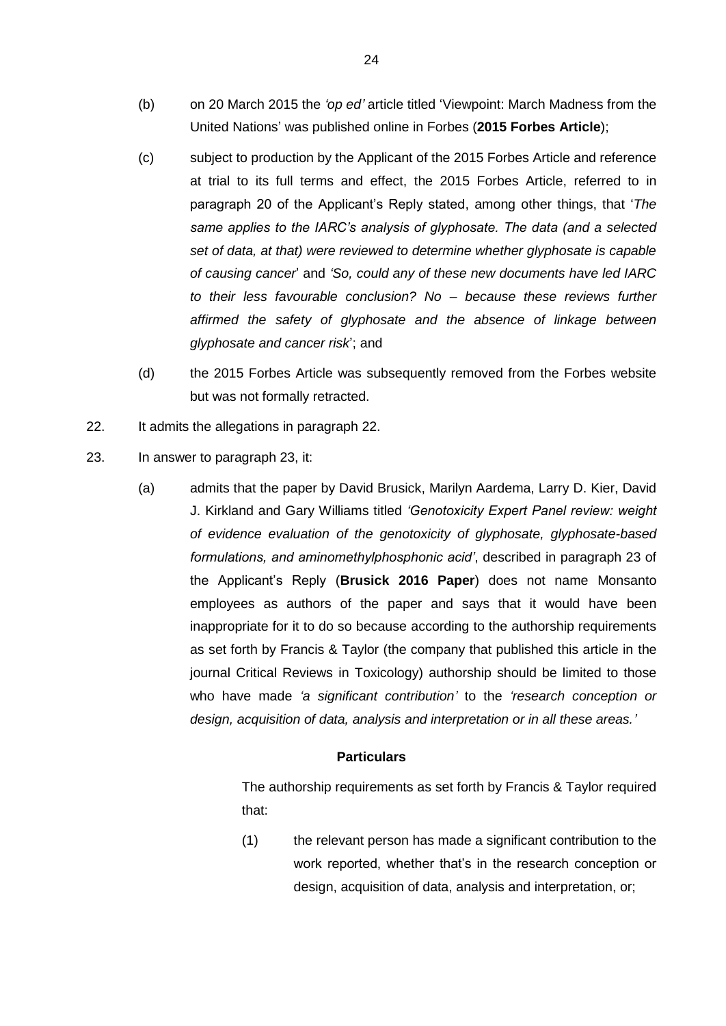- (b) on 20 March 2015 the *'op ed'* article titled 'Viewpoint: March Madness from the United Nations' was published online in Forbes (**2015 Forbes Article**);
- (c) subject to production by the Applicant of the 2015 Forbes Article and reference at trial to its full terms and effect, the 2015 Forbes Article, referred to in paragraph 20 of the Applicant's Reply stated, among other things, that '*The same applies to the IARC's analysis of glyphosate. The data (and a selected set of data, at that) were reviewed to determine whether glyphosate is capable of causing cancer*' and *'So, could any of these new documents have led IARC to their less favourable conclusion? No – because these reviews further affirmed the safety of glyphosate and the absence of linkage between glyphosate and cancer risk*'; and
- (d) the 2015 Forbes Article was subsequently removed from the Forbes website but was not formally retracted.
- 22. It admits the allegations in paragraph 22.
- <span id="page-24-0"></span>23. In answer to paragraph 23, it:
	- (a) admits that the paper by David Brusick, Marilyn Aardema, Larry D. Kier, David J. Kirkland and Gary Williams titled *'Genotoxicity Expert Panel review: weight of evidence evaluation of the genotoxicity of glyphosate, glyphosate-based formulations, and aminomethylphosphonic acid'*, described in paragraph 23 of the Applicant's Reply (**Brusick 2016 Paper**) does not name Monsanto employees as authors of the paper and says that it would have been inappropriate for it to do so because according to the authorship requirements as set forth by Francis & Taylor (the company that published this article in the journal Critical Reviews in Toxicology) authorship should be limited to those who have made *'a significant contribution'* to the *'research conception or design, acquisition of data, analysis and interpretation or in all these areas.'*

The authorship requirements as set forth by Francis & Taylor required that:

(1) the relevant person has made a significant contribution to the work reported, whether that's in the research conception or design, acquisition of data, analysis and interpretation, or;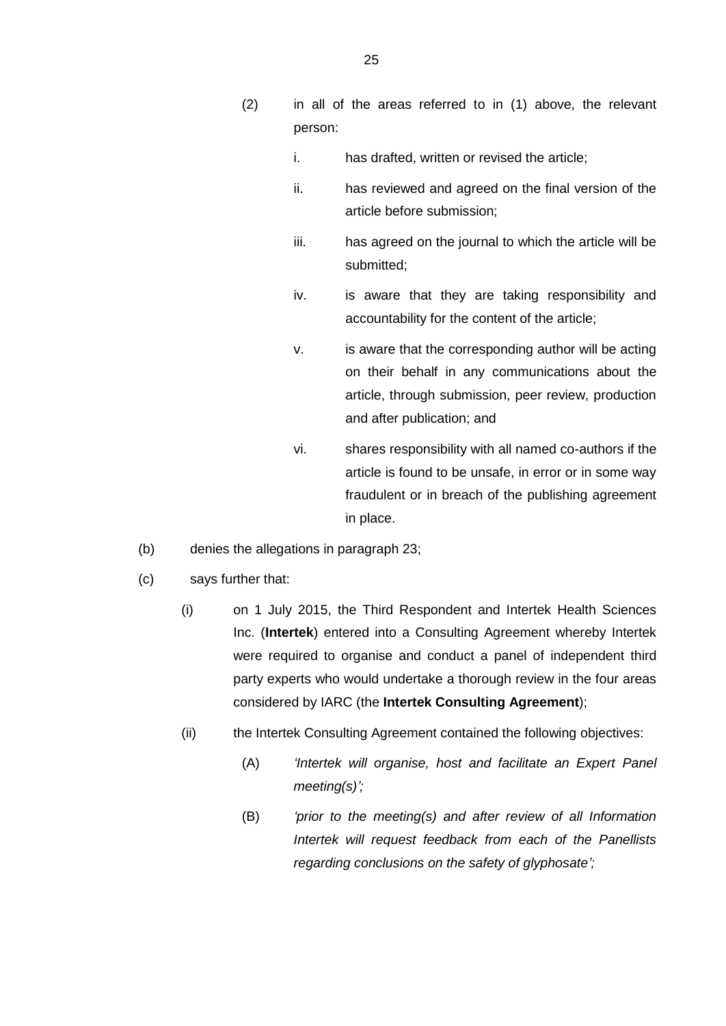- (2) in all of the areas referred to in [\(1\)](#page-27-0) above, the relevant person:
	- i. has drafted, written or revised the article;
	- ii. has reviewed and agreed on the final version of the article before submission;
	- iii. has agreed on the journal to which the article will be submitted;
	- iv. is aware that they are taking responsibility and accountability for the content of the article;
	- v. is aware that the corresponding author will be acting on their behalf in any communications about the article, through submission, peer review, production and after publication; and
	- vi. shares responsibility with all named co-authors if the article is found to be unsafe, in error or in some way fraudulent or in breach of the publishing agreement in place.
- (b) denies the allegations in paragraph 23;
- <span id="page-25-0"></span>(c) says further that:
	- (i) on 1 July 2015, the Third Respondent and Intertek Health Sciences Inc. (**Intertek**) entered into a Consulting Agreement whereby Intertek were required to organise and conduct a panel of independent third party experts who would undertake a thorough review in the four areas considered by IARC (the **Intertek Consulting Agreement**);
	- (ii) the Intertek Consulting Agreement contained the following objectives:
		- (A) *'Intertek will organise, host and facilitate an Expert Panel meeting(s)';*
		- (B) *'prior to the meeting(s) and after review of all Information Intertek will request feedback from each of the Panellists regarding conclusions on the safety of glyphosate';*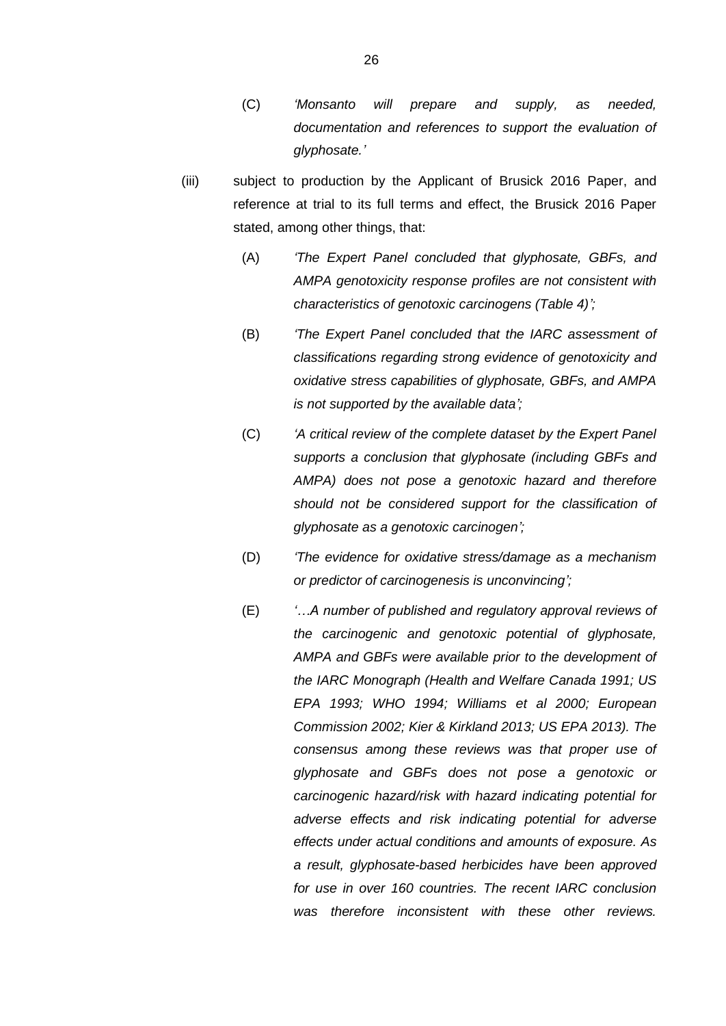- (C) *'Monsanto will prepare and supply, as needed, documentation and references to support the evaluation of glyphosate.'*
- (iii) subject to production by the Applicant of Brusick 2016 Paper, and reference at trial to its full terms and effect, the Brusick 2016 Paper stated, among other things, that:
	- (A) *'The Expert Panel concluded that glyphosate, GBFs, and AMPA genotoxicity response profiles are not consistent with characteristics of genotoxic carcinogens (Table 4)';*
	- (B) *'The Expert Panel concluded that the IARC assessment of classifications regarding strong evidence of genotoxicity and oxidative stress capabilities of glyphosate, GBFs, and AMPA is not supported by the available data';*
	- (C) *'A critical review of the complete dataset by the Expert Panel supports a conclusion that glyphosate (including GBFs and AMPA) does not pose a genotoxic hazard and therefore should not be considered support for the classification of glyphosate as a genotoxic carcinogen';*
	- (D) *'The evidence for oxidative stress/damage as a mechanism or predictor of carcinogenesis is unconvincing';*
	- (E) *'…A number of published and regulatory approval reviews of the carcinogenic and genotoxic potential of glyphosate, AMPA and GBFs were available prior to the development of the IARC Monograph (Health and Welfare Canada 1991; US EPA 1993; WHO 1994; Williams et al 2000; European Commission 2002; Kier & Kirkland 2013; US EPA 2013). The consensus among these reviews was that proper use of glyphosate and GBFs does not pose a genotoxic or carcinogenic hazard/risk with hazard indicating potential for adverse effects and risk indicating potential for adverse effects under actual conditions and amounts of exposure. As a result, glyphosate-based herbicides have been approved for use in over 160 countries. The recent IARC conclusion was therefore inconsistent with these other reviews.*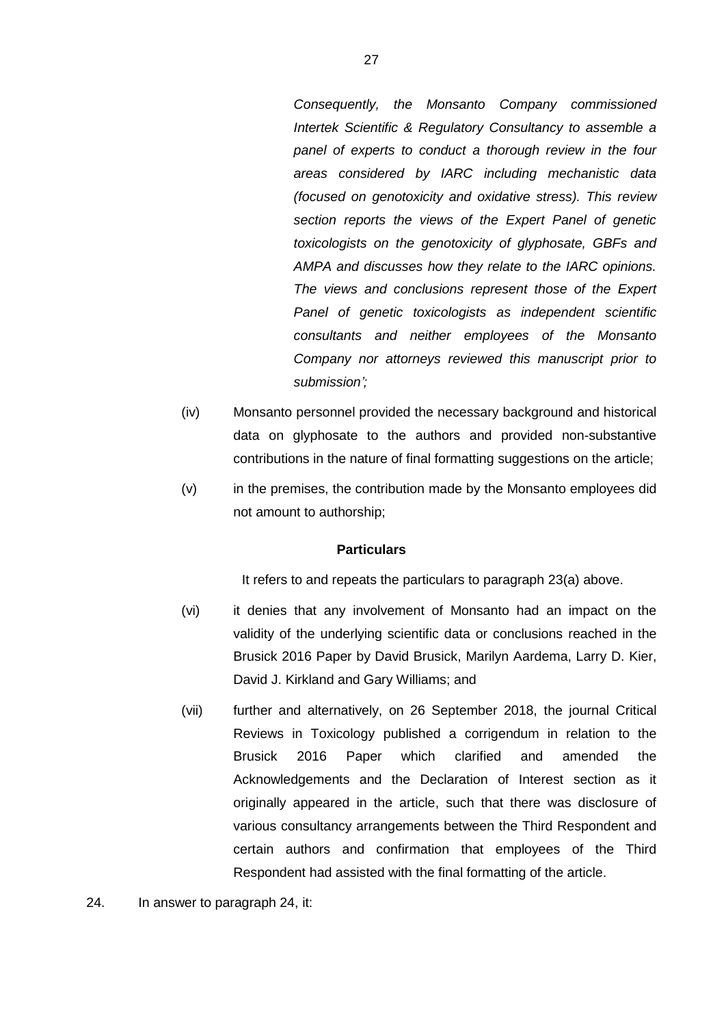*Consequently, the Monsanto Company commissioned Intertek Scientific & Regulatory Consultancy to assemble a panel of experts to conduct a thorough review in the four areas considered by IARC including mechanistic data (focused on genotoxicity and oxidative stress). This review section reports the views of the Expert Panel of genetic toxicologists on the genotoxicity of glyphosate, GBFs and AMPA and discusses how they relate to the IARC opinions. The views and conclusions represent those of the Expert Panel of genetic toxicologists as independent scientific consultants and neither employees of the Monsanto Company nor attorneys reviewed this manuscript prior to submission';*

- (iv) Monsanto personnel provided the necessary background and historical data on glyphosate to the authors and provided non-substantive contributions in the nature of final formatting suggestions on the article;
- (v) in the premises, the contribution made by the Monsanto employees did not amount to authorship;

### <span id="page-27-0"></span>**Particulars**

It refers to and repeats the particulars to paragraph [23\(a\)](#page-24-0) above.

- (vi) it denies that any involvement of Monsanto had an impact on the validity of the underlying scientific data or conclusions reached in the Brusick 2016 Paper by David Brusick, Marilyn Aardema, Larry D. Kier, David J. Kirkland and Gary Williams; and
- (vii) further and alternatively, on 26 September 2018, the journal Critical Reviews in Toxicology published a corrigendum in relation to the Brusick 2016 Paper which clarified and amended the Acknowledgements and the Declaration of Interest section as it originally appeared in the article, such that there was disclosure of various consultancy arrangements between the Third Respondent and certain authors and confirmation that employees of the Third Respondent had assisted with the final formatting of the article.
- 24. In answer to paragraph 24, it: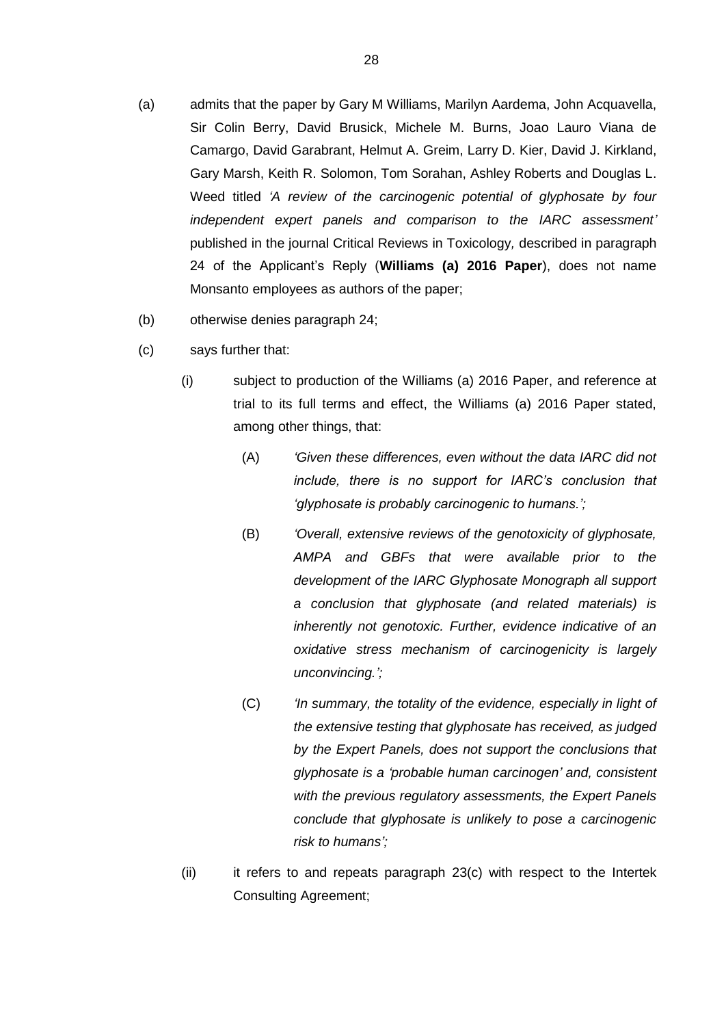- (a) admits that the paper by Gary M Williams, Marilyn Aardema, John Acquavella, Sir Colin Berry, David Brusick, Michele M. Burns, Joao Lauro Viana de Camargo, David Garabrant, Helmut A. Greim, Larry D. Kier, David J. Kirkland, Gary Marsh, Keith R. Solomon, Tom Sorahan, Ashley Roberts and Douglas L. Weed titled *'A review of the carcinogenic potential of glyphosate by four independent expert panels and comparison to the IARC assessment'* published in the journal Critical Reviews in Toxicology*,* described in paragraph 24 of the Applicant's Reply (**Williams (a) 2016 Paper**), does not name Monsanto employees as authors of the paper;
- (b) otherwise denies paragraph 24;
- (c) says further that:
	- (i) subject to production of the Williams (a) 2016 Paper, and reference at trial to its full terms and effect, the Williams (a) 2016 Paper stated, among other things, that:
		- (A) *'Given these differences, even without the data IARC did not include, there is no support for IARC's conclusion that 'glyphosate is probably carcinogenic to humans.';*
		- (B) *'Overall, extensive reviews of the genotoxicity of glyphosate, AMPA and GBFs that were available prior to the development of the IARC Glyphosate Monograph all support a conclusion that glyphosate (and related materials) is inherently not genotoxic. Further, evidence indicative of an oxidative stress mechanism of carcinogenicity is largely unconvincing.';*
		- (C) *'In summary, the totality of the evidence, especially in light of the extensive testing that glyphosate has received, as judged by the Expert Panels, does not support the conclusions that glyphosate is a 'probable human carcinogen' and, consistent with the previous regulatory assessments, the Expert Panels conclude that glyphosate is unlikely to pose a carcinogenic risk to humans';*
	- (ii) it refers to and repeats paragraph [23\(c\)](#page-25-0) with respect to the Intertek Consulting Agreement;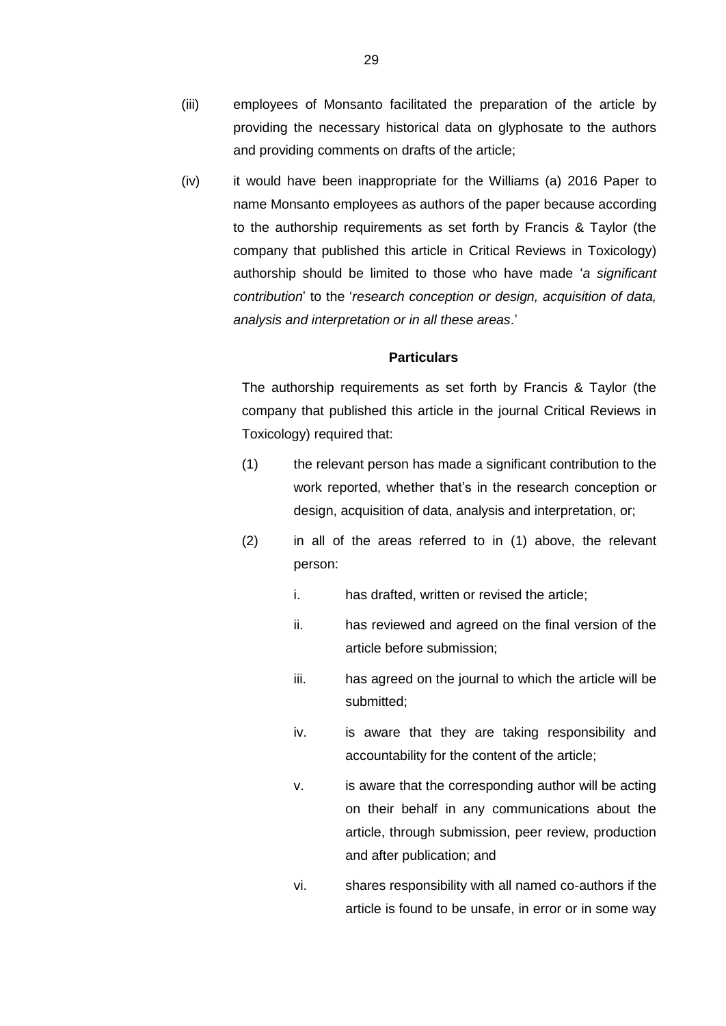- (iii) employees of Monsanto facilitated the preparation of the article by providing the necessary historical data on glyphosate to the authors and providing comments on drafts of the article;
- (iv) it would have been inappropriate for the Williams (a) 2016 Paper to name Monsanto employees as authors of the paper because according to the authorship requirements as set forth by Francis & Taylor (the company that published this article in Critical Reviews in Toxicology) authorship should be limited to those who have made '*a significant contribution*' to the '*research conception or design, acquisition of data, analysis and interpretation or in all these areas*.'

The authorship requirements as set forth by Francis & Taylor (the company that published this article in the journal Critical Reviews in Toxicology) required that:

- <span id="page-29-0"></span>(1) the relevant person has made a significant contribution to the work reported, whether that's in the research conception or design, acquisition of data, analysis and interpretation, or;
- (2) in all of the areas referred to in [\(1\)](#page-29-0) above, the relevant person:
	- i. has drafted, written or revised the article;
	- ii. has reviewed and agreed on the final version of the article before submission;
	- iii. has agreed on the journal to which the article will be submitted;
	- iv. is aware that they are taking responsibility and accountability for the content of the article;
	- v. is aware that the corresponding author will be acting on their behalf in any communications about the article, through submission, peer review, production and after publication; and
	- vi. shares responsibility with all named co-authors if the article is found to be unsafe, in error or in some way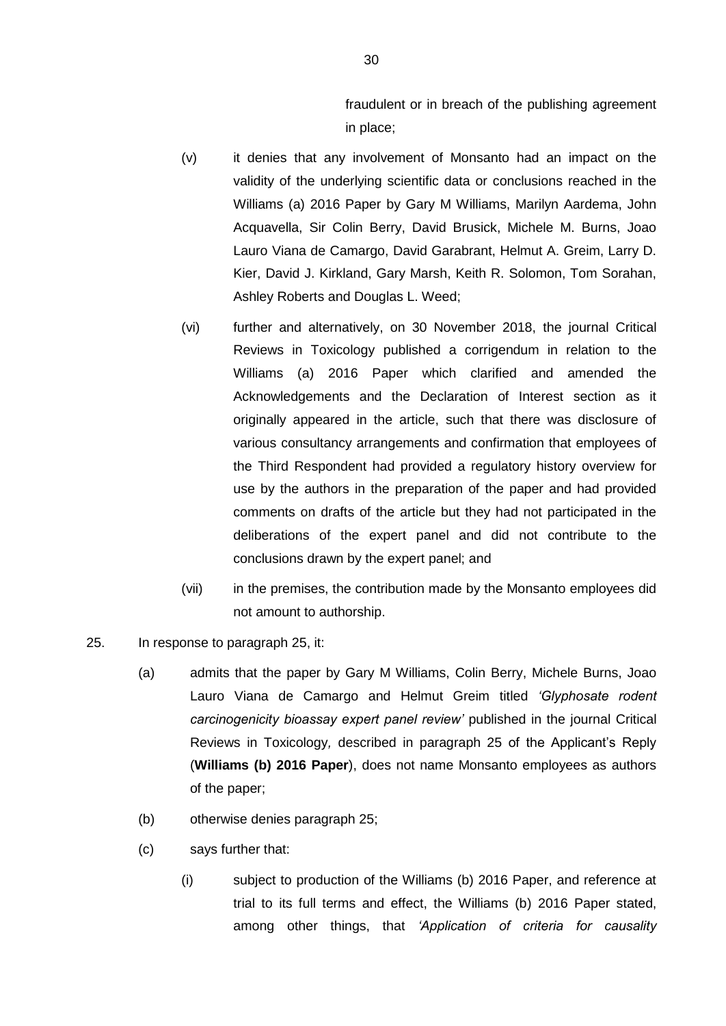fraudulent or in breach of the publishing agreement in place;

- (v) it denies that any involvement of Monsanto had an impact on the validity of the underlying scientific data or conclusions reached in the Williams (a) 2016 Paper by Gary M Williams, Marilyn Aardema, John Acquavella, Sir Colin Berry, David Brusick, Michele M. Burns, Joao Lauro Viana de Camargo, David Garabrant, Helmut A. Greim, Larry D. Kier, David J. Kirkland, Gary Marsh, Keith R. Solomon, Tom Sorahan, Ashley Roberts and Douglas L. Weed;
- (vi) further and alternatively, on 30 November 2018, the journal Critical Reviews in Toxicology published a corrigendum in relation to the Williams (a) 2016 Paper which clarified and amended the Acknowledgements and the Declaration of Interest section as it originally appeared in the article, such that there was disclosure of various consultancy arrangements and confirmation that employees of the Third Respondent had provided a regulatory history overview for use by the authors in the preparation of the paper and had provided comments on drafts of the article but they had not participated in the deliberations of the expert panel and did not contribute to the conclusions drawn by the expert panel; and
- (vii) in the premises, the contribution made by the Monsanto employees did not amount to authorship.
- 25. In response to paragraph 25, it:
	- (a) admits that the paper by Gary M Williams, Colin Berry, Michele Burns, Joao Lauro Viana de Camargo and Helmut Greim titled *'Glyphosate rodent carcinogenicity bioassay expert panel review'* published in the journal Critical Reviews in Toxicology*,* described in paragraph 25 of the Applicant's Reply (**Williams (b) 2016 Paper**), does not name Monsanto employees as authors of the paper;
	- (b) otherwise denies paragraph 25;
	- (c) says further that:
		- (i) subject to production of the Williams (b) 2016 Paper, and reference at trial to its full terms and effect, the Williams (b) 2016 Paper stated, among other things, that *'Application of criteria for causality*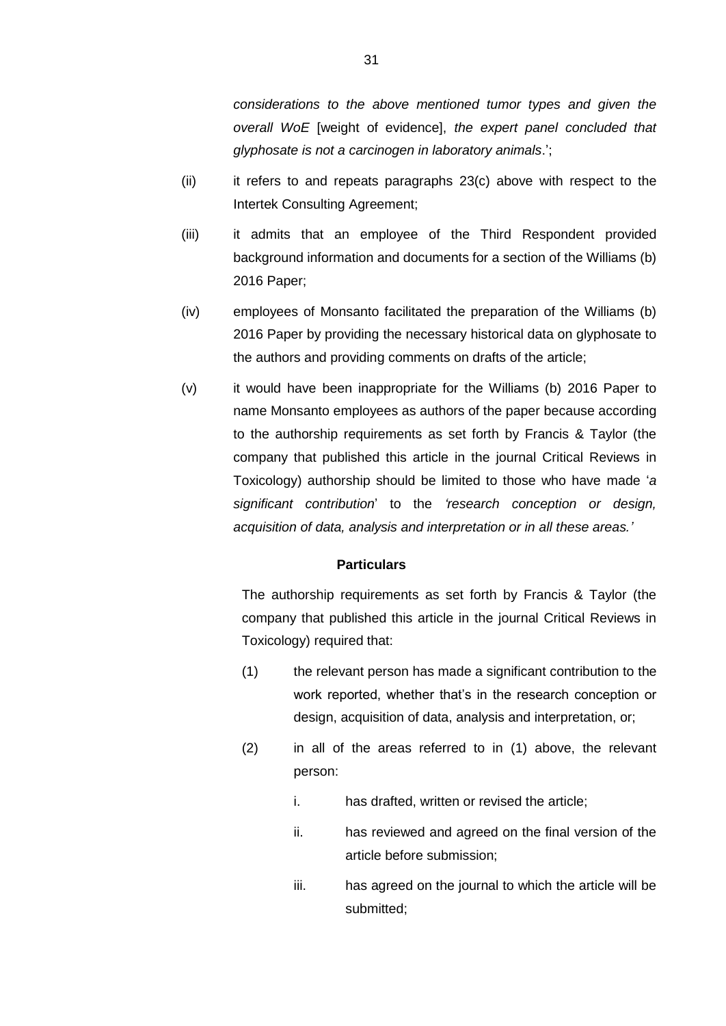*considerations to the above mentioned tumor types and given the overall WoE* [weight of evidence], *the expert panel concluded that glyphosate is not a carcinogen in laboratory animals*.';

- (ii) it refers to and repeats paragraphs [23\(c\)](#page-25-0) above with respect to the Intertek Consulting Agreement;
- (iii) it admits that an employee of the Third Respondent provided background information and documents for a section of the Williams (b) 2016 Paper;
- (iv) employees of Monsanto facilitated the preparation of the Williams (b) 2016 Paper by providing the necessary historical data on glyphosate to the authors and providing comments on drafts of the article;
- (v) it would have been inappropriate for the Williams (b) 2016 Paper to name Monsanto employees as authors of the paper because according to the authorship requirements as set forth by Francis & Taylor (the company that published this article in the journal Critical Reviews in Toxicology) authorship should be limited to those who have made '*a significant contribution*' to the *'research conception or design, acquisition of data, analysis and interpretation or in all these areas.'*

### **Particulars**

The authorship requirements as set forth by Francis & Taylor (the company that published this article in the journal Critical Reviews in Toxicology) required that:

- <span id="page-31-0"></span>(1) the relevant person has made a significant contribution to the work reported, whether that's in the research conception or design, acquisition of data, analysis and interpretation, or;
- (2) in all of the areas referred to in [\(1\)](#page-31-0) above, the relevant person:
	- i. has drafted, written or revised the article;
	- ii. has reviewed and agreed on the final version of the article before submission;
	- iii. has agreed on the journal to which the article will be submitted;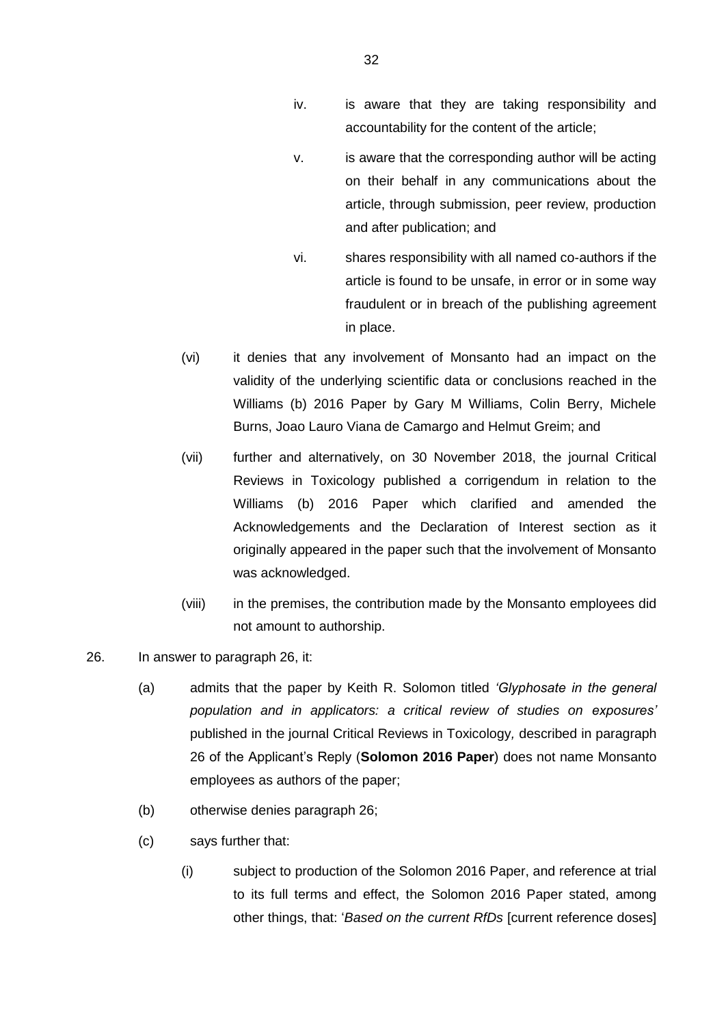- iv. is aware that they are taking responsibility and accountability for the content of the article;
- v. is aware that the corresponding author will be acting on their behalf in any communications about the article, through submission, peer review, production and after publication; and
- vi. shares responsibility with all named co-authors if the article is found to be unsafe, in error or in some way fraudulent or in breach of the publishing agreement in place.
- (vi) it denies that any involvement of Monsanto had an impact on the validity of the underlying scientific data or conclusions reached in the Williams (b) 2016 Paper by Gary M Williams, Colin Berry, Michele Burns, Joao Lauro Viana de Camargo and Helmut Greim; and
- (vii) further and alternatively, on 30 November 2018, the journal Critical Reviews in Toxicology published a corrigendum in relation to the Williams (b) 2016 Paper which clarified and amended the Acknowledgements and the Declaration of Interest section as it originally appeared in the paper such that the involvement of Monsanto was acknowledged.
- (viii) in the premises, the contribution made by the Monsanto employees did not amount to authorship.
- 26. In answer to paragraph 26, it:
	- (a) admits that the paper by Keith R. Solomon titled *'Glyphosate in the general population and in applicators: a critical review of studies on exposures'* published in the journal Critical Reviews in Toxicology*,* described in paragraph 26 of the Applicant's Reply (**Solomon 2016 Paper**) does not name Monsanto employees as authors of the paper;
	- (b) otherwise denies paragraph 26;
	- (c) says further that:
		- (i) subject to production of the Solomon 2016 Paper, and reference at trial to its full terms and effect, the Solomon 2016 Paper stated, among other things, that: '*Based on the current RfDs* [current reference doses]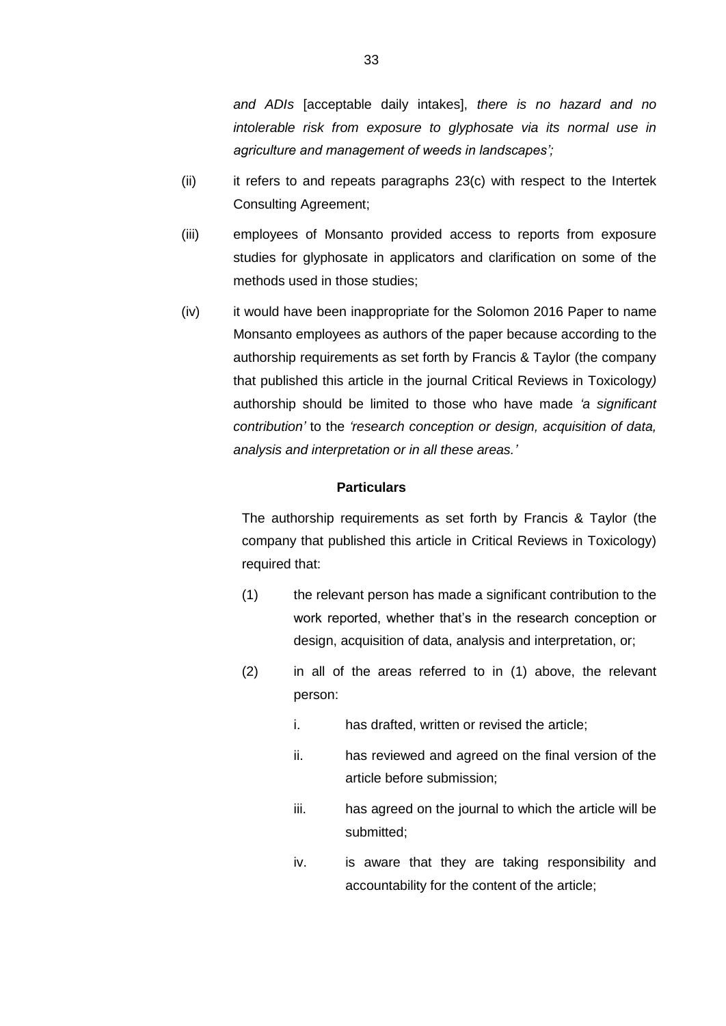*and ADIs* [acceptable daily intakes], *there is no hazard and no intolerable risk from exposure to glyphosate via its normal use in agriculture and management of weeds in landscapes';*

- (ii) it refers to and repeats paragraphs [23\(c\)](#page-25-0) with respect to the Intertek Consulting Agreement;
- (iii) employees of Monsanto provided access to reports from exposure studies for glyphosate in applicators and clarification on some of the methods used in those studies;
- (iv) it would have been inappropriate for the Solomon 2016 Paper to name Monsanto employees as authors of the paper because according to the authorship requirements as set forth by Francis & Taylor (the company that published this article in the journal Critical Reviews in Toxicology*)* authorship should be limited to those who have made *'a significant contribution'* to the *'research conception or design, acquisition of data, analysis and interpretation or in all these areas.'*

# **Particulars**

The authorship requirements as set forth by Francis & Taylor (the company that published this article in Critical Reviews in Toxicology) required that:

- <span id="page-33-0"></span>(1) the relevant person has made a significant contribution to the work reported, whether that's in the research conception or design, acquisition of data, analysis and interpretation, or;
- (2) in all of the areas referred to in [\(1\)](#page-33-0) above, the relevant person:
	- i. has drafted, written or revised the article;
	- ii. has reviewed and agreed on the final version of the article before submission;
	- iii. has agreed on the journal to which the article will be submitted;
	- iv. is aware that they are taking responsibility and accountability for the content of the article;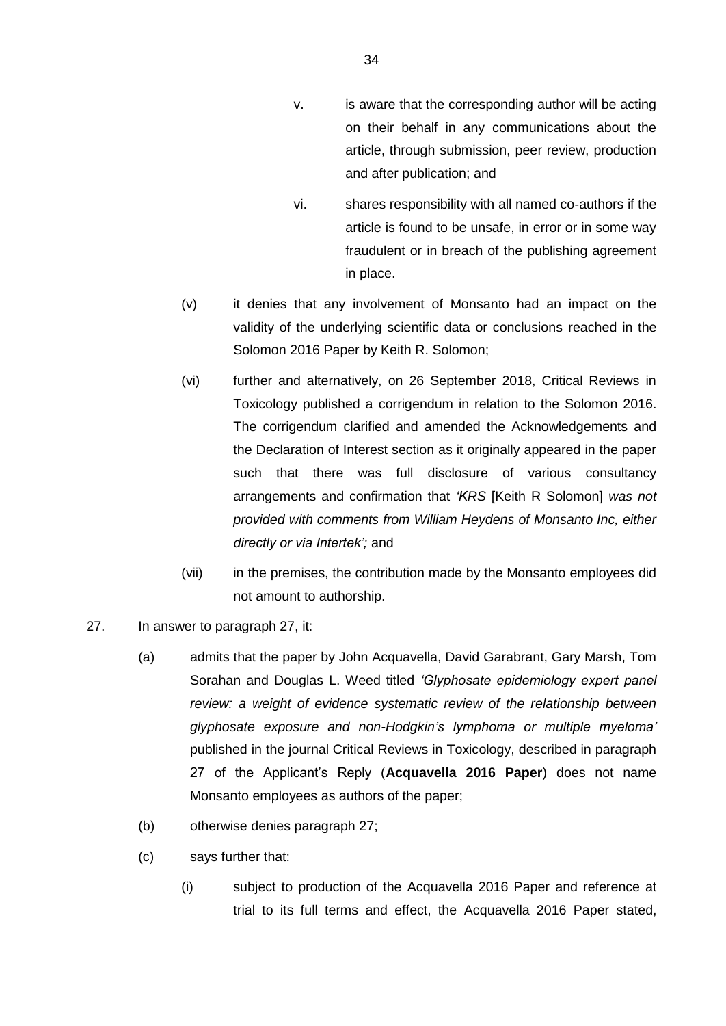- v. is aware that the corresponding author will be acting on their behalf in any communications about the article, through submission, peer review, production and after publication; and
- vi. shares responsibility with all named co-authors if the article is found to be unsafe, in error or in some way fraudulent or in breach of the publishing agreement in place.
- (v) it denies that any involvement of Monsanto had an impact on the validity of the underlying scientific data or conclusions reached in the Solomon 2016 Paper by Keith R. Solomon;
- (vi) further and alternatively, on 26 September 2018, Critical Reviews in Toxicology published a corrigendum in relation to the Solomon 2016. The corrigendum clarified and amended the Acknowledgements and the Declaration of Interest section as it originally appeared in the paper such that there was full disclosure of various consultancy arrangements and confirmation that *'KRS* [Keith R Solomon] *was not provided with comments from William Heydens of Monsanto Inc, either directly or via Intertek';* and
- (vii) in the premises, the contribution made by the Monsanto employees did not amount to authorship.
- 27. In answer to paragraph 27, it:
	- (a) admits that the paper by John Acquavella, David Garabrant, Gary Marsh, Tom Sorahan and Douglas L. Weed titled *'Glyphosate epidemiology expert panel review: a weight of evidence systematic review of the relationship between glyphosate exposure and non-Hodgkin's lymphoma or multiple myeloma'* published in the journal Critical Reviews in Toxicology, described in paragraph 27 of the Applicant's Reply (**Acquavella 2016 Paper**) does not name Monsanto employees as authors of the paper;
	- (b) otherwise denies paragraph 27;
	- (c) says further that:
		- (i) subject to production of the Acquavella 2016 Paper and reference at trial to its full terms and effect, the Acquavella 2016 Paper stated,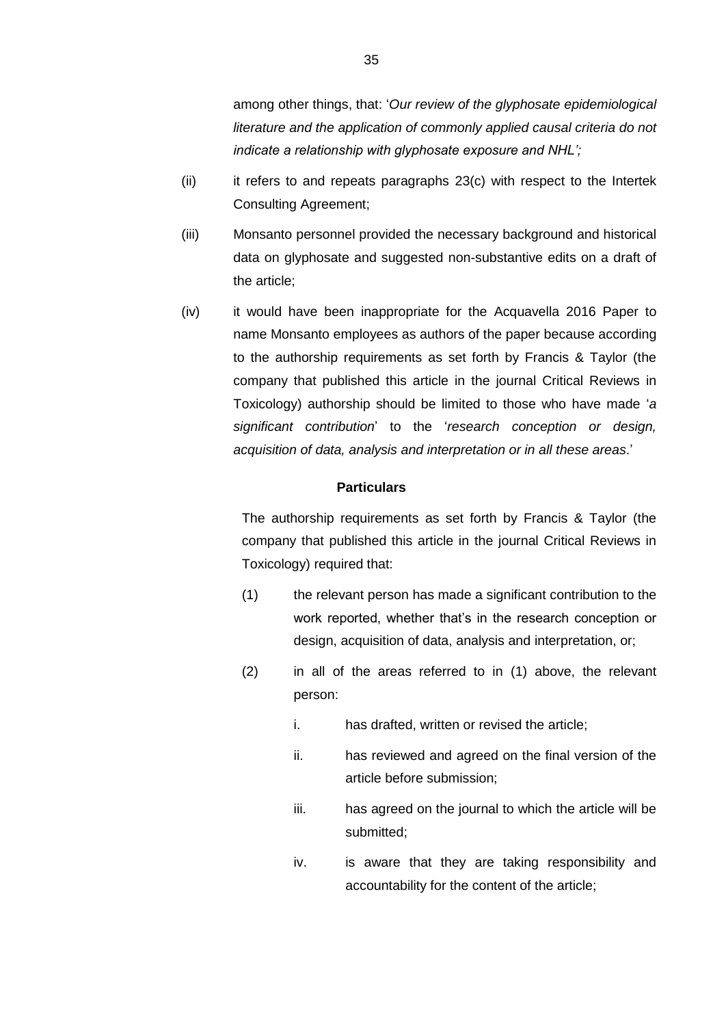among other things, that: '*Our review of the glyphosate epidemiological literature and the application of commonly applied causal criteria do not indicate a relationship with glyphosate exposure and NHL';*

- $(iii)$  it refers to and repeats paragraphs  $23(c)$  with respect to the Intertek Consulting Agreement;
- (iii) Monsanto personnel provided the necessary background and historical data on glyphosate and suggested non-substantive edits on a draft of the article;
- (iv) it would have been inappropriate for the Acquavella 2016 Paper to name Monsanto employees as authors of the paper because according to the authorship requirements as set forth by Francis & Taylor (the company that published this article in the journal Critical Reviews in Toxicology) authorship should be limited to those who have made '*a significant contribution*' to the '*research conception or design, acquisition of data, analysis and interpretation or in all these areas*.'

# **Particulars**

The authorship requirements as set forth by Francis & Taylor (the company that published this article in the journal Critical Reviews in Toxicology) required that:

- <span id="page-35-0"></span>(1) the relevant person has made a significant contribution to the work reported, whether that's in the research conception or design, acquisition of data, analysis and interpretation, or;
- (2) in all of the areas referred to in [\(1\)](#page-35-0) above, the relevant person:
	- i. has drafted, written or revised the article;
	- ii. has reviewed and agreed on the final version of the article before submission;
	- iii. has agreed on the journal to which the article will be submitted;
	- iv. is aware that they are taking responsibility and accountability for the content of the article;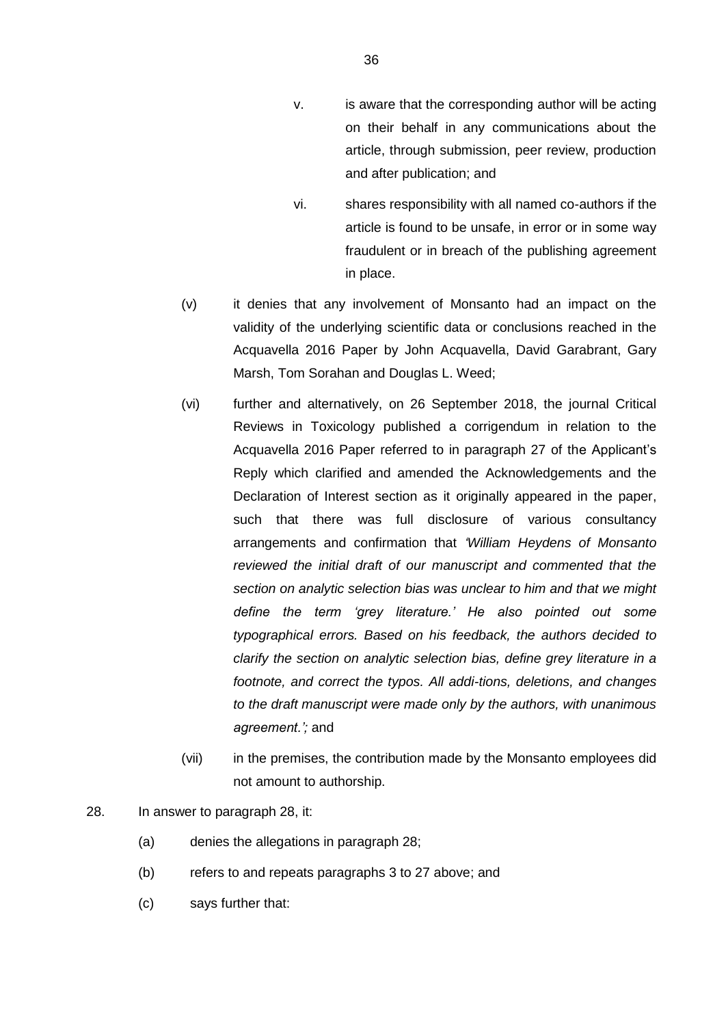- v. is aware that the corresponding author will be acting on their behalf in any communications about the article, through submission, peer review, production and after publication; and
- vi. shares responsibility with all named co-authors if the article is found to be unsafe, in error or in some way fraudulent or in breach of the publishing agreement in place.
- (v) it denies that any involvement of Monsanto had an impact on the validity of the underlying scientific data or conclusions reached in the Acquavella 2016 Paper by John Acquavella, David Garabrant, Gary Marsh, Tom Sorahan and Douglas L. Weed;
- (vi) further and alternatively, on 26 September 2018, the journal Critical Reviews in Toxicology published a corrigendum in relation to the Acquavella 2016 Paper referred to in paragraph 27 of the Applicant's Reply which clarified and amended the Acknowledgements and the Declaration of Interest section as it originally appeared in the paper, such that there was full disclosure of various consultancy arrangements and confirmation that *'William Heydens of Monsanto reviewed the initial draft of our manuscript and commented that the section on analytic selection bias was unclear to him and that we might define the term 'grey literature.' He also pointed out some typographical errors. Based on his feedback, the authors decided to clarify the section on analytic selection bias, define grey literature in a footnote, and correct the typos. All addi-tions, deletions, and changes to the draft manuscript were made only by the authors, with unanimous agreement.';* and
- (vii) in the premises, the contribution made by the Monsanto employees did not amount to authorship.

# 28. In answer to paragraph 28, it:

- (a) denies the allegations in paragraph 28;
- (b) refers to and repeats paragraphs 3 to 27 above; and
- (c) says further that: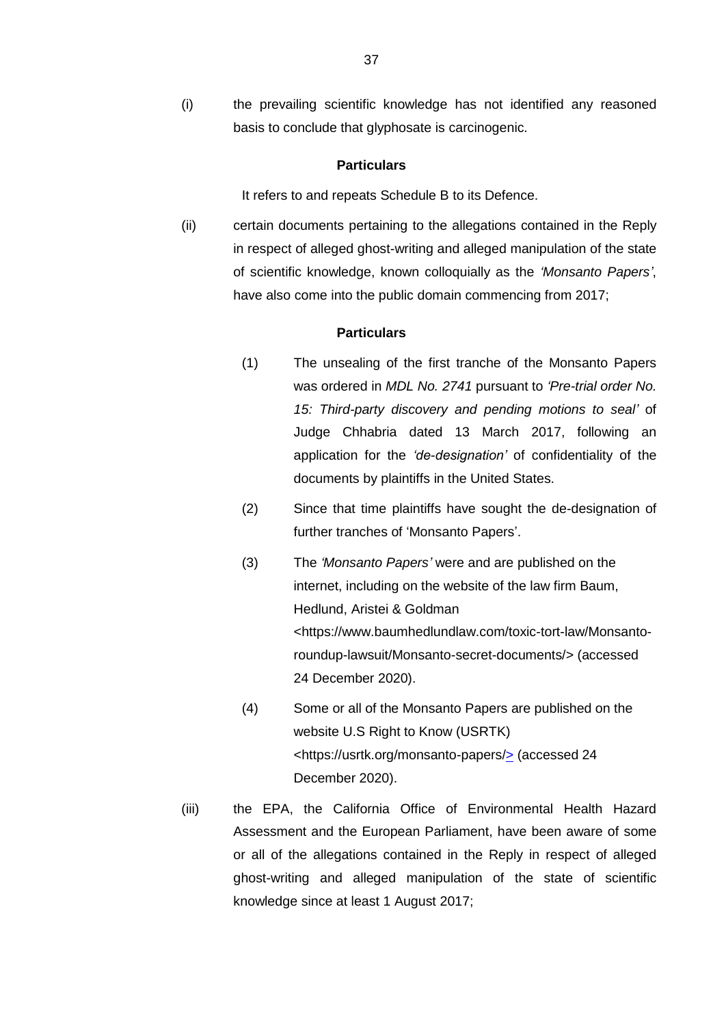(i) the prevailing scientific knowledge has not identified any reasoned basis to conclude that glyphosate is carcinogenic.

### **Particulars**

It refers to and repeats Schedule B to its Defence.

(ii) certain documents pertaining to the allegations contained in the Reply in respect of alleged ghost-writing and alleged manipulation of the state of scientific knowledge, known colloquially as the *'Monsanto Papers'*, have also come into the public domain commencing from 2017;

#### **Particulars**

- (1) The unsealing of the first tranche of the Monsanto Papers was ordered in *MDL No. 2741* pursuant to *'Pre-trial order No. 15: Third-party discovery and pending motions to seal'* of Judge Chhabria dated 13 March 2017, following an application for the *'de-designation'* of confidentiality of the documents by plaintiffs in the United States.
- (2) Since that time plaintiffs have sought the de-designation of further tranches of 'Monsanto Papers'.
- (3) The *'Monsanto Papers'* were and are published on the internet, including on the website of the law firm Baum, Hedlund, Aristei & Goldman <https://www.baumhedlundlaw.com/toxic-tort-law/Monsantoroundup-lawsuit/Monsanto-secret-documents/> (accessed 24 December 2020).
- (4) Some or all of the Monsanto Papers are published on the website U.S Right to Know (USRTK) <https://usrtk.org/monsanto-papers/> (accessed 24 December 2020).
- (iii) the EPA, the California Office of Environmental Health Hazard Assessment and the European Parliament, have been aware of some or all of the allegations contained in the Reply in respect of alleged ghost-writing and alleged manipulation of the state of scientific knowledge since at least 1 August 2017;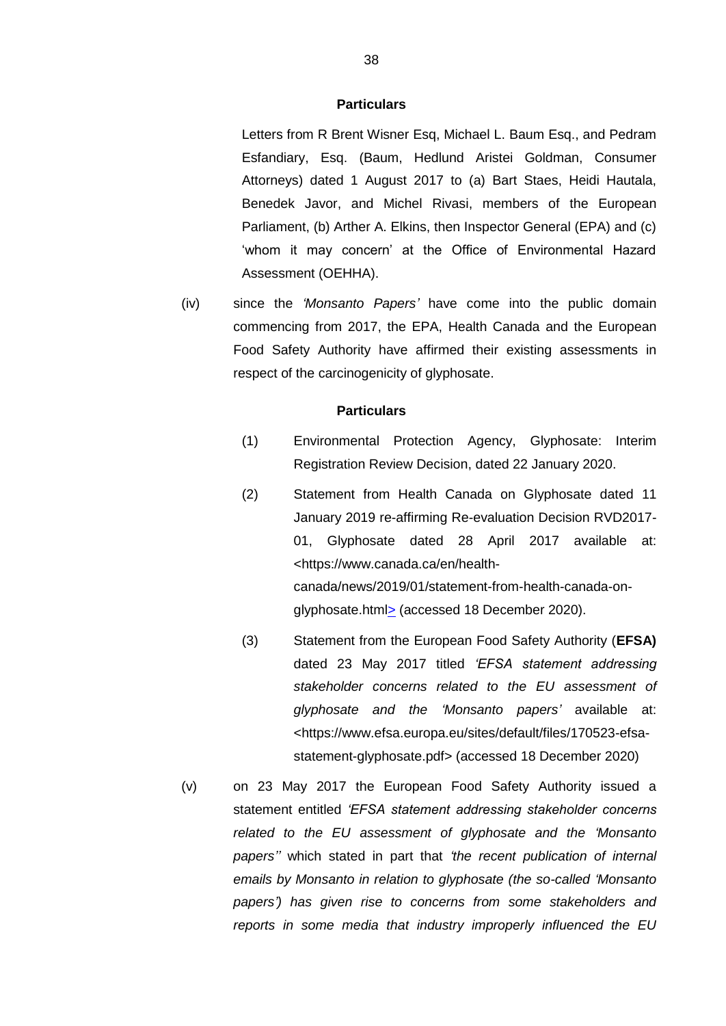Letters from R Brent Wisner Esq, Michael L. Baum Esq., and Pedram Esfandiary, Esq. (Baum, Hedlund Aristei Goldman, Consumer Attorneys) dated 1 August 2017 to (a) Bart Staes, Heidi Hautala, Benedek Javor, and Michel Rivasi, members of the European Parliament, (b) Arther A. Elkins, then Inspector General (EPA) and (c) 'whom it may concern' at the Office of Environmental Hazard Assessment (OEHHA).

(iv) since the *'Monsanto Papers'* have come into the public domain commencing from 2017, the EPA, Health Canada and the European Food Safety Authority have affirmed their existing assessments in respect of the carcinogenicity of glyphosate.

#### **Particulars**

- (1) Environmental Protection Agency, Glyphosate: Interim Registration Review Decision, dated 22 January 2020.
- (2) Statement from Health Canada on Glyphosate dated 11 January 2019 re-affirming Re-evaluation Decision RVD2017- 01, Glyphosate dated 28 April 2017 available at: <https://www.canada.ca/en/healthcanada/news/2019/01/statement-from-health-canada-onglyphosate.html> (accessed 18 December 2020).
- (3) Statement from the European Food Safety Authority (**EFSA)** dated 23 May 2017 titled *'EFSA statement addressing stakeholder concerns related to the EU assessment of glyphosate and the 'Monsanto papers'* available at: <https://www.efsa.europa.eu/sites/default/files/170523-efsastatement-glyphosate.pdf> (accessed 18 December 2020)
- (v) on 23 May 2017 the European Food Safety Authority issued a statement entitled *'EFSA statement addressing stakeholder concerns related to the EU assessment of glyphosate and the 'Monsanto papers''* which stated in part that *'the recent publication of internal emails by Monsanto in relation to glyphosate (the so-called 'Monsanto papers') has given rise to concerns from some stakeholders and reports in some media that industry improperly influenced the EU*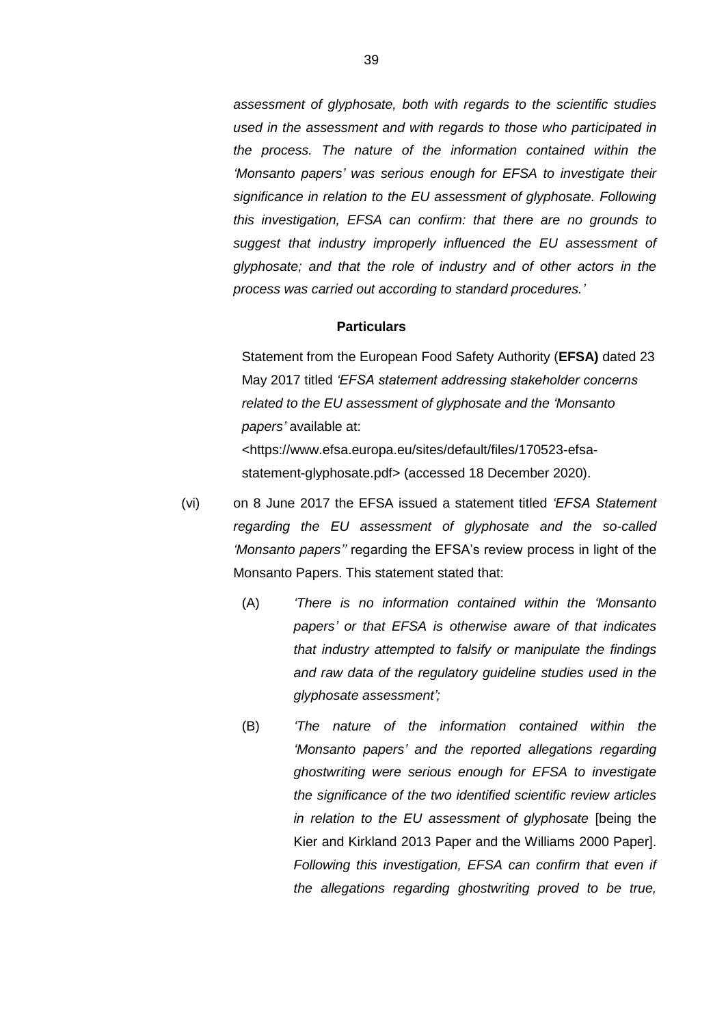*assessment of glyphosate, both with regards to the scientific studies used in the assessment and with regards to those who participated in the process. The nature of the information contained within the 'Monsanto papers' was serious enough for EFSA to investigate their significance in relation to the EU assessment of glyphosate. Following this investigation, EFSA can confirm: that there are no grounds to suggest that industry improperly influenced the EU assessment of glyphosate; and that the role of industry and of other actors in the process was carried out according to standard procedures.'*

# **Particulars**

Statement from the European Food Safety Authority (**EFSA)** dated 23 May 2017 titled *'EFSA statement addressing stakeholder concerns related to the EU assessment of glyphosate and the 'Monsanto papers'* available at: <https://www.efsa.europa.eu/sites/default/files/170523-efsa-

statement-glyphosate.pdf> (accessed 18 December 2020).

- (vi) on 8 June 2017 the EFSA issued a statement titled *'EFSA Statement regarding the EU assessment of glyphosate and the so-called 'Monsanto papers''* regarding the EFSA's review process in light of the Monsanto Papers. This statement stated that:
	- (A) *'There is no information contained within the 'Monsanto papers' or that EFSA is otherwise aware of that indicates that industry attempted to falsify or manipulate the findings and raw data of the regulatory guideline studies used in the glyphosate assessment';*
	- (B) *'The nature of the information contained within the 'Monsanto papers' and the reported allegations regarding ghostwriting were serious enough for EFSA to investigate the significance of the two identified scientific review articles in relation to the EU assessment of glyphosate* [being the Kier and Kirkland 2013 Paper and the Williams 2000 Paper]. *Following this investigation, EFSA can confirm that even if the allegations regarding ghostwriting proved to be true,*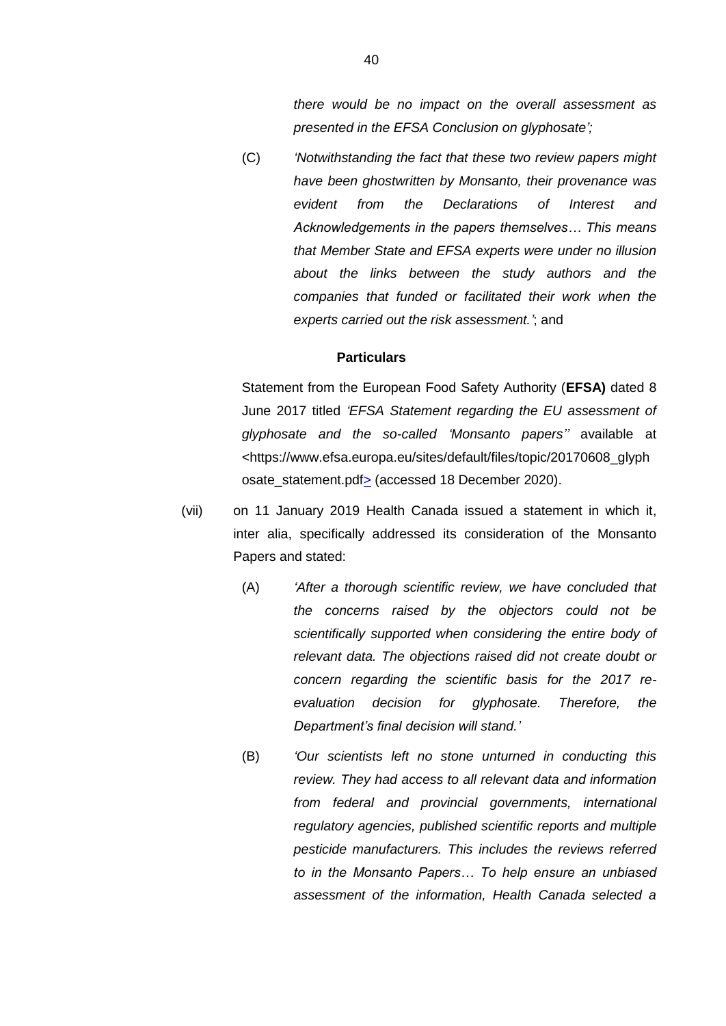*there would be no impact on the overall assessment as presented in the EFSA Conclusion on glyphosate';*

(C) *'Notwithstanding the fact that these two review papers might have been ghostwritten by Monsanto, their provenance was evident from the Declarations of Interest and Acknowledgements in the papers themselves… This means that Member State and EFSA experts were under no illusion about the links between the study authors and the companies that funded or facilitated their work when the experts carried out the risk assessment.'*; and

# **Particulars**

Statement from the European Food Safety Authority (**EFSA)** dated 8 June 2017 titled *'EFSA Statement regarding the EU assessment of glyphosate and the so-called 'Monsanto papers''* available at <https://www.efsa.europa.eu/sites/default/files/topic/20170608\_glyph osate\_statement.pdf> (accessed 18 December 2020).

- (vii) on 11 January 2019 Health Canada issued a statement in which it, inter alia, specifically addressed its consideration of the Monsanto Papers and stated:
	- (A) *'After a thorough scientific review, we have concluded that the concerns raised by the objectors could not be scientifically supported when considering the entire body of relevant data. The objections raised did not create doubt or concern regarding the scientific basis for the 2017 reevaluation decision for glyphosate. Therefore, the Department's final decision will stand.'*
	- (B) *'Our scientists left no stone unturned in conducting this review. They had access to all relevant data and information from federal and provincial governments, international regulatory agencies, published scientific reports and multiple pesticide manufacturers. This includes the reviews referred to in the Monsanto Papers… To help ensure an unbiased assessment of the information, Health Canada selected a*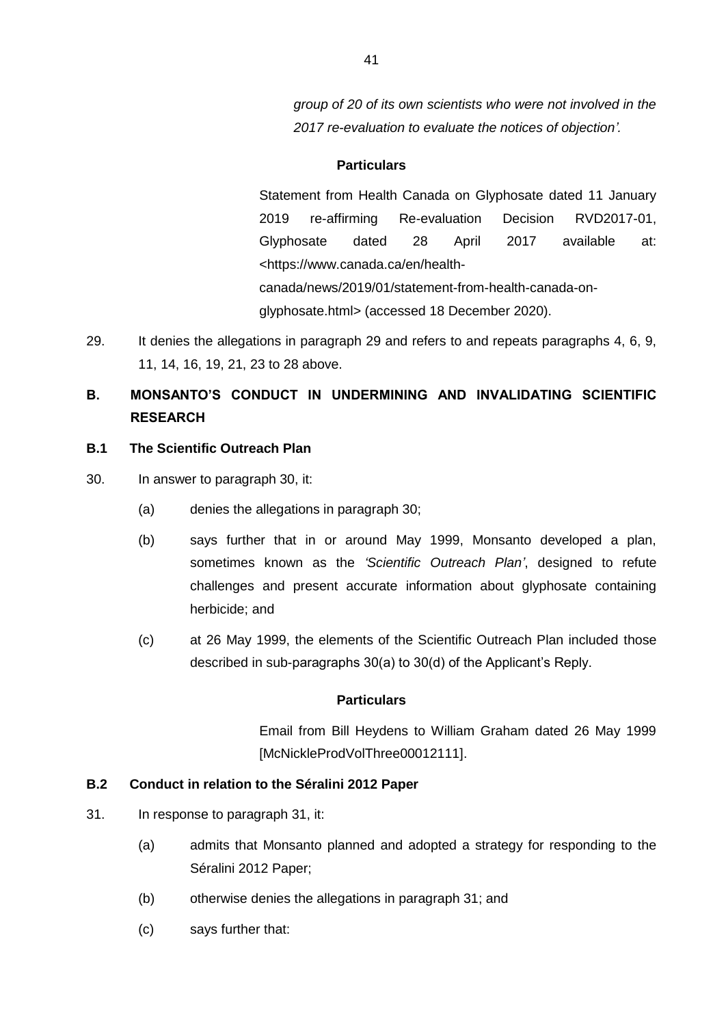*group of 20 of its own scientists who were not involved in the 2017 re-evaluation to evaluate the notices of objection'.*

### **Particulars**

Statement from Health Canada on Glyphosate dated 11 January 2019 re-affirming Re-evaluation Decision RVD2017-01, Glyphosate dated 28 April 2017 available at: <https://www.canada.ca/en/healthcanada/news/2019/01/statement-from-health-canada-onglyphosate.html> (accessed 18 December 2020).

29. It denies the allegations in paragraph 29 and refers to and repeats paragraphs 4, 6, 9, 11, 14, 16, 19, 21, 23 to 28 above.

# **B. MONSANTO'S CONDUCT IN UNDERMINING AND INVALIDATING SCIENTIFIC RESEARCH**

# **B.1 The Scientific Outreach Plan**

- 30. In answer to paragraph 30, it:
	- (a) denies the allegations in paragraph 30;
	- (b) says further that in or around May 1999, Monsanto developed a plan, sometimes known as the *'Scientific Outreach Plan'*, designed to refute challenges and present accurate information about glyphosate containing herbicide; and
	- (c) at 26 May 1999, the elements of the Scientific Outreach Plan included those described in sub-paragraphs 30(a) to 30(d) of the Applicant's Reply.

# **Particulars**

Email from Bill Heydens to William Graham dated 26 May 1999 [McNickleProdVolThree00012111].

### **B.2 Conduct in relation to the Séralini 2012 Paper**

- 31. In response to paragraph 31, it:
	- (a) admits that Monsanto planned and adopted a strategy for responding to the Séralini 2012 Paper;
	- (b) otherwise denies the allegations in paragraph 31; and
	- (c) says further that: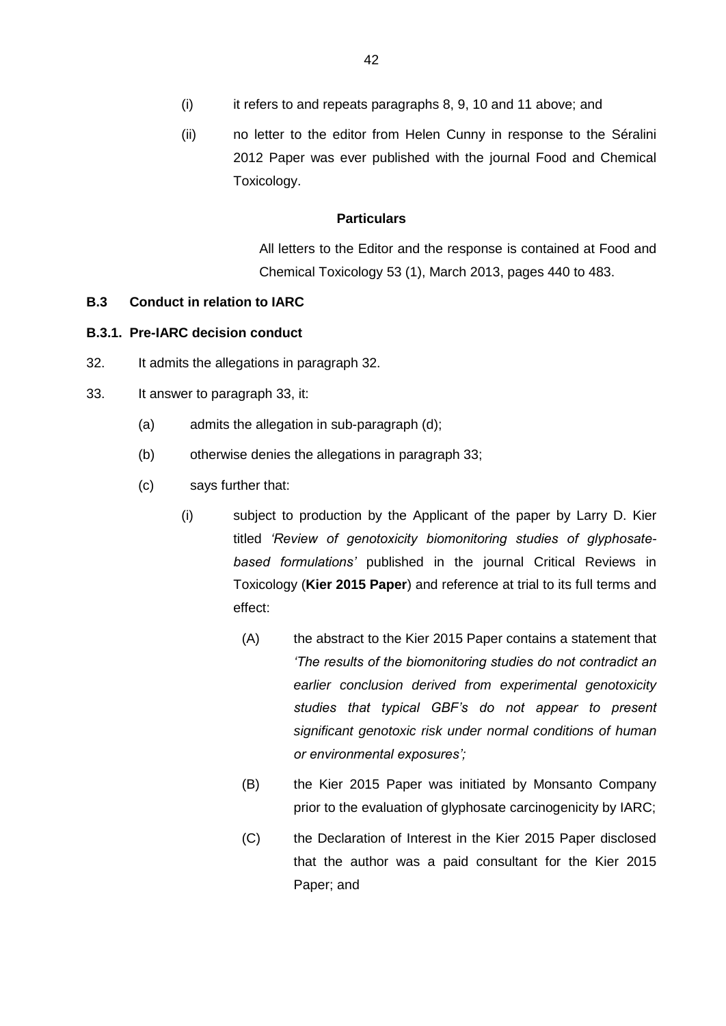(ii) no letter to the editor from Helen Cunny in response to the Séralini 2012 Paper was ever published with the journal Food and Chemical Toxicology.

# **Particulars**

All letters to the Editor and the response is contained at Food and Chemical Toxicology 53 (1), March 2013, pages 440 to 483.

# **B.3 Conduct in relation to IARC**

# **B.3.1. Pre-IARC decision conduct**

- 32. It admits the allegations in paragraph 32.
- 33. It answer to paragraph 33, it:
	- (a) admits the allegation in sub-paragraph (d);
	- (b) otherwise denies the allegations in paragraph 33;
	- (c) says further that:
		- (i) subject to production by the Applicant of the paper by Larry D. Kier titled *'Review of genotoxicity biomonitoring studies of glyphosatebased formulations'* published in the journal Critical Reviews in Toxicology (**Kier 2015 Paper**) and reference at trial to its full terms and effect:
			- (A) the abstract to the Kier 2015 Paper contains a statement that *'The results of the biomonitoring studies do not contradict an earlier conclusion derived from experimental genotoxicity studies that typical GBF's do not appear to present significant genotoxic risk under normal conditions of human or environmental exposures';*
			- (B) the Kier 2015 Paper was initiated by Monsanto Company prior to the evaluation of glyphosate carcinogenicity by IARC;
			- (C) the Declaration of Interest in the Kier 2015 Paper disclosed that the author was a paid consultant for the Kier 2015 Paper; and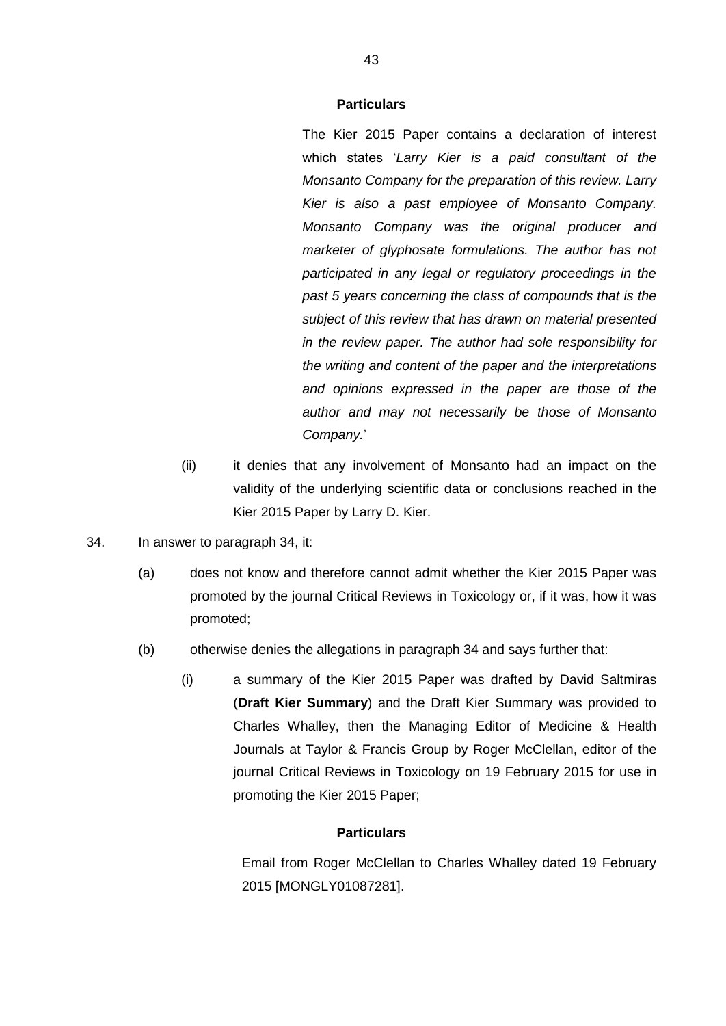The Kier 2015 Paper contains a declaration of interest which states '*Larry Kier is a paid consultant of the Monsanto Company for the preparation of this review. Larry Kier is also a past employee of Monsanto Company. Monsanto Company was the original producer and marketer of glyphosate formulations. The author has not participated in any legal or regulatory proceedings in the past 5 years concerning the class of compounds that is the subject of this review that has drawn on material presented in the review paper. The author had sole responsibility for the writing and content of the paper and the interpretations and opinions expressed in the paper are those of the author and may not necessarily be those of Monsanto Company.*'

- (ii) it denies that any involvement of Monsanto had an impact on the validity of the underlying scientific data or conclusions reached in the Kier 2015 Paper by Larry D. Kier.
- 34. In answer to paragraph 34, it:
	- (a) does not know and therefore cannot admit whether the Kier 2015 Paper was promoted by the journal Critical Reviews in Toxicology or, if it was, how it was promoted;
	- (b) otherwise denies the allegations in paragraph 34 and says further that:
		- (i) a summary of the Kier 2015 Paper was drafted by David Saltmiras (**Draft Kier Summary**) and the Draft Kier Summary was provided to Charles Whalley, then the Managing Editor of Medicine & Health Journals at Taylor & Francis Group by Roger McClellan, editor of the journal Critical Reviews in Toxicology on 19 February 2015 for use in promoting the Kier 2015 Paper;

# **Particulars**

Email from Roger McClellan to Charles Whalley dated 19 February 2015 [MONGLY01087281].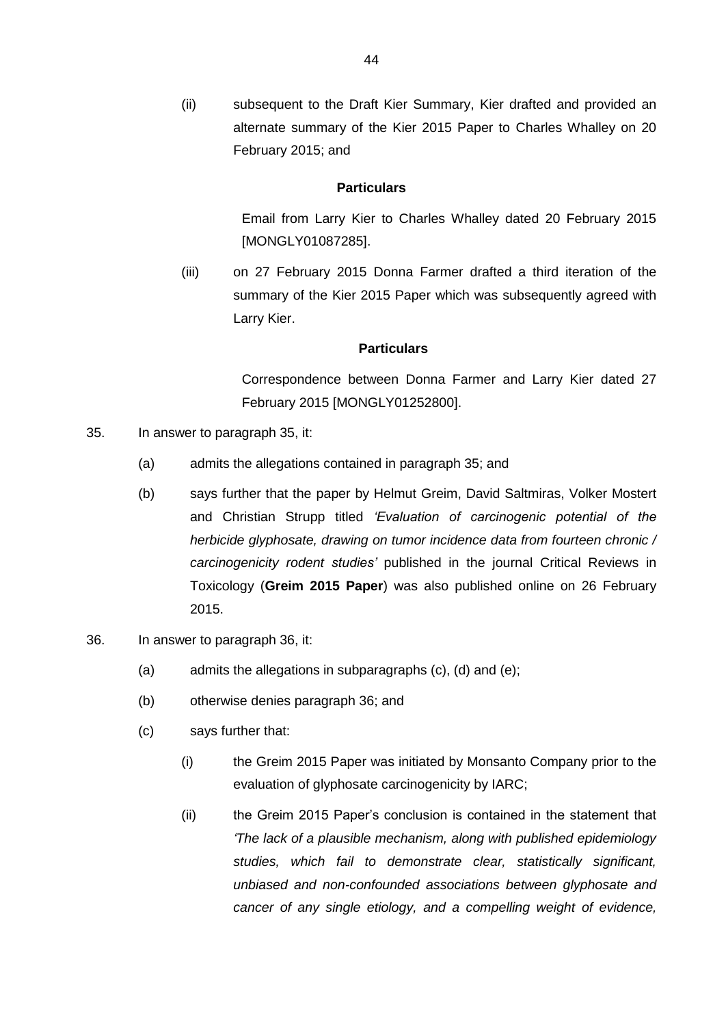(ii) subsequent to the Draft Kier Summary, Kier drafted and provided an alternate summary of the Kier 2015 Paper to Charles Whalley on 20 February 2015; and

#### **Particulars**

Email from Larry Kier to Charles Whalley dated 20 February 2015 [MONGLY01087285].

(iii) on 27 February 2015 Donna Farmer drafted a third iteration of the summary of the Kier 2015 Paper which was subsequently agreed with Larry Kier.

#### **Particulars**

Correspondence between Donna Farmer and Larry Kier dated 27 February 2015 [MONGLY01252800].

- 35. In answer to paragraph 35, it:
	- (a) admits the allegations contained in paragraph 35; and
	- (b) says further that the paper by Helmut Greim, David Saltmiras, Volker Mostert and Christian Strupp titled *'Evaluation of carcinogenic potential of the herbicide glyphosate, drawing on tumor incidence data from fourteen chronic / carcinogenicity rodent studies'* published in the journal Critical Reviews in Toxicology (**Greim 2015 Paper**) was also published online on 26 February 2015.
- 36. In answer to paragraph 36, it:
	- (a) admits the allegations in subparagraphs (c), (d) and (e);
	- (b) otherwise denies paragraph 36; and
	- (c) says further that:
		- (i) the Greim 2015 Paper was initiated by Monsanto Company prior to the evaluation of glyphosate carcinogenicity by IARC;
		- (ii) the Greim 2015 Paper's conclusion is contained in the statement that *'The lack of a plausible mechanism, along with published epidemiology studies, which fail to demonstrate clear, statistically significant, unbiased and non-confounded associations between glyphosate and cancer of any single etiology, and a compelling weight of evidence,*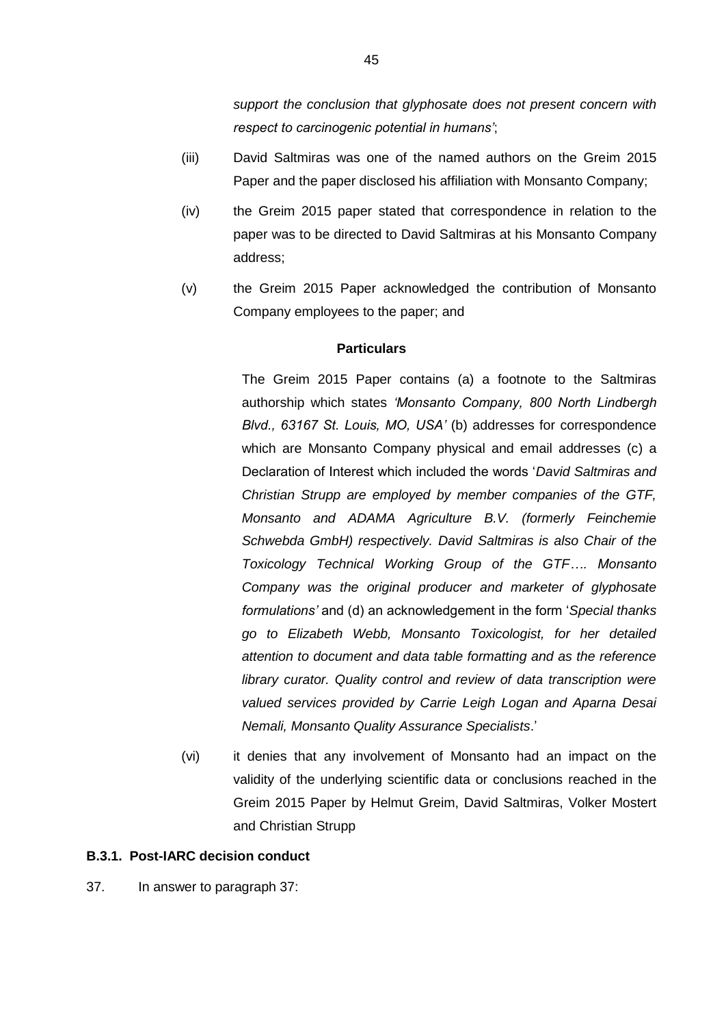*support the conclusion that glyphosate does not present concern with respect to carcinogenic potential in humans'*;

- (iii) David Saltmiras was one of the named authors on the Greim 2015 Paper and the paper disclosed his affiliation with Monsanto Company;
- (iv) the Greim 2015 paper stated that correspondence in relation to the paper was to be directed to David Saltmiras at his Monsanto Company address;
- (v) the Greim 2015 Paper acknowledged the contribution of Monsanto Company employees to the paper; and

### **Particulars**

The Greim 2015 Paper contains (a) a footnote to the Saltmiras authorship which states *'Monsanto Company, 800 North Lindbergh Blvd., 63167 St. Louis, MO, USA'* (b) addresses for correspondence which are Monsanto Company physical and email addresses (c) a Declaration of Interest which included the words '*David Saltmiras and Christian Strupp are employed by member companies of the GTF, Monsanto and ADAMA Agriculture B.V. (formerly Feinchemie Schwebda GmbH) respectively. David Saltmiras is also Chair of the Toxicology Technical Working Group of the GTF…. Monsanto Company was the original producer and marketer of glyphosate formulations'* and (d) an acknowledgement in the form '*Special thanks go to Elizabeth Webb, Monsanto Toxicologist, for her detailed attention to document and data table formatting and as the reference library curator. Quality control and review of data transcription were valued services provided by Carrie Leigh Logan and Aparna Desai Nemali, Monsanto Quality Assurance Specialists*.'

(vi) it denies that any involvement of Monsanto had an impact on the validity of the underlying scientific data or conclusions reached in the Greim 2015 Paper by Helmut Greim, David Saltmiras, Volker Mostert and Christian Strupp

### **B.3.1. Post-IARC decision conduct**

37. In answer to paragraph 37: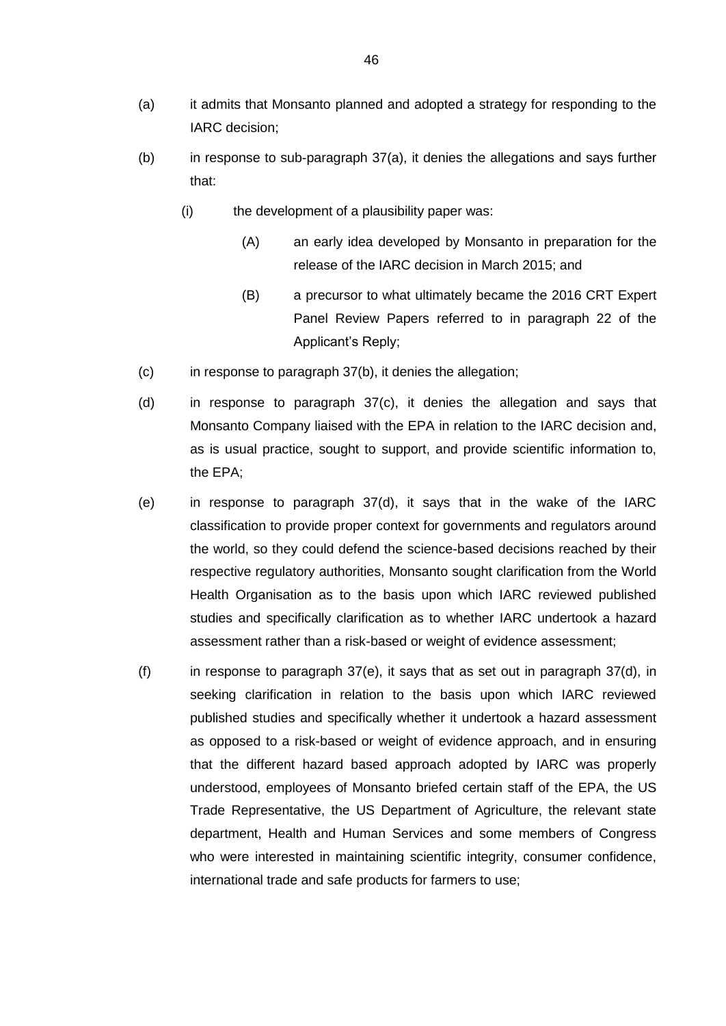- (a) it admits that Monsanto planned and adopted a strategy for responding to the IARC decision;
- (b) in response to sub-paragraph 37(a), it denies the allegations and says further that:
	- (i) the development of a plausibility paper was:
		- (A) an early idea developed by Monsanto in preparation for the release of the IARC decision in March 2015; and
		- (B) a precursor to what ultimately became the 2016 CRT Expert Panel Review Papers referred to in paragraph 22 of the Applicant's Reply;
- (c) in response to paragraph 37(b), it denies the allegation;
- (d) in response to paragraph 37(c), it denies the allegation and says that Monsanto Company liaised with the EPA in relation to the IARC decision and, as is usual practice, sought to support, and provide scientific information to, the EPA;
- (e) in response to paragraph 37(d), it says that in the wake of the IARC classification to provide proper context for governments and regulators around the world, so they could defend the science-based decisions reached by their respective regulatory authorities, Monsanto sought clarification from the World Health Organisation as to the basis upon which IARC reviewed published studies and specifically clarification as to whether IARC undertook a hazard assessment rather than a risk-based or weight of evidence assessment;
- (f) in response to paragraph  $37(e)$ , it says that as set out in paragraph  $37(d)$ , in seeking clarification in relation to the basis upon which IARC reviewed published studies and specifically whether it undertook a hazard assessment as opposed to a risk-based or weight of evidence approach, and in ensuring that the different hazard based approach adopted by IARC was properly understood, employees of Monsanto briefed certain staff of the EPA, the US Trade Representative, the US Department of Agriculture, the relevant state department, Health and Human Services and some members of Congress who were interested in maintaining scientific integrity, consumer confidence, international trade and safe products for farmers to use;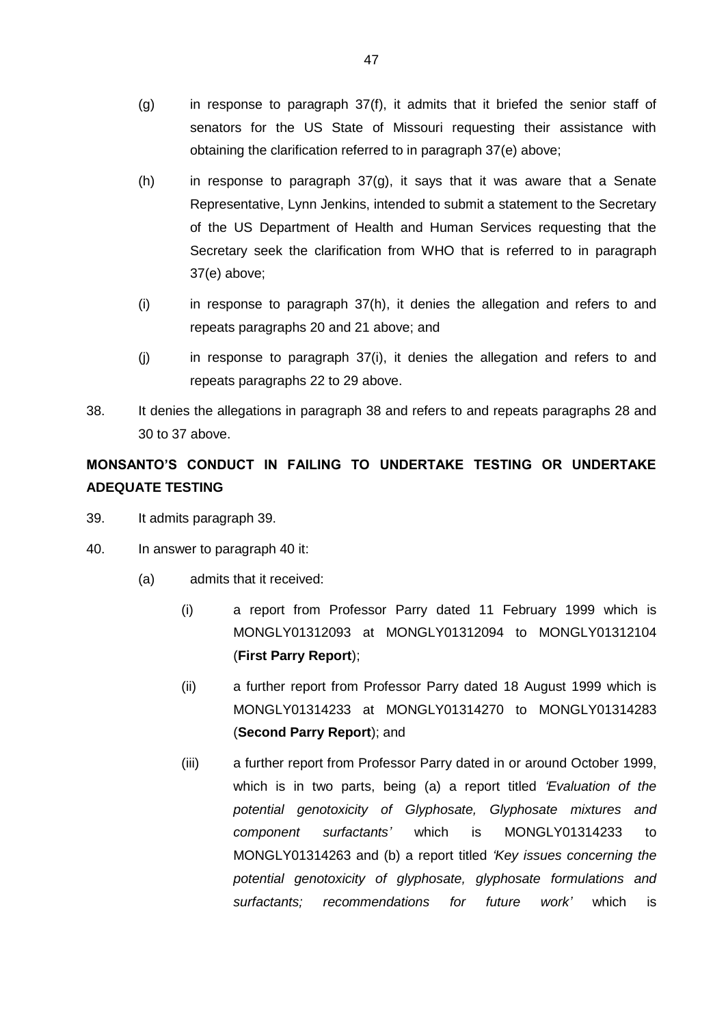- (g) in response to paragraph 37(f), it admits that it briefed the senior staff of senators for the US State of Missouri requesting their assistance with obtaining the clarification referred to in paragraph 37(e) above;
- (h) in response to paragraph 37(g), it says that it was aware that a Senate Representative, Lynn Jenkins, intended to submit a statement to the Secretary of the US Department of Health and Human Services requesting that the Secretary seek the clarification from WHO that is referred to in paragraph 37(e) above;
- (i) in response to paragraph 37(h), it denies the allegation and refers to and repeats paragraphs 20 and 21 above; and
- (j) in response to paragraph 37(i), it denies the allegation and refers to and repeats paragraphs 22 to 29 above.
- 38. It denies the allegations in paragraph 38 and refers to and repeats paragraphs 28 and 30 to 37 above.

# **MONSANTO'S CONDUCT IN FAILING TO UNDERTAKE TESTING OR UNDERTAKE ADEQUATE TESTING**

- 39. It admits paragraph 39.
- <span id="page-47-2"></span><span id="page-47-1"></span><span id="page-47-0"></span>40. In answer to paragraph 40 it:
	- (a) admits that it received:
		- (i) a report from Professor Parry dated 11 February 1999 which is MONGLY01312093 at MONGLY01312094 to MONGLY01312104 (**First Parry Report**);
		- (ii) a further report from Professor Parry dated 18 August 1999 which is MONGLY01314233 at MONGLY01314270 to MONGLY01314283 (**Second Parry Report**); and
		- (iii) a further report from Professor Parry dated in or around October 1999, which is in two parts, being (a) a report titled *'Evaluation of the potential genotoxicity of Glyphosate, Glyphosate mixtures and component surfactants'* which is MONGLY01314233 to MONGLY01314263 and (b) a report titled *'Key issues concerning the potential genotoxicity of glyphosate, glyphosate formulations and surfactants; recommendations for future work'* which is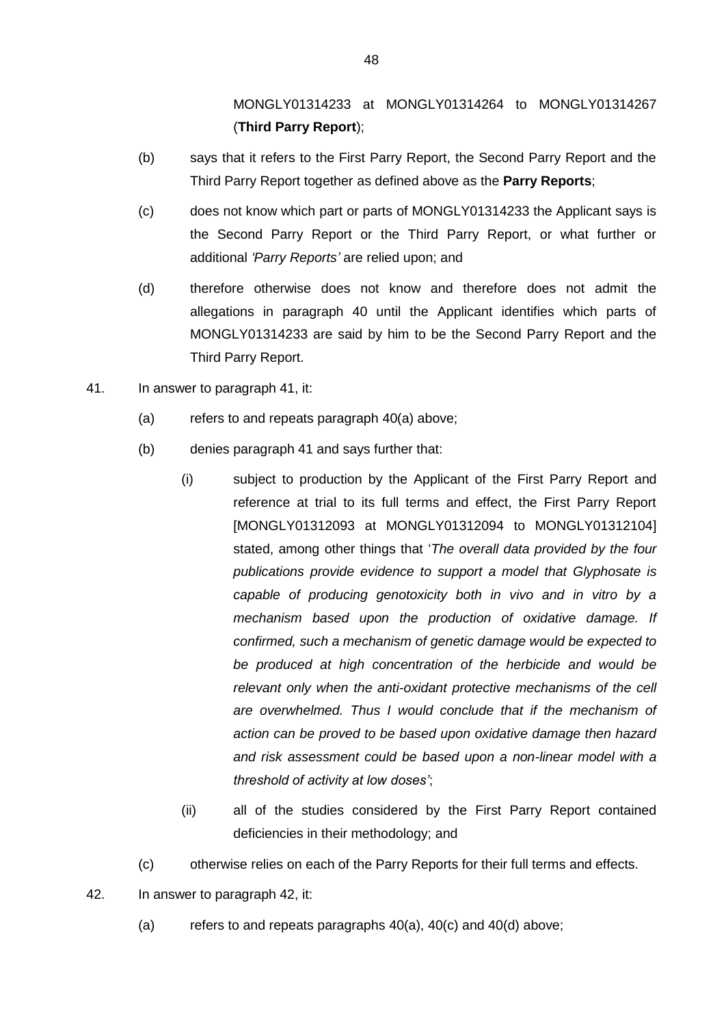MONGLY01314233 at MONGLY01314264 to MONGLY01314267 (**Third Parry Report**);

- (b) says that it refers to the First Parry Report, the Second Parry Report and the Third Parry Report together as defined above as the **Parry Reports**;
- <span id="page-48-0"></span>(c) does not know which part or parts of MONGLY01314233 the Applicant says is the Second Parry Report or the Third Parry Report, or what further or additional *'Parry Reports'* are relied upon; and
- <span id="page-48-1"></span>(d) therefore otherwise does not know and therefore does not admit the allegations in paragraph 40 until the Applicant identifies which parts of MONGLY01314233 are said by him to be the Second Parry Report and the Third Parry Report.
- 41. In answer to paragraph 41, it:
	- (a) refers to and repeats paragraph  $40(a)$  above;
	- (b) denies paragraph 41 and says further that:
		- (i) subject to production by the Applicant of the First Parry Report and reference at trial to its full terms and effect, the First Parry Report [MONGLY01312093 at MONGLY01312094 to MONGLY01312104] stated, among other things that '*The overall data provided by the four publications provide evidence to support a model that Glyphosate is capable of producing genotoxicity both in vivo and in vitro by a mechanism based upon the production of oxidative damage. If confirmed, such a mechanism of genetic damage would be expected to be produced at high concentration of the herbicide and would be relevant only when the anti-oxidant protective mechanisms of the cell are overwhelmed. Thus I would conclude that if the mechanism of action can be proved to be based upon oxidative damage then hazard and risk assessment could be based upon a non-linear model with a threshold of activity at low doses'*;
		- (ii) all of the studies considered by the First Parry Report contained deficiencies in their methodology; and
	- (c) otherwise relies on each of the Parry Reports for their full terms and effects.
- 42. In answer to paragraph 42, it:
	- (a) refers to and repeats paragraphs [40\(a\),](#page-47-0) [40\(c\)](#page-48-0) and [40\(d\)](#page-48-1) above;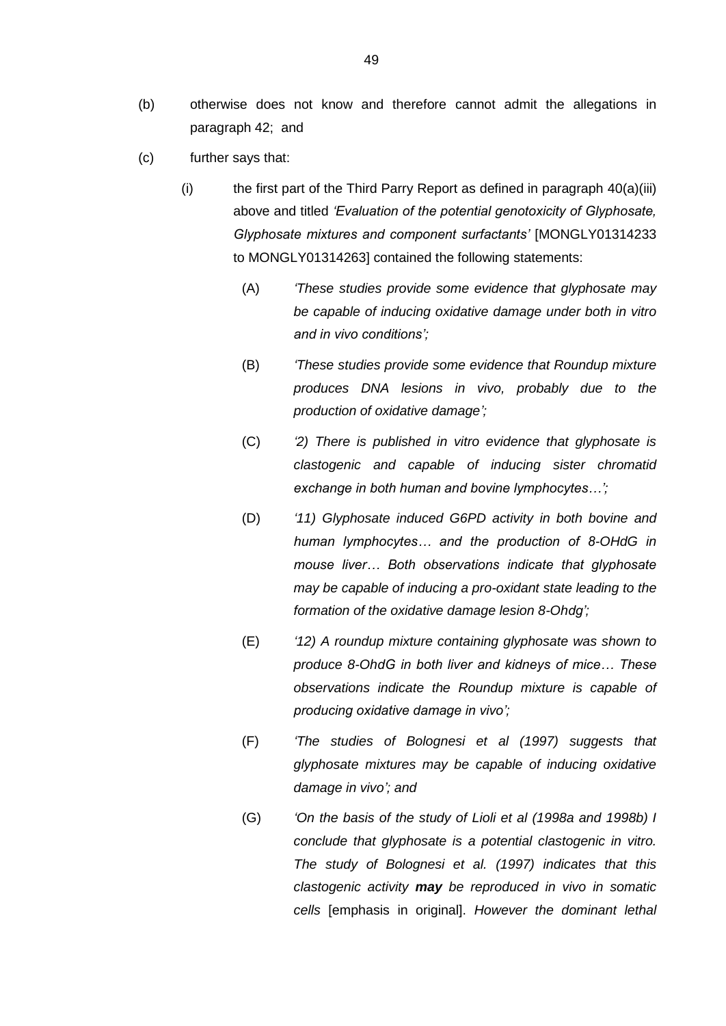- (b) otherwise does not know and therefore cannot admit the allegations in paragraph 42; and
- (c) further says that:
	- (i) the first part of the Third Parry Report as defined in paragraph [40\(a\)\(iii\)](#page-47-1) above and titled *'Evaluation of the potential genotoxicity of Glyphosate, Glyphosate mixtures and component surfactants'* [MONGLY01314233 to MONGLY01314263] contained the following statements:
		- (A) *'These studies provide some evidence that glyphosate may be capable of inducing oxidative damage under both in vitro and in vivo conditions';*
		- (B) *'These studies provide some evidence that Roundup mixture produces DNA lesions in vivo, probably due to the production of oxidative damage';*
		- (C) *'2) There is published in vitro evidence that glyphosate is clastogenic and capable of inducing sister chromatid exchange in both human and bovine lymphocytes…';*
		- (D) *'11) Glyphosate induced G6PD activity in both bovine and human lymphocytes… and the production of 8-OHdG in mouse liver… Both observations indicate that glyphosate may be capable of inducing a pro-oxidant state leading to the formation of the oxidative damage lesion 8-Ohdg';*
		- (E) *'12) A roundup mixture containing glyphosate was shown to produce 8-OhdG in both liver and kidneys of mice… These observations indicate the Roundup mixture is capable of producing oxidative damage in vivo';*
		- (F) *'The studies of Bolognesi et al (1997) suggests that glyphosate mixtures may be capable of inducing oxidative damage in vivo'; and*
		- (G) *'On the basis of the study of Lioli et al (1998a and 1998b) I conclude that glyphosate is a potential clastogenic in vitro. The study of Bolognesi et al. (1997) indicates that this clastogenic activity may be reproduced in vivo in somatic cells* [emphasis in original]. *However the dominant lethal*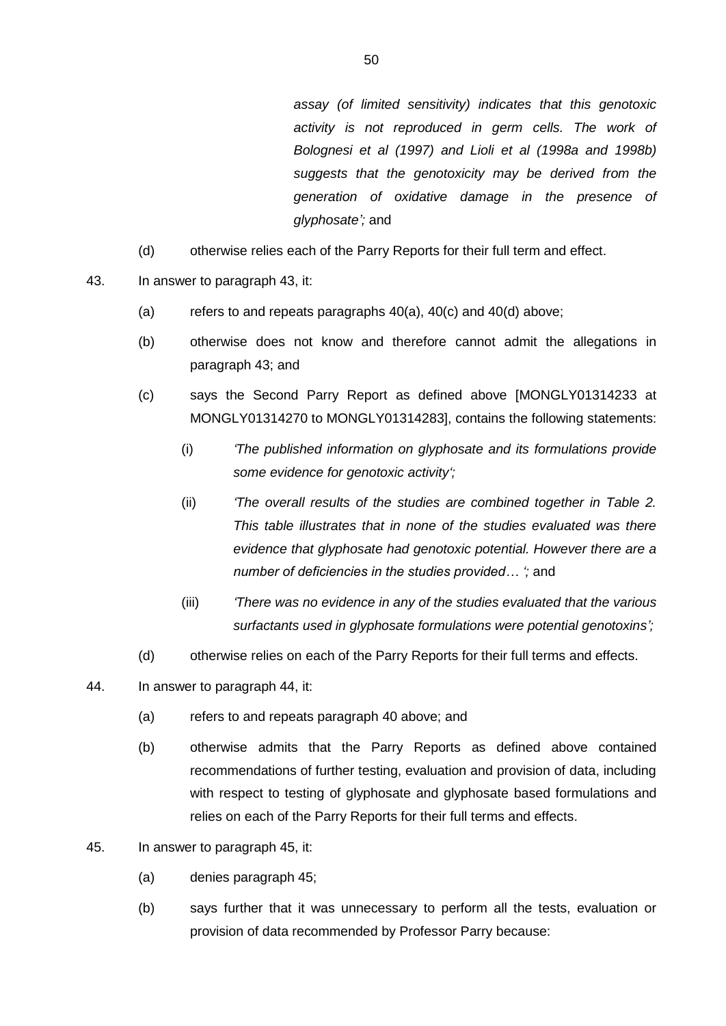*assay (of limited sensitivity) indicates that this genotoxic activity is not reproduced in germ cells. The work of Bolognesi et al (1997) and Lioli et al (1998a and 1998b) suggests that the genotoxicity may be derived from the generation of oxidative damage in the presence of glyphosate';* and

- (d) otherwise relies each of the Parry Reports for their full term and effect.
- 43. In answer to paragraph 43, it:
	- (a) refers to and repeats paragraphs  $40(a)$ ,  $40(c)$  and  $40(d)$  above;
	- (b) otherwise does not know and therefore cannot admit the allegations in paragraph 43; and
	- (c) says the Second Parry Report as defined above [MONGLY01314233 at MONGLY01314270 to MONGLY01314283], contains the following statements:
		- (i) *'The published information on glyphosate and its formulations provide some evidence for genotoxic activity';*
		- (ii) *'The overall results of the studies are combined together in Table 2. This table illustrates that in none of the studies evaluated was there evidence that glyphosate had genotoxic potential. However there are a number of deficiencies in the studies provided… ';* and
		- (iii) *'There was no evidence in any of the studies evaluated that the various surfactants used in glyphosate formulations were potential genotoxins';*
	- (d) otherwise relies on each of the Parry Reports for their full terms and effects.
- 44. In answer to paragraph 44, it:
	- (a) refers to and repeats paragraph [40](#page-47-2) above; and
	- (b) otherwise admits that the Parry Reports as defined above contained recommendations of further testing, evaluation and provision of data, including with respect to testing of glyphosate and glyphosate based formulations and relies on each of the Parry Reports for their full terms and effects.
- 45. In answer to paragraph 45, it:
	- (a) denies paragraph 45;
	- (b) says further that it was unnecessary to perform all the tests, evaluation or provision of data recommended by Professor Parry because: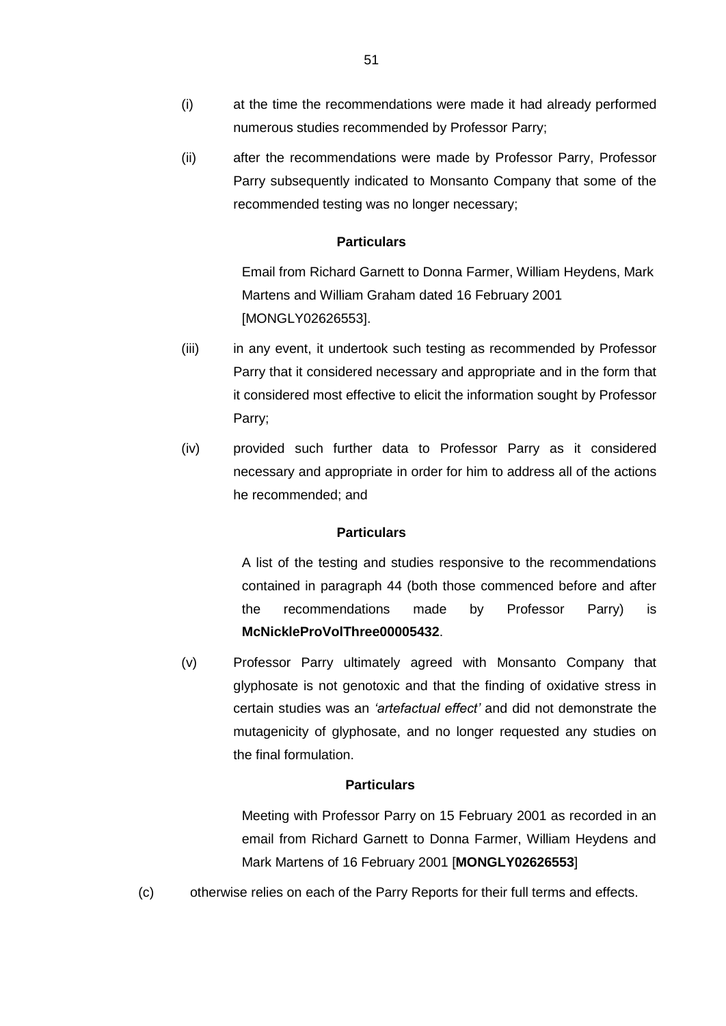- (i) at the time the recommendations were made it had already performed numerous studies recommended by Professor Parry;
- (ii) after the recommendations were made by Professor Parry, Professor Parry subsequently indicated to Monsanto Company that some of the recommended testing was no longer necessary;

Email from Richard Garnett to Donna Farmer, William Heydens, Mark Martens and William Graham dated 16 February 2001 [MONGLY02626553].

- (iii) in any event, it undertook such testing as recommended by Professor Parry that it considered necessary and appropriate and in the form that it considered most effective to elicit the information sought by Professor Parry;
- (iv) provided such further data to Professor Parry as it considered necessary and appropriate in order for him to address all of the actions he recommended; and

## **Particulars**

A list of the testing and studies responsive to the recommendations contained in paragraph 44 (both those commenced before and after the recommendations made by Professor Parry) is **McNickleProVolThree00005432**.

(v) Professor Parry ultimately agreed with Monsanto Company that glyphosate is not genotoxic and that the finding of oxidative stress in certain studies was an *'artefactual effect'* and did not demonstrate the mutagenicity of glyphosate, and no longer requested any studies on the final formulation.

### **Particulars**

Meeting with Professor Parry on 15 February 2001 as recorded in an email from Richard Garnett to Donna Farmer, William Heydens and Mark Martens of 16 February 2001 [**MONGLY02626553**]

(c) otherwise relies on each of the Parry Reports for their full terms and effects.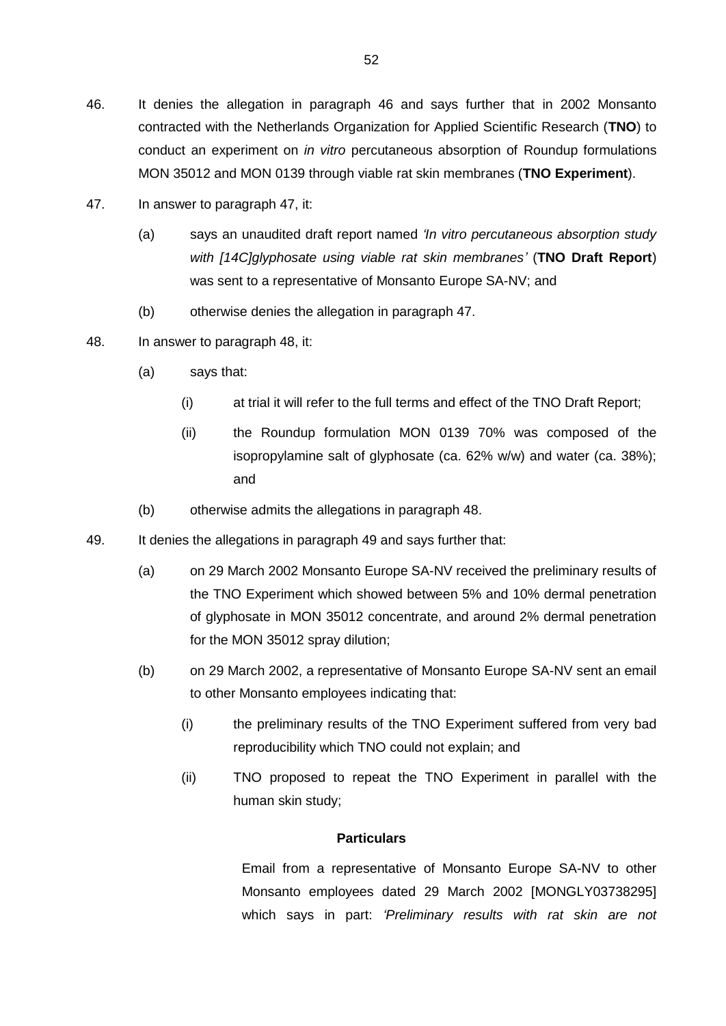- 46. It denies the allegation in paragraph 46 and says further that in 2002 Monsanto contracted with the Netherlands Organization for Applied Scientific Research (**TNO**) to conduct an experiment on *in vitro* percutaneous absorption of Roundup formulations MON 35012 and MON 0139 through viable rat skin membranes (**TNO Experiment**).
- 47. In answer to paragraph 47, it:
	- (a) says an unaudited draft report named *'In vitro percutaneous absorption study with [14C]glyphosate using viable rat skin membranes'* (**TNO Draft Report**) was sent to a representative of Monsanto Europe SA-NV; and
	- (b) otherwise denies the allegation in paragraph 47.
- 48. In answer to paragraph 48, it:
	- (a) says that:
		- (i) at trial it will refer to the full terms and effect of the TNO Draft Report;
		- (ii) the Roundup formulation MON 0139 70% was composed of the isopropylamine salt of glyphosate (ca. 62% w/w) and water (ca. 38%); and
	- (b) otherwise admits the allegations in paragraph 48.
- 49. It denies the allegations in paragraph 49 and says further that:
	- (a) on 29 March 2002 Monsanto Europe SA-NV received the preliminary results of the TNO Experiment which showed between 5% and 10% dermal penetration of glyphosate in MON 35012 concentrate, and around 2% dermal penetration for the MON 35012 spray dilution;
	- (b) on 29 March 2002, a representative of Monsanto Europe SA-NV sent an email to other Monsanto employees indicating that:
		- (i) the preliminary results of the TNO Experiment suffered from very bad reproducibility which TNO could not explain; and
		- (ii) TNO proposed to repeat the TNO Experiment in parallel with the human skin study;

Email from a representative of Monsanto Europe SA-NV to other Monsanto employees dated 29 March 2002 [MONGLY03738295] which says in part: *'Preliminary results with rat skin are not*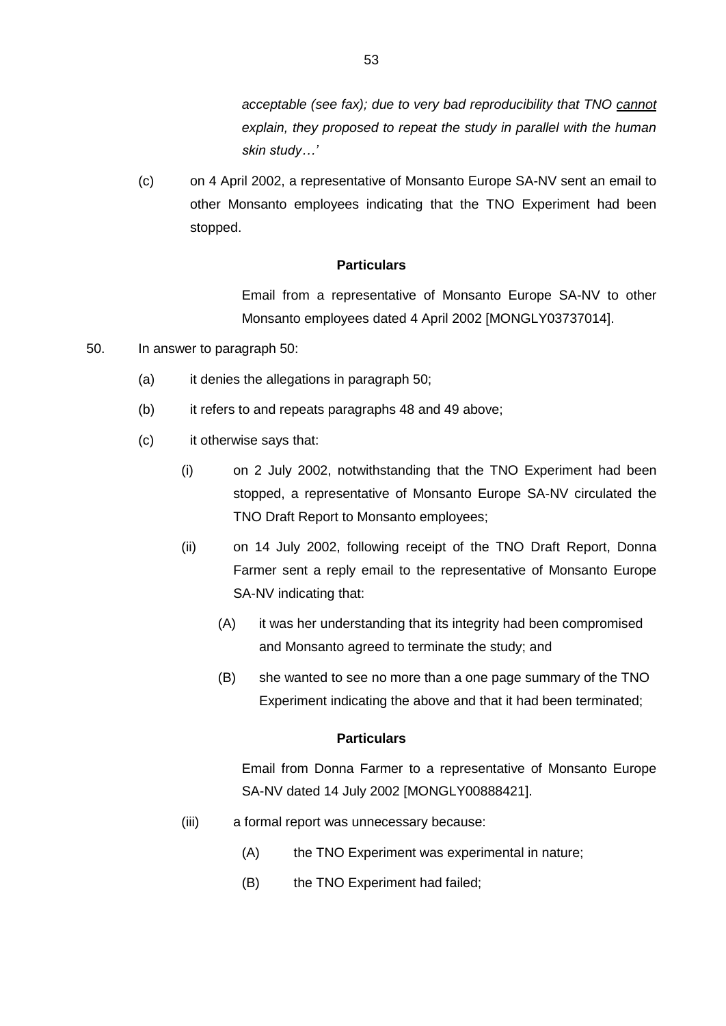*acceptable (see fax); due to very bad reproducibility that TNO cannot explain, they proposed to repeat the study in parallel with the human skin study…'*

(c) on 4 April 2002, a representative of Monsanto Europe SA-NV sent an email to other Monsanto employees indicating that the TNO Experiment had been stopped.

# **Particulars**

Email from a representative of Monsanto Europe SA-NV to other Monsanto employees dated 4 April 2002 [MONGLY03737014].

- 50. In answer to paragraph 50:
	- (a) it denies the allegations in paragraph 50;
	- (b) it refers to and repeats paragraphs 48 and 49 above;
	- (c) it otherwise says that:
		- (i) on 2 July 2002, notwithstanding that the TNO Experiment had been stopped, a representative of Monsanto Europe SA-NV circulated the TNO Draft Report to Monsanto employees;
		- (ii) on 14 July 2002, following receipt of the TNO Draft Report, Donna Farmer sent a reply email to the representative of Monsanto Europe SA-NV indicating that:
			- (A) it was her understanding that its integrity had been compromised and Monsanto agreed to terminate the study; and
			- (B) she wanted to see no more than a one page summary of the TNO Experiment indicating the above and that it had been terminated;

### **Particulars**

Email from Donna Farmer to a representative of Monsanto Europe SA-NV dated 14 July 2002 [MONGLY00888421].

- (iii) a formal report was unnecessary because:
	- (A) the TNO Experiment was experimental in nature;
	- (B) the TNO Experiment had failed;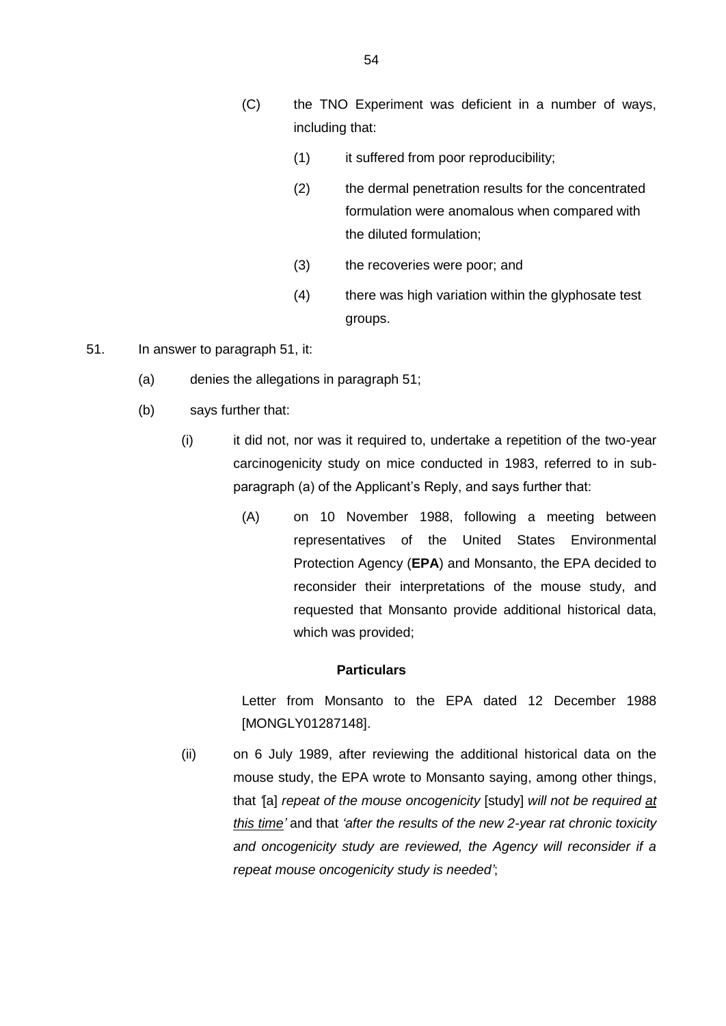- (C) the TNO Experiment was deficient in a number of ways, including that:
	- (1) it suffered from poor reproducibility;
	- (2) the dermal penetration results for the concentrated formulation were anomalous when compared with the diluted formulation;
	- (3) the recoveries were poor; and
	- (4) there was high variation within the glyphosate test groups.
- 51. In answer to paragraph 51, it:
	- (a) denies the allegations in paragraph 51;
	- (b) says further that:
		- (i) it did not, nor was it required to, undertake a repetition of the two-year carcinogenicity study on mice conducted in 1983, referred to in subparagraph (a) of the Applicant's Reply, and says further that:
			- (A) on 10 November 1988, following a meeting between representatives of the United States Environmental Protection Agency (**EPA**) and Monsanto, the EPA decided to reconsider their interpretations of the mouse study, and requested that Monsanto provide additional historical data, which was provided;

Letter from Monsanto to the EPA dated 12 December 1988 [MONGLY01287148].

(ii) on 6 July 1989, after reviewing the additional historical data on the mouse study, the EPA wrote to Monsanto saying, among other things, that *'*[a] *repeat of the mouse oncogenicity* [study] *will not be required at this time'* and that *'after the results of the new 2-year rat chronic toxicity and oncogenicity study are reviewed, the Agency will reconsider if a repeat mouse oncogenicity study is needed'*;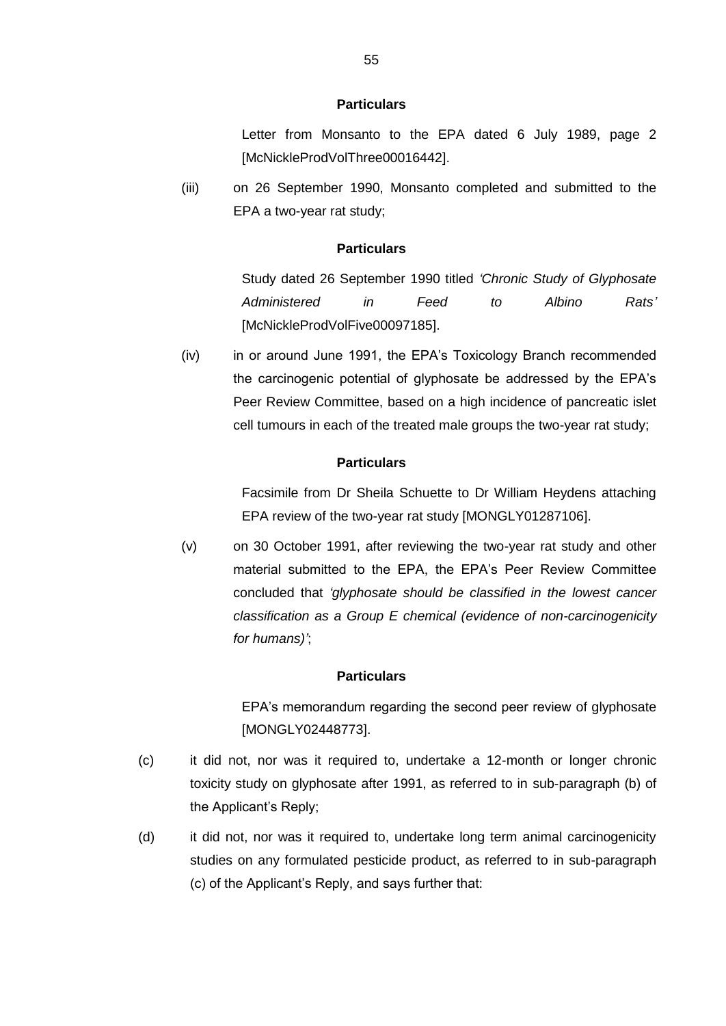Letter from Monsanto to the EPA dated 6 July 1989, page 2 [McNickleProdVolThree00016442].

(iii) on 26 September 1990, Monsanto completed and submitted to the EPA a two-year rat study;

# **Particulars**

Study dated 26 September 1990 titled *'Chronic Study of Glyphosate Administered in Feed to Albino Rats'* [McNickleProdVolFive00097185].

(iv) in or around June 1991, the EPA's Toxicology Branch recommended the carcinogenic potential of glyphosate be addressed by the EPA's Peer Review Committee, based on a high incidence of pancreatic islet cell tumours in each of the treated male groups the two-year rat study;

## **Particulars**

Facsimile from Dr Sheila Schuette to Dr William Heydens attaching EPA review of the two-year rat study [MONGLY01287106].

(v) on 30 October 1991, after reviewing the two-year rat study and other material submitted to the EPA, the EPA's Peer Review Committee concluded that *'glyphosate should be classified in the lowest cancer classification as a Group E chemical (evidence of non-carcinogenicity for humans)'*;

### **Particulars**

EPA's memorandum regarding the second peer review of glyphosate [MONGLY02448773].

- (c) it did not, nor was it required to, undertake a 12-month or longer chronic toxicity study on glyphosate after 1991, as referred to in sub-paragraph (b) of the Applicant's Reply;
- (d) it did not, nor was it required to, undertake long term animal carcinogenicity studies on any formulated pesticide product, as referred to in sub-paragraph (c) of the Applicant's Reply, and says further that: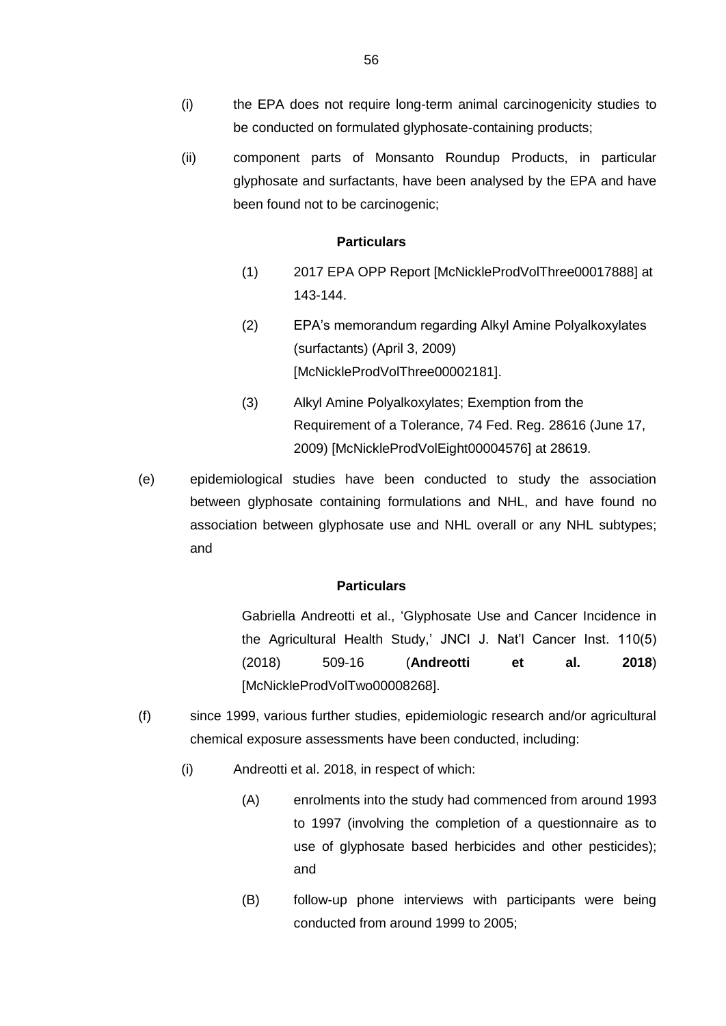- (i) the EPA does not require long-term animal carcinogenicity studies to be conducted on formulated glyphosate-containing products;
- (ii) component parts of Monsanto Roundup Products, in particular glyphosate and surfactants, have been analysed by the EPA and have been found not to be carcinogenic;

- (1) 2017 EPA OPP Report [McNickleProdVolThree00017888] at 143-144.
- (2) EPA's memorandum regarding Alkyl Amine Polyalkoxylates (surfactants) (April 3, 2009) [McNickleProdVolThree00002181].
- (3) Alkyl Amine Polyalkoxylates; Exemption from the Requirement of a Tolerance, 74 Fed. Reg. 28616 (June 17, 2009) [McNickleProdVolEight00004576] at 28619.
- (e) epidemiological studies have been conducted to study the association between glyphosate containing formulations and NHL, and have found no association between glyphosate use and NHL overall or any NHL subtypes; and

#### **Particulars**

Gabriella Andreotti et al., 'Glyphosate Use and Cancer Incidence in the Agricultural Health Study,' JNCI J. Nat'l Cancer Inst. 110(5) (2018) 509-16 (**Andreotti et al. 2018**) [McNickleProdVolTwo00008268].

- (f) since 1999, various further studies, epidemiologic research and/or agricultural chemical exposure assessments have been conducted, including:
	- (i) Andreotti et al. 2018, in respect of which:
		- (A) enrolments into the study had commenced from around 1993 to 1997 (involving the completion of a questionnaire as to use of glyphosate based herbicides and other pesticides); and
		- (B) follow-up phone interviews with participants were being conducted from around 1999 to 2005;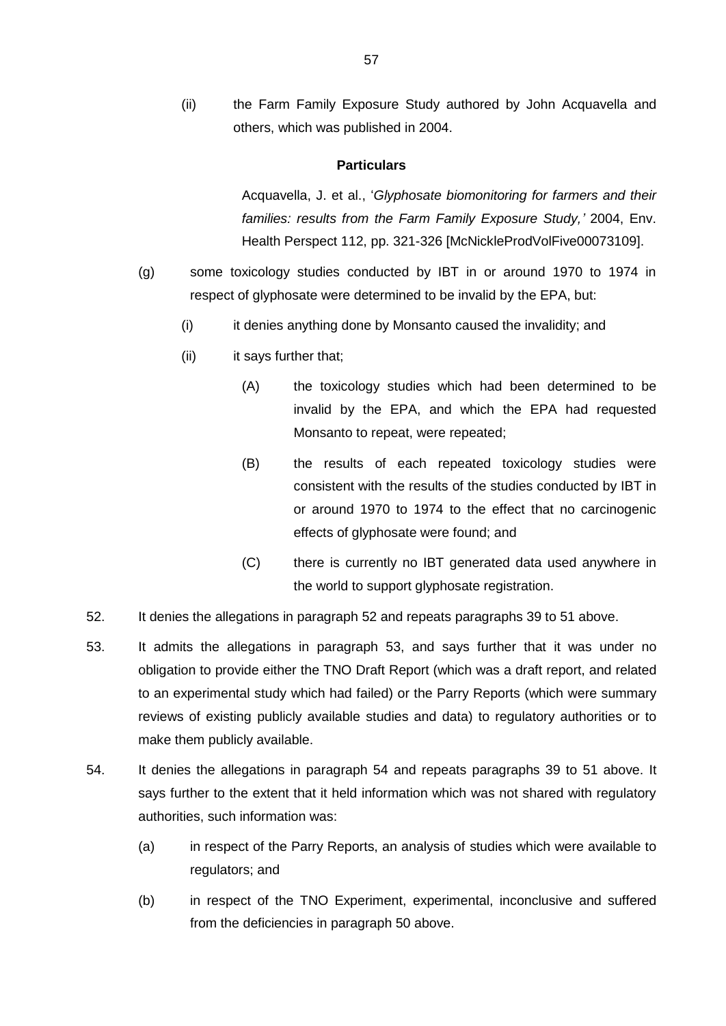(ii) the Farm Family Exposure Study authored by John Acquavella and others, which was published in 2004.

#### **Particulars**

Acquavella, J. et al., '*Glyphosate biomonitoring for farmers and their families: results from the Farm Family Exposure Study,'* 2004, Env. Health Perspect 112, pp. 321-326 [McNickleProdVolFive00073109].

- (g) some toxicology studies conducted by IBT in or around 1970 to 1974 in respect of glyphosate were determined to be invalid by the EPA, but:
	- (i) it denies anything done by Monsanto caused the invalidity; and
	- (ii) it says further that;
		- (A) the toxicology studies which had been determined to be invalid by the EPA, and which the EPA had requested Monsanto to repeat, were repeated;
		- (B) the results of each repeated toxicology studies were consistent with the results of the studies conducted by IBT in or around 1970 to 1974 to the effect that no carcinogenic effects of glyphosate were found; and
		- (C) there is currently no IBT generated data used anywhere in the world to support glyphosate registration.
- 52. It denies the allegations in paragraph 52 and repeats paragraphs 39 to 51 above.
- 53. It admits the allegations in paragraph 53, and says further that it was under no obligation to provide either the TNO Draft Report (which was a draft report, and related to an experimental study which had failed) or the Parry Reports (which were summary reviews of existing publicly available studies and data) to regulatory authorities or to make them publicly available.
- 54. It denies the allegations in paragraph 54 and repeats paragraphs 39 to 51 above. It says further to the extent that it held information which was not shared with regulatory authorities, such information was:
	- (a) in respect of the Parry Reports, an analysis of studies which were available to regulators; and
	- (b) in respect of the TNO Experiment, experimental, inconclusive and suffered from the deficiencies in paragraph 50 above.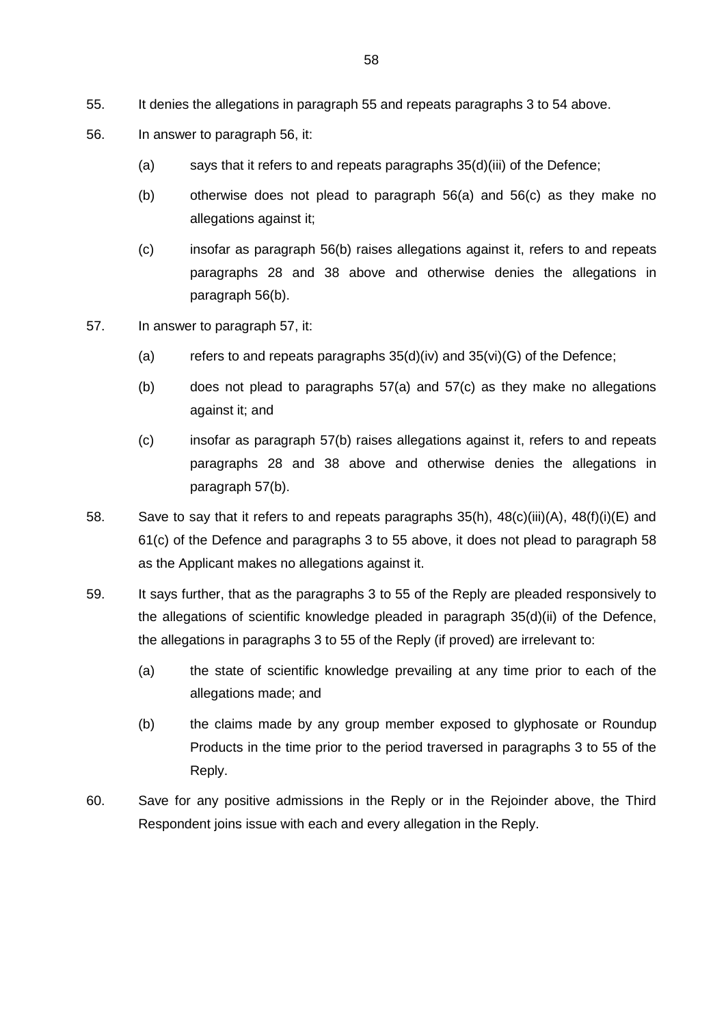- 55. It denies the allegations in paragraph 55 and repeats paragraphs 3 to 54 above.
- 56. In answer to paragraph 56, it:
	- (a) says that it refers to and repeats paragraphs 35(d)(iii) of the Defence;
	- (b) otherwise does not plead to paragraph 56(a) and 56(c) as they make no allegations against it;
	- (c) insofar as paragraph 56(b) raises allegations against it, refers to and repeats paragraphs 28 and 38 above and otherwise denies the allegations in paragraph 56(b).
- 57. In answer to paragraph 57, it:
	- (a) refers to and repeats paragraphs  $35(d)(iv)$  and  $35(vi)(G)$  of the Defence;
	- (b) does not plead to paragraphs 57(a) and 57(c) as they make no allegations against it; and
	- (c) insofar as paragraph 57(b) raises allegations against it, refers to and repeats paragraphs 28 and 38 above and otherwise denies the allegations in paragraph 57(b).
- 58. Save to say that it refers to and repeats paragraphs 35(h), 48(c)(iii)(A), 48(f)(i)(E) and 61(c) of the Defence and paragraphs 3 to 55 above, it does not plead to paragraph 58 as the Applicant makes no allegations against it.
- 59. It says further, that as the paragraphs 3 to 55 of the Reply are pleaded responsively to the allegations of scientific knowledge pleaded in paragraph 35(d)(ii) of the Defence, the allegations in paragraphs 3 to 55 of the Reply (if proved) are irrelevant to:
	- (a) the state of scientific knowledge prevailing at any time prior to each of the allegations made; and
	- (b) the claims made by any group member exposed to glyphosate or Roundup Products in the time prior to the period traversed in paragraphs 3 to 55 of the Reply.
- 60. Save for any positive admissions in the Reply or in the Rejoinder above, the Third Respondent joins issue with each and every allegation in the Reply.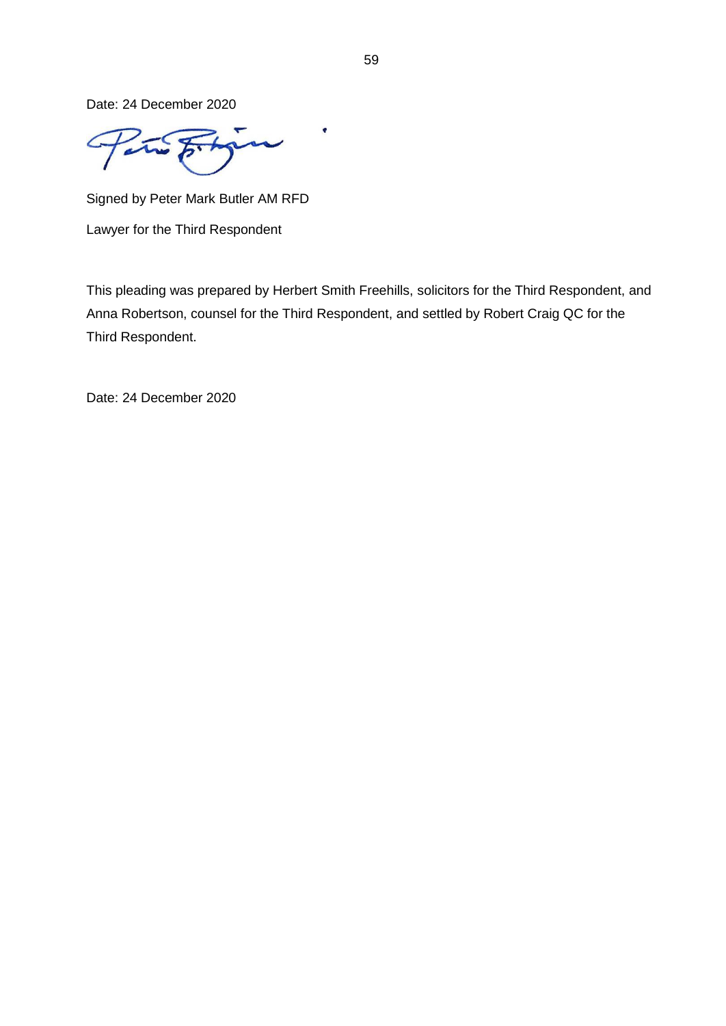Date: 24 December 2020

 $\pmb{\epsilon}$  $\overline{\phantom{0}}$ 

Signed by Peter Mark Butler AM RFD

Lawyer for the Third Respondent

This pleading was prepared by Herbert Smith Freehills, solicitors for the Third Respondent, and Anna Robertson, counsel for the Third Respondent, and settled by Robert Craig QC for the Third Respondent.

Date: 24 December 2020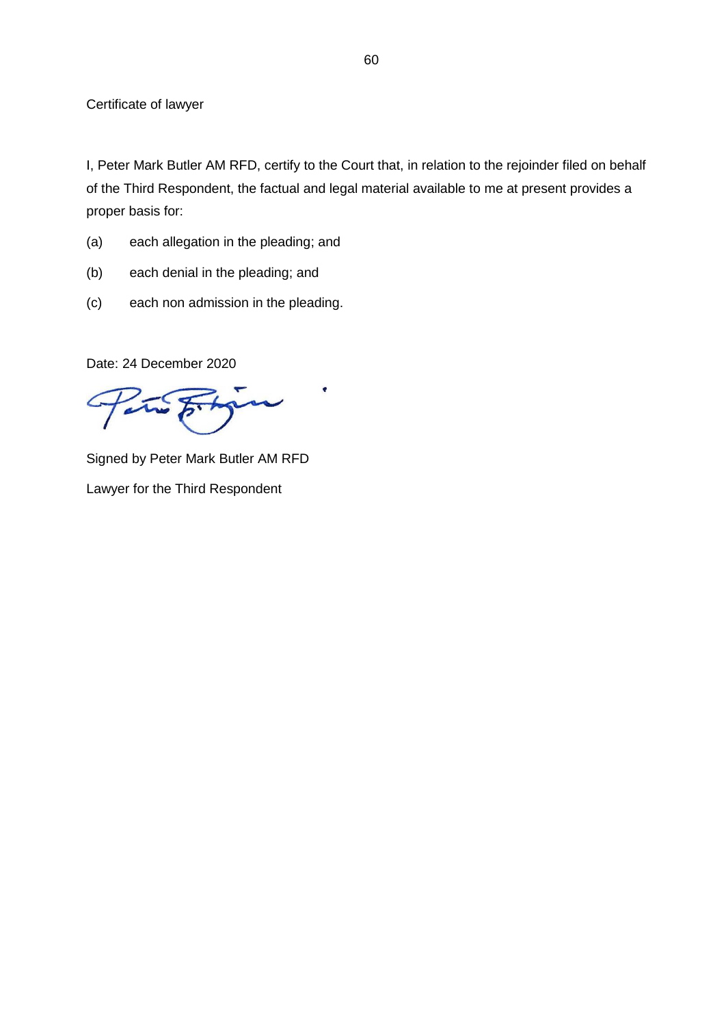I, Peter Mark Butler AM RFD, certify to the Court that, in relation to the rejoinder filed on behalf of the Third Respondent, the factual and legal material available to me at present provides a proper basis for:

ę

- (a) each allegation in the pleading; and
- (b) each denial in the pleading; and
- (c) each non admission in the pleading.

Date: 24 December 2020

 $\sim$ 

Signed by Peter Mark Butler AM RFD Lawyer for the Third Respondent